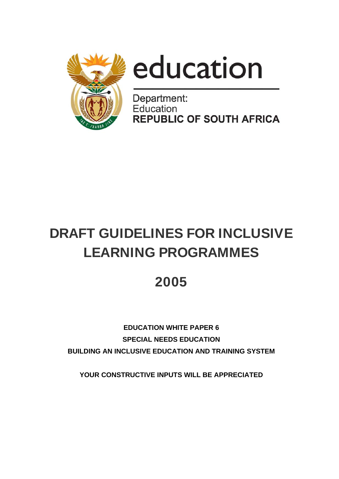



Department: Education **REPUBLIC OF SOUTH AFRICA** 

# DRAFT GUIDELINES FOR INCLUSIVE LEARNING PROGRAMMES

# 2005

**EDUCATION WHITE PAPER 6 SPECIAL NEEDS EDUCATION BUILDING AN INCLUSIVE EDUCATION AND TRAINING SYSTEM** 

**YOUR CONSTRUCTIVE INPUTS WILL BE APPRECIATED**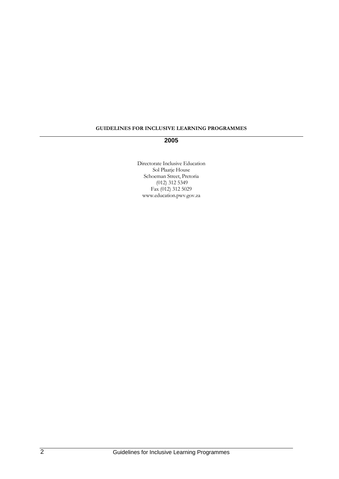#### **GUIDELINES FOR INCLUSIVE LEARNING PROGRAMMES**

#### **2005**

Directorate Inclusive Education Sol Plaatje House Schoeman Street, Pretoria (012) 312 5349 Fax (012) 312 5029 www.education.pwv.gov.za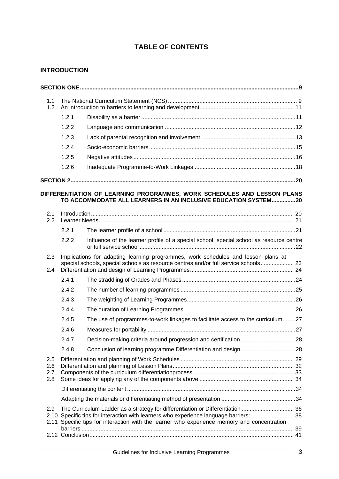# **TABLE OF CONTENTS**

#### **INTRODUCTION**

| 1.1<br>1.2               |       |                                                                                                                                                                                                                                                                         |  |  |  |  |  |  |  |
|--------------------------|-------|-------------------------------------------------------------------------------------------------------------------------------------------------------------------------------------------------------------------------------------------------------------------------|--|--|--|--|--|--|--|
|                          | 1.2.1 |                                                                                                                                                                                                                                                                         |  |  |  |  |  |  |  |
|                          | 1.2.2 |                                                                                                                                                                                                                                                                         |  |  |  |  |  |  |  |
|                          | 1.2.3 |                                                                                                                                                                                                                                                                         |  |  |  |  |  |  |  |
|                          | 1.2.4 |                                                                                                                                                                                                                                                                         |  |  |  |  |  |  |  |
|                          | 1.2.5 |                                                                                                                                                                                                                                                                         |  |  |  |  |  |  |  |
|                          | 1.2.6 |                                                                                                                                                                                                                                                                         |  |  |  |  |  |  |  |
|                          |       |                                                                                                                                                                                                                                                                         |  |  |  |  |  |  |  |
|                          |       | DIFFERENTIATION OF LEARNING PROGRAMMES, WORK SCHEDULES AND LESSON PLANS<br>TO ACCOMMODATE ALL LEARNERS IN AN INCLUSIVE EDUCATION SYSTEM20                                                                                                                               |  |  |  |  |  |  |  |
| 2.1<br>2.2               |       |                                                                                                                                                                                                                                                                         |  |  |  |  |  |  |  |
|                          | 2.2.1 |                                                                                                                                                                                                                                                                         |  |  |  |  |  |  |  |
|                          | 2.2.2 | Influence of the learner profile of a special school, special school as resource centre                                                                                                                                                                                 |  |  |  |  |  |  |  |
| 2.3<br>2.4               |       | Implications for adapting learning programmes, work schedules and lesson plans at<br>special schools, special schools as resource centres and/or full service schools 23                                                                                                |  |  |  |  |  |  |  |
|                          | 2.4.1 |                                                                                                                                                                                                                                                                         |  |  |  |  |  |  |  |
|                          | 2.4.2 |                                                                                                                                                                                                                                                                         |  |  |  |  |  |  |  |
|                          | 2.4.3 |                                                                                                                                                                                                                                                                         |  |  |  |  |  |  |  |
|                          | 2.4.4 |                                                                                                                                                                                                                                                                         |  |  |  |  |  |  |  |
|                          | 2.4.5 | The use of programmes-to-work linkages to facilitate access to the curriculum27                                                                                                                                                                                         |  |  |  |  |  |  |  |
|                          | 2.4.6 |                                                                                                                                                                                                                                                                         |  |  |  |  |  |  |  |
|                          | 2.4.7 |                                                                                                                                                                                                                                                                         |  |  |  |  |  |  |  |
|                          | 2.4.8 |                                                                                                                                                                                                                                                                         |  |  |  |  |  |  |  |
| 2.5<br>2.6<br>2.7<br>2.8 |       |                                                                                                                                                                                                                                                                         |  |  |  |  |  |  |  |
|                          |       |                                                                                                                                                                                                                                                                         |  |  |  |  |  |  |  |
|                          |       |                                                                                                                                                                                                                                                                         |  |  |  |  |  |  |  |
| 2.9                      |       | The Curriculum Ladder as a strategy for differentiation or Differentiation  36<br>2.10 Specific tips for interaction with learners who experience language barriers:  38<br>2.11 Specific tips for interaction with the learner who experience memory and concentration |  |  |  |  |  |  |  |
|                          |       |                                                                                                                                                                                                                                                                         |  |  |  |  |  |  |  |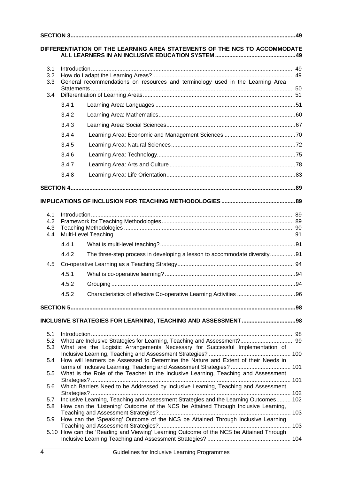|            | DIFFERENTIATION OF THE LEARNING AREA STATEMENTS OF THE NCS TO ACCOMMODATE                                                                                   |     |  |  |  |  |  |  |
|------------|-------------------------------------------------------------------------------------------------------------------------------------------------------------|-----|--|--|--|--|--|--|
| 3.1        |                                                                                                                                                             |     |  |  |  |  |  |  |
| 3.2        |                                                                                                                                                             |     |  |  |  |  |  |  |
| 3.3        | General recommendations on resources and terminology used in the Learning Area                                                                              |     |  |  |  |  |  |  |
| 3.4        |                                                                                                                                                             |     |  |  |  |  |  |  |
|            | 3.4.1                                                                                                                                                       |     |  |  |  |  |  |  |
|            | 3.4.2                                                                                                                                                       |     |  |  |  |  |  |  |
|            | 3.4.3                                                                                                                                                       |     |  |  |  |  |  |  |
|            | 3.4.4                                                                                                                                                       |     |  |  |  |  |  |  |
|            | 3.4.5                                                                                                                                                       |     |  |  |  |  |  |  |
|            | 3.4.6                                                                                                                                                       |     |  |  |  |  |  |  |
|            | 3.4.7                                                                                                                                                       |     |  |  |  |  |  |  |
|            | 3.4.8                                                                                                                                                       |     |  |  |  |  |  |  |
|            |                                                                                                                                                             |     |  |  |  |  |  |  |
|            |                                                                                                                                                             |     |  |  |  |  |  |  |
|            |                                                                                                                                                             |     |  |  |  |  |  |  |
| 4.1        |                                                                                                                                                             |     |  |  |  |  |  |  |
| 4.2        |                                                                                                                                                             |     |  |  |  |  |  |  |
| 4.3<br>4.4 |                                                                                                                                                             |     |  |  |  |  |  |  |
|            | 4.4.1                                                                                                                                                       |     |  |  |  |  |  |  |
|            | The three-step process in developing a lesson to accommodate diversity91<br>4.4.2                                                                           |     |  |  |  |  |  |  |
| 4.5        |                                                                                                                                                             |     |  |  |  |  |  |  |
|            | 4.5.1                                                                                                                                                       |     |  |  |  |  |  |  |
|            | 4.5.2<br>Grouping.                                                                                                                                          | .94 |  |  |  |  |  |  |
|            |                                                                                                                                                             |     |  |  |  |  |  |  |
|            | 4.5.2                                                                                                                                                       |     |  |  |  |  |  |  |
|            |                                                                                                                                                             |     |  |  |  |  |  |  |
|            |                                                                                                                                                             |     |  |  |  |  |  |  |
| 5.1        |                                                                                                                                                             |     |  |  |  |  |  |  |
| 5.2        |                                                                                                                                                             |     |  |  |  |  |  |  |
| 5.3        | What are the Logistic Arrangements Necessary for Successful Implementation of                                                                               |     |  |  |  |  |  |  |
| 5.4        | How will learners be Assessed to Determine the Nature and Extent of their Needs in<br>terms of Inclusive Learning, Teaching and Assessment Strategies?  101 |     |  |  |  |  |  |  |
| 5.5        | What is the Role of the Teacher in the Inclusive Learning, Teaching and Assessment                                                                          |     |  |  |  |  |  |  |
|            | Which Barriers Need to be Addressed by Inclusive Learning, Teaching and Assessment                                                                          |     |  |  |  |  |  |  |
| 5.6        |                                                                                                                                                             |     |  |  |  |  |  |  |
| 5.7        | Inclusive Learning, Teaching and Assessment Strategies and the Learning Outcomes 102                                                                        |     |  |  |  |  |  |  |
| 5.8        | How can the 'Listening' Outcome of the NCS be Attained Through Inclusive Learning,                                                                          |     |  |  |  |  |  |  |
| 5.9        | How can the 'Speaking' Outcome of the NCS be Attained Through Inclusive Learning                                                                            |     |  |  |  |  |  |  |
|            |                                                                                                                                                             |     |  |  |  |  |  |  |
|            | 5.10 How can the 'Reading and Viewing' Learning Outcome of the NCS be Attained Through                                                                      |     |  |  |  |  |  |  |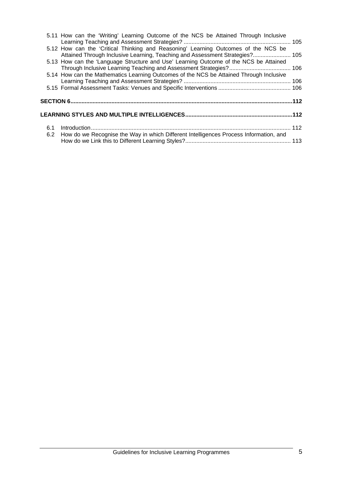|     | 5.11 How can the 'Writing' Learning Outcome of the NCS be Attained Through Inclusive                                                                               |  |
|-----|--------------------------------------------------------------------------------------------------------------------------------------------------------------------|--|
|     | 5.12 How can the 'Critical Thinking and Reasoning' Learning Outcomes of the NCS be<br>Attained Through Inclusive Learning, Teaching and Assessment Strategies? 105 |  |
|     | 5.13 How can the 'Language Structure and Use' Learning Outcome of the NCS be Attained                                                                              |  |
|     |                                                                                                                                                                    |  |
|     | 5.14 How can the Mathematics Learning Outcomes of the NCS be Attained Through Inclusive                                                                            |  |
|     |                                                                                                                                                                    |  |
|     |                                                                                                                                                                    |  |
|     |                                                                                                                                                                    |  |
|     |                                                                                                                                                                    |  |
|     |                                                                                                                                                                    |  |
| 6.1 |                                                                                                                                                                    |  |
| 6.2 | How do we Recognise the Way in which Different Intelligences Process Information, and                                                                              |  |
|     |                                                                                                                                                                    |  |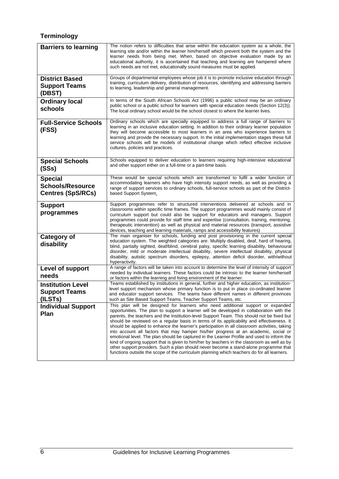# **Terminology**

| <b>Barriers to learning</b>                                           | The notion refers to difficulties that arise within the education system as a whole, the<br>learning site and/or within the learner him/herself which prevent both the system and the<br>learner needs from being met. When, based on objective evaluation made by an<br>educational authority, it is ascertained that teaching and learning are hampered where<br>such needs are not met, educationally sound measures must be applied.                                                                                                                                                                                                                                                                                                                                                                                                                                                                                                          |  |  |  |  |  |  |  |
|-----------------------------------------------------------------------|---------------------------------------------------------------------------------------------------------------------------------------------------------------------------------------------------------------------------------------------------------------------------------------------------------------------------------------------------------------------------------------------------------------------------------------------------------------------------------------------------------------------------------------------------------------------------------------------------------------------------------------------------------------------------------------------------------------------------------------------------------------------------------------------------------------------------------------------------------------------------------------------------------------------------------------------------|--|--|--|--|--|--|--|
| <b>District Based</b><br><b>Support Teams</b><br>(DBST)               | Groups of departmental employees whose job it is to promote inclusive education through<br>training, curriculum delivery, distribution of resources, identifying and addressing barriers<br>to learning, leadership and general management.                                                                                                                                                                                                                                                                                                                                                                                                                                                                                                                                                                                                                                                                                                       |  |  |  |  |  |  |  |
| <b>Ordinary local</b><br>schools                                      | In terms of the South African Schools Act (1996) a public school may be an ordinary<br>public school or a public school for learners with special education needs (Section 12(3)).<br>The local ordinary school would be the school closest to where the learner lives.                                                                                                                                                                                                                                                                                                                                                                                                                                                                                                                                                                                                                                                                           |  |  |  |  |  |  |  |
| <b>Full-Service Schools</b><br>(FSS)                                  | Ordinary schools which are specially equipped to address a full range of barriers to<br>learning in an inclusive education setting. In addition to their ordinary learner population<br>they will become accessible to most learners in an area who experience barriers to<br>learning and provide the necessary support. In the initial implementation stages these full<br>service schools will be models of institutional change which reflect effective inclusive<br>cultures, policies and practices.                                                                                                                                                                                                                                                                                                                                                                                                                                        |  |  |  |  |  |  |  |
| <b>Special Schools</b><br>(SSs)                                       | Schools equipped to deliver education to learners requiring high-intensive educational<br>and other support either on a full-time or a part-time basis.                                                                                                                                                                                                                                                                                                                                                                                                                                                                                                                                                                                                                                                                                                                                                                                           |  |  |  |  |  |  |  |
| <b>Special</b><br><b>Schools/Resource</b><br><b>Centres (SpS/RCs)</b> | These would be special schools which are transformed to fulfil a wider function of<br>accommodating learners who have high intensity support needs, as well as providing a<br>range of support services to ordinary schools, full-service schools as part of the District-<br>based Support System.                                                                                                                                                                                                                                                                                                                                                                                                                                                                                                                                                                                                                                               |  |  |  |  |  |  |  |
| <b>Support</b><br>programmes                                          | Support programmes refer to structured interventions delivered at schools and in<br>classrooms within specific time frames. The support programmes would mainly consist of<br>curriculum support but could also be support for educators and managers. Support<br>programmes could provide for staff time and expertise (consultation, training, mentoring,<br>therapeutic intervention) as well as physical and material resources (transport, assistive<br>devices, teaching and learning materials, ramps and accessibility features)                                                                                                                                                                                                                                                                                                                                                                                                          |  |  |  |  |  |  |  |
| <b>Category of</b><br>disability                                      | The main organiser for schools, funding and post provisioning in the current special<br>education system. The weighted categories are: Multiply disabled, deaf, hard of hearing,<br>blind, partially sighted, deaf/blind, cerebral palsy, specific learning disability, behavioural<br>disorder, mild or moderate intellectual disability, severe intellectual disability, physical<br>disability, autistic spectrum disorders, epilepsy, attention deficit disorder, with/without<br>hyperactivity.                                                                                                                                                                                                                                                                                                                                                                                                                                              |  |  |  |  |  |  |  |
| Level of support<br>needs                                             | A range of factors will be taken into account to determine the level of intensity of support<br>needed by individual learners. These factors could be intrinsic to the learner him/herself<br>or factors within the learning and living environment of the learner.                                                                                                                                                                                                                                                                                                                                                                                                                                                                                                                                                                                                                                                                               |  |  |  |  |  |  |  |
| <b>Institution Level</b><br><b>Support Teams</b><br>(ILSTs)           | Teams established by institutions in general, further and higher education, as institution-<br>level support mechanism whose primary function is to put in place co-ordinated learner<br>and educator support services. The teams have different names in different provinces<br>such as Site Based Support Teams, Teacher Support Teams, etc.                                                                                                                                                                                                                                                                                                                                                                                                                                                                                                                                                                                                    |  |  |  |  |  |  |  |
| <b>Individual Support</b><br>Plan                                     | This plan will be designed for learners who need additional support or expanded<br>opportunities. The plan to support a learner will be developed in collaboration with the<br>parents, the teachers and the Institution-level Support Team. This should not be fixed but<br>should be reviewed on a regular basis in terms of its applicability and effectiveness. It<br>should be applied to enhance the learner's participation in all classroom activities, taking<br>into account all factors that may hamper his/her progress at an academic, social or<br>emotional level. The plan should be captured in the Learner Profile and used to inform the<br>kind of ongoing support that is given to him/her by teachers in the classroom as well as by<br>other support providers. Such a plan should never become a stand-alone programme that<br>functions outside the scope of the curriculum planning which teachers do for all learners. |  |  |  |  |  |  |  |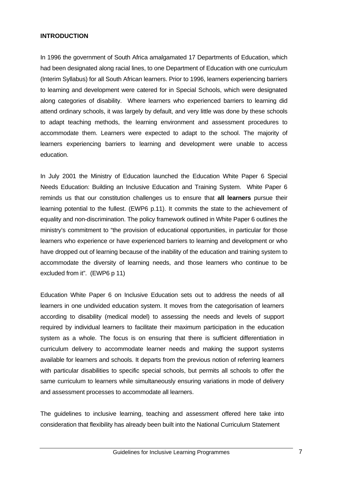#### **INTRODUCTION**

In 1996 the government of South Africa amalgamated 17 Departments of Education, which had been designated along racial lines, to one Department of Education with one curriculum (Interim Syllabus) for all South African learners. Prior to 1996, learners experiencing barriers to learning and development were catered for in Special Schools, which were designated along categories of disability. Where learners who experienced barriers to learning did attend ordinary schools, it was largely by default, and very little was done by these schools to adapt teaching methods, the learning environment and assessment procedures to accommodate them. Learners were expected to adapt to the school. The majority of learners experiencing barriers to learning and development were unable to access education.

In July 2001 the Ministry of Education launched the Education White Paper 6 Special Needs Education: Building an Inclusive Education and Training System. White Paper 6 reminds us that our constitution challenges us to ensure that **all learners** pursue their learning potential to the fullest. (EWP6 p.11). It commits the state to the achievement of equality and non-discrimination. The policy framework outlined in White Paper 6 outlines the ministry's commitment to "the provision of educational opportunities, in particular for those learners who experience or have experienced barriers to learning and development or who have dropped out of learning because of the inability of the education and training system to accommodate the diversity of learning needs, and those learners who continue to be excluded from it". (EWP6 p 11)

Education White Paper 6 on Inclusive Education sets out to address the needs of all learners in one undivided education system. It moves from the categorisation of learners according to disability (medical model) to assessing the needs and levels of support required by individual learners to facilitate their maximum participation in the education system as a whole. The focus is on ensuring that there is sufficient differentiation in curriculum delivery to accommodate learner needs and making the support systems available for learners and schools. It departs from the previous notion of referring learners with particular disabilities to specific special schools, but permits all schools to offer the same curriculum to learners while simultaneously ensuring variations in mode of delivery and assessment processes to accommodate all learners.

The guidelines to inclusive learning, teaching and assessment offered here take into consideration that flexibility has already been built into the National Curriculum Statement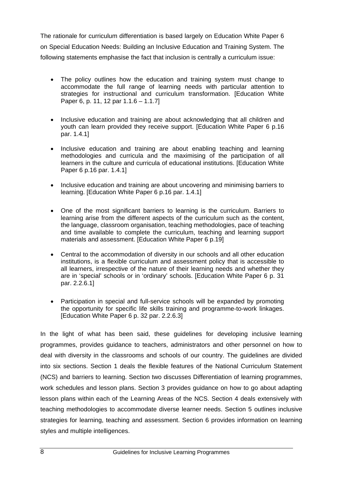The rationale for curriculum differentiation is based largely on Education White Paper 6 on Special Education Needs: Building an Inclusive Education and Training System. The following statements emphasise the fact that inclusion is centrally a curriculum issue:

- The policy outlines how the education and training system must change to accommodate the full range of learning needs with particular attention to strategies for instructional and curriculum transformation. [Education White Paper 6, p. 11, 12 par 1.1.6 – 1.1.7]
- Inclusive education and training are about acknowledging that all children and youth can learn provided they receive support. [Education White Paper 6 p.16 par. 1.4.1]
- Inclusive education and training are about enabling teaching and learning methodologies and curricula and the maximising of the participation of all learners in the culture and curricula of educational institutions. [Education White Paper 6 p.16 par. 1.4.1]
- Inclusive education and training are about uncovering and minimising barriers to learning. [Education White Paper 6 p.16 par. 1.4.1]
- One of the most significant barriers to learning is the curriculum. Barriers to learning arise from the different aspects of the curriculum such as the content, the language, classroom organisation, teaching methodologies, pace of teaching and time available to complete the curriculum, teaching and learning support materials and assessment. [Education White Paper 6 p.19]
- Central to the accommodation of diversity in our schools and all other education institutions, is a flexible curriculum and assessment policy that is accessible to all learners, irrespective of the nature of their learning needs and whether they are in 'special' schools or in 'ordinary' schools. [Education White Paper 6 p. 31 par. 2.2.6.1]
- Participation in special and full-service schools will be expanded by promoting the opportunity for specific life skills training and programme-to-work linkages. [Education White Paper 6 p. 32 par. 2.2.6.3]

In the light of what has been said, these guidelines for developing inclusive learning programmes, provides guidance to teachers, administrators and other personnel on how to deal with diversity in the classrooms and schools of our country. The guidelines are divided into six sections. Section 1 deals the flexible features of the National Curriculum Statement (NCS) and barriers to learning. Section two discusses Differentiation of learning programmes, work schedules and lesson plans. Section 3 provides guidance on how to go about adapting lesson plans within each of the Learning Areas of the NCS. Section 4 deals extensively with teaching methodologies to accommodate diverse learner needs. Section 5 outlines inclusive strategies for learning, teaching and assessment. Section 6 provides information on learning styles and multiple intelligences.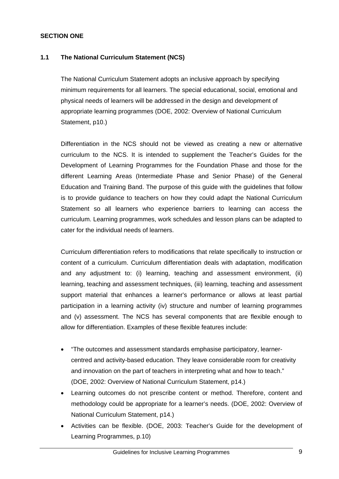#### **SECTION ONE**

#### **1.1 The National Curriculum Statement (NCS)**

The National Curriculum Statement adopts an inclusive approach by specifying minimum requirements for all learners. The special educational, social, emotional and physical needs of learners will be addressed in the design and development of appropriate learning programmes (DOE, 2002: Overview of National Curriculum Statement, p10.)

Differentiation in the NCS should not be viewed as creating a new or alternative curriculum to the NCS. It is intended to supplement the Teacher's Guides for the Development of Learning Programmes for the Foundation Phase and those for the different Learning Areas (Intermediate Phase and Senior Phase) of the General Education and Training Band. The purpose of this guide with the guidelines that follow is to provide guidance to teachers on how they could adapt the National Curriculum Statement so all learners who experience barriers to learning can access the curriculum. Learning programmes, work schedules and lesson plans can be adapted to cater for the individual needs of learners.

Curriculum differentiation refers to modifications that relate specifically to instruction or content of a curriculum. Curriculum differentiation deals with adaptation, modification and any adjustment to: (i) learning, teaching and assessment environment, (ii) learning, teaching and assessment techniques, (iii) learning, teaching and assessment support material that enhances a learner's performance or allows at least partial participation in a learning activity (iv) structure and number of learning programmes and (v) assessment. The NCS has several components that are flexible enough to allow for differentiation. Examples of these flexible features include:

- "The outcomes and assessment standards emphasise participatory, learnercentred and activity-based education. They leave considerable room for creativity and innovation on the part of teachers in interpreting what and how to teach." (DOE, 2002: Overview of National Curriculum Statement, p14.)
- Learning outcomes do not prescribe content or method. Therefore, content and methodology could be appropriate for a learner's needs. (DOE, 2002: Overview of National Curriculum Statement, p14.)
- Activities can be flexible. (DOE, 2003: Teacher's Guide for the development of Learning Programmes, p.10)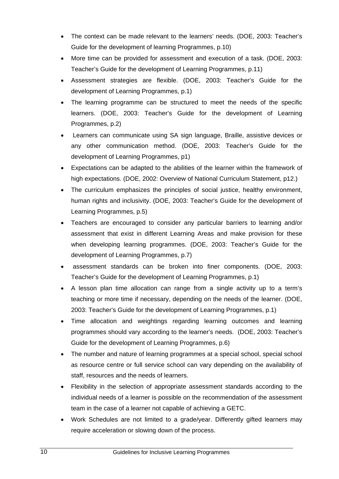- The context can be made relevant to the learners' needs. (DOE, 2003: Teacher's Guide for the development of learning Programmes, p.10)
- More time can be provided for assessment and execution of a task. (DOE, 2003: Teacher's Guide for the development of Learning Programmes, p.11)
- Assessment strategies are flexible. (DOE, 2003: Teacher's Guide for the development of Learning Programmes, p.1)
- The learning programme can be structured to meet the needs of the specific learners. (DOE, 2003: Teacher's Guide for the development of Learning Programmes, p.2)
- Learners can communicate using SA sign language, Braille, assistive devices or any other communication method. (DOE, 2003: Teacher's Guide for the development of Learning Programmes, p1)
- Expectations can be adapted to the abilities of the learner within the framework of high expectations. (DOE, 2002: Overview of National Curriculum Statement, p12.)
- The curriculum emphasizes the principles of social justice, healthy environment, human rights and inclusivity. (DOE, 2003: Teacher's Guide for the development of Learning Programmes, p.5)
- Teachers are encouraged to consider any particular barriers to learning and/or assessment that exist in different Learning Areas and make provision for these when developing learning programmes. (DOE, 2003: Teacher's Guide for the development of Learning Programmes, p.7)
- assessment standards can be broken into finer components. (DOE, 2003: Teacher's Guide for the development of Learning Programmes, p.1)
- A lesson plan time allocation can range from a single activity up to a term's teaching or more time if necessary, depending on the needs of the learner. (DOE, 2003: Teacher's Guide for the development of Learning Programmes, p.1)
- Time allocation and weightings regarding learning outcomes and learning programmes should vary according to the learner's needs. (DOE, 2003: Teacher's Guide for the development of Learning Programmes, p.6)
- The number and nature of learning programmes at a special school, special school as resource centre or full service school can vary depending on the availability of staff, resources and the needs of learners.
- Flexibility in the selection of appropriate assessment standards according to the individual needs of a learner is possible on the recommendation of the assessment team in the case of a learner not capable of achieving a GETC.
- Work Schedules are not limited to a grade/year. Differently gifted learners may require acceleration or slowing down of the process.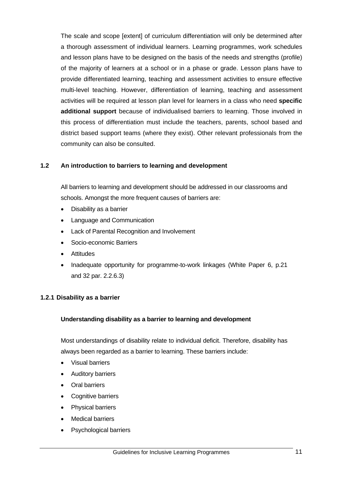The scale and scope [extent] of curriculum differentiation will only be determined after a thorough assessment of individual learners. Learning programmes, work schedules and lesson plans have to be designed on the basis of the needs and strengths (profile) of the majority of learners at a school or in a phase or grade. Lesson plans have to provide differentiated learning, teaching and assessment activities to ensure effective multi-level teaching. However, differentiation of learning, teaching and assessment activities will be required at lesson plan level for learners in a class who need **specific additional support** because of individualised barriers to learning. Those involved in this process of differentiation must include the teachers, parents, school based and district based support teams (where they exist). Other relevant professionals from the community can also be consulted.

#### **1.2 An introduction to barriers to learning and development**

All barriers to learning and development should be addressed in our classrooms and schools. Amongst the more frequent causes of barriers are:

- Disability as a barrier
- Language and Communication
- Lack of Parental Recognition and Involvement
- Socio-economic Barriers
- **•** Attitudes
- Inadequate opportunity for programme-to-work linkages (White Paper 6, p.21 and 32 par. 2.2.6.3)

#### **1.2.1 Disability as a barrier**

#### **Understanding disability as a barrier to learning and development**

Most understandings of disability relate to individual deficit. Therefore, disability has always been regarded as a barrier to learning. These barriers include:

- Visual barriers
- Auditory barriers
- Oral barriers
- Cognitive barriers
- Physical barriers
- Medical barriers
- Psychological barriers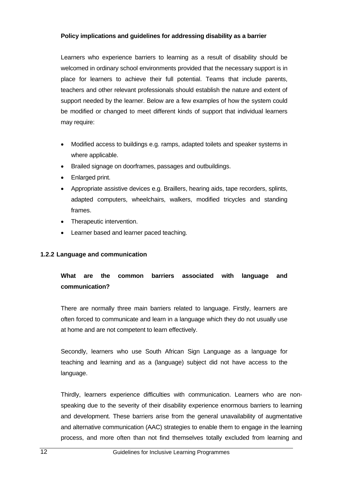#### **Policy implications and guidelines for addressing disability as a barrier**

Learners who experience barriers to learning as a result of disability should be welcomed in ordinary school environments provided that the necessary support is in place for learners to achieve their full potential. Teams that include parents, teachers and other relevant professionals should establish the nature and extent of support needed by the learner. Below are a few examples of how the system could be modified or changed to meet different kinds of support that individual learners may require:

- Modified access to buildings e.g. ramps, adapted toilets and speaker systems in where applicable.
- Brailed signage on doorframes, passages and outbuildings.
- Enlarged print.
- Appropriate assistive devices e.g. Braillers, hearing aids, tape recorders, splints, adapted computers, wheelchairs, walkers, modified tricycles and standing frames.
- Therapeutic intervention.
- Learner based and learner paced teaching.

#### **1.2.2 Language and communication**

# **What are the common barriers associated with language and communication?**

There are normally three main barriers related to language. Firstly, learners are often forced to communicate and learn in a language which they do not usually use at home and are not competent to learn effectively.

Secondly, learners who use South African Sign Language as a language for teaching and learning and as a (language) subject did not have access to the language.

Thirdly, learners experience difficulties with communication. Learners who are nonspeaking due to the severity of their disability experience enormous barriers to learning and development. These barriers arise from the general unavailability of augmentative and alternative communication (AAC) strategies to enable them to engage in the learning process, and more often than not find themselves totally excluded from learning and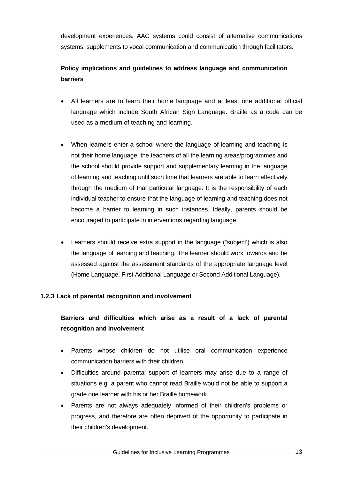development experiences. AAC systems could consist of alternative communications systems, supplements to vocal communication and communication through facilitators.

# **Policy implications and guidelines to address language and communication barriers**

- All learners are to learn their home language and at least one additional official language which include South African Sign Language. Braille as a code can be used as a medium of teaching and learning.
- When learners enter a school where the language of learning and teaching is not their home language, the teachers of all the learning areas/programmes and the school should provide support and supplementary learning in the language of learning and teaching until such time that learners are able to learn effectively through the medium of that particular language. It is the responsibility of each individual teacher to ensure that the language of learning and teaching does not become a barrier to learning in such instances. Ideally, parents should be encouraged to participate in interventions regarding language.
- Learners should receive extra support in the language ("subject') which is also the language of learning and teaching. The learner should work towards and be assessed against the assessment standards of the appropriate language level (Home Language, First Additional Language or Second Additional Language).

#### **1.2.3 Lack of parental recognition and involvement**

# **Barriers and difficulties which arise as a result of a lack of parental recognition and involvement**

- Parents whose children do not utilise oral communication experience communication barriers with their children.
- Difficulties around parental support of learners may arise due to a range of situations e.g. a parent who cannot read Braille would not be able to support a grade one learner with his or her Braille homework.
- Parents are not always adequately informed of their children's problems or progress, and therefore are often deprived of the opportunity to participate in their children's development.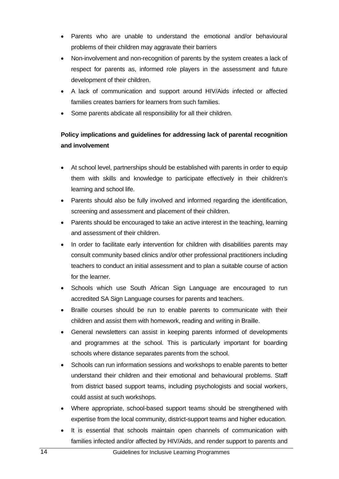- Parents who are unable to understand the emotional and/or behavioural problems of their children may aggravate their barriers
- Non-involvement and non-recognition of parents by the system creates a lack of respect for parents as, informed role players in the assessment and future development of their children.
- A lack of communication and support around HIV/Aids infected or affected families creates barriers for learners from such families.
- Some parents abdicate all responsibility for all their children.

# **Policy implications and guidelines for addressing lack of parental recognition and involvement**

- At school level, partnerships should be established with parents in order to equip them with skills and knowledge to participate effectively in their children's learning and school life.
- Parents should also be fully involved and informed regarding the identification, screening and assessment and placement of their children.
- Parents should be encouraged to take an active interest in the teaching, learning and assessment of their children.
- In order to facilitate early intervention for children with disabilities parents may consult community based clinics and/or other professional practitioners including teachers to conduct an initial assessment and to plan a suitable course of action for the learner.
- Schools which use South African Sign Language are encouraged to run accredited SA Sign Language courses for parents and teachers.
- Braille courses should be run to enable parents to communicate with their children and assist them with homework, reading and writing in Braille.
- General newsletters can assist in keeping parents informed of developments and programmes at the school. This is particularly important for boarding schools where distance separates parents from the school.
- Schools can run information sessions and workshops to enable parents to better understand their children and their emotional and behavioural problems. Staff from district based support teams, including psychologists and social workers, could assist at such workshops.
- Where appropriate, school-based support teams should be strengthened with expertise from the local community, district-support teams and higher education.
- It is essential that schools maintain open channels of communication with families infected and/or affected by HIV/Aids, and render support to parents and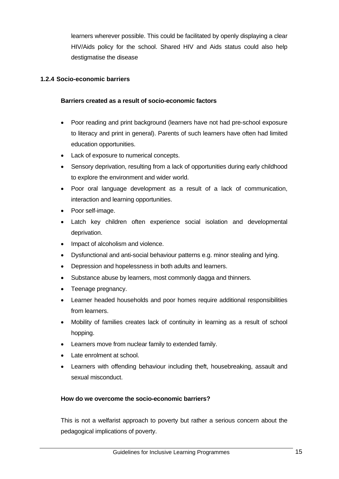learners wherever possible. This could be facilitated by openly displaying a clear HIV/Aids policy for the school. Shared HIV and Aids status could also help destigmatise the disease

#### **1.2.4 Socio-economic barriers**

#### **Barriers created as a result of socio-economic factors**

- Poor reading and print background (learners have not had pre-school exposure to literacy and print in general). Parents of such learners have often had limited education opportunities.
- Lack of exposure to numerical concepts.
- Sensory deprivation, resulting from a lack of opportunities during early childhood to explore the environment and wider world.
- Poor oral language development as a result of a lack of communication, interaction and learning opportunities.
- Poor self-image.
- Latch key children often experience social isolation and developmental deprivation.
- Impact of alcoholism and violence.
- Dysfunctional and anti-social behaviour patterns e.g. minor stealing and lying.
- Depression and hopelessness in both adults and learners.
- Substance abuse by learners, most commonly dagga and thinners.
- Teenage pregnancy.
- Learner headed households and poor homes require additional responsibilities from learners.
- Mobility of families creates lack of continuity in learning as a result of school hopping.
- Learners move from nuclear family to extended family.
- Late enrolment at school.
- Learners with offending behaviour including theft, housebreaking, assault and sexual misconduct.

#### **How do we overcome the socio-economic barriers?**

This is not a welfarist approach to poverty but rather a serious concern about the pedagogical implications of poverty.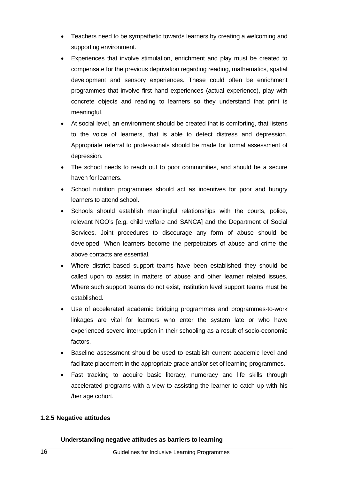- Teachers need to be sympathetic towards learners by creating a welcoming and supporting environment.
- Experiences that involve stimulation, enrichment and play must be created to compensate for the previous deprivation regarding reading, mathematics, spatial development and sensory experiences. These could often be enrichment programmes that involve first hand experiences (actual experience), play with concrete objects and reading to learners so they understand that print is meaningful.
- At social level, an environment should be created that is comforting, that listens to the voice of learners, that is able to detect distress and depression. Appropriate referral to professionals should be made for formal assessment of depression.
- The school needs to reach out to poor communities, and should be a secure haven for learners.
- School nutrition programmes should act as incentives for poor and hungry learners to attend school.
- Schools should establish meaningful relationships with the courts, police, relevant NGO's [e.g. child welfare and SANCA] and the Department of Social Services. Joint procedures to discourage any form of abuse should be developed. When learners become the perpetrators of abuse and crime the above contacts are essential.
- Where district based support teams have been established they should be called upon to assist in matters of abuse and other learner related issues. Where such support teams do not exist, institution level support teams must be established.
- Use of accelerated academic bridging programmes and programmes-to-work linkages are vital for learners who enter the system late or who have experienced severe interruption in their schooling as a result of socio-economic factors.
- Baseline assessment should be used to establish current academic level and facilitate placement in the appropriate grade and/or set of learning programmes.
- Fast tracking to acquire basic literacy, numeracy and life skills through accelerated programs with a view to assisting the learner to catch up with his /her age cohort.

#### **1.2.5 Negative attitudes**

#### **Understanding negative attitudes as barriers to learning**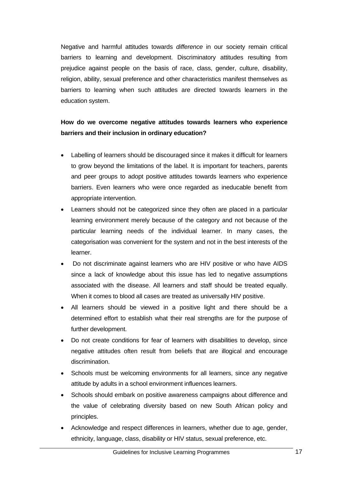Negative and harmful attitudes towards *difference* in our society remain critical barriers to learning and development. Discriminatory attitudes resulting from prejudice against people on the basis of race, class, gender, culture, disability, religion, ability, sexual preference and other characteristics manifest themselves as barriers to learning when such attitudes are directed towards learners in the education system.

# **How do we overcome negative attitudes towards learners who experience barriers and their inclusion in ordinary education?**

- Labelling of learners should be discouraged since it makes it difficult for learners to grow beyond the limitations of the label. It is important for teachers, parents and peer groups to adopt positive attitudes towards learners who experience barriers. Even learners who were once regarded as ineducable benefit from appropriate intervention.
- Learners should not be categorized since they often are placed in a particular learning environment merely because of the category and not because of the particular learning needs of the individual learner. In many cases, the categorisation was convenient for the system and not in the best interests of the learner.
- Do not discriminate against learners who are HIV positive or who have AIDS since a lack of knowledge about this issue has led to negative assumptions associated with the disease. All learners and staff should be treated equally. When it comes to blood all cases are treated as universally HIV positive.
- All learners should be viewed in a positive light and there should be a determined effort to establish what their real strengths are for the purpose of further development.
- Do not create conditions for fear of learners with disabilities to develop, since negative attitudes often result from beliefs that are illogical and encourage discrimination.
- Schools must be welcoming environments for all learners, since any negative attitude by adults in a school environment influences learners.
- Schools should embark on positive awareness campaigns about difference and the value of celebrating diversity based on new South African policy and principles.
- Acknowledge and respect differences in learners, whether due to age, gender, ethnicity, language, class, disability or HIV status, sexual preference, etc.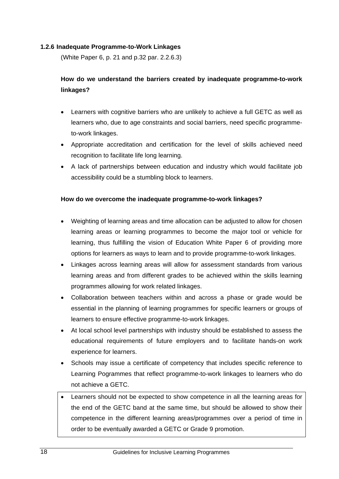#### **1.2.6 Inadequate Programme-to-Work Linkages**

(White Paper 6, p. 21 and p.32 par. 2.2.6.3)

# **How do we understand the barriers created by inadequate programme-to-work linkages?**

- Learners with cognitive barriers who are unlikely to achieve a full GETC as well as learners who, due to age constraints and social barriers, need specific programmeto-work linkages.
- Appropriate accreditation and certification for the level of skills achieved need recognition to facilitate life long learning.
- A lack of partnerships between education and industry which would facilitate job accessibility could be a stumbling block to learners.

#### **How do we overcome the inadequate programme-to-work linkages?**

- Weighting of learning areas and time allocation can be adjusted to allow for chosen learning areas or learning programmes to become the major tool or vehicle for learning, thus fulfilling the vision of Education White Paper 6 of providing more options for learners as ways to learn and to provide programme-to-work linkages.
- Linkages across learning areas will allow for assessment standards from various learning areas and from different grades to be achieved within the skills learning programmes allowing for work related linkages.
- Collaboration between teachers within and across a phase or grade would be essential in the planning of learning programmes for specific learners or groups of learners to ensure effective programme-to-work linkages.
- At local school level partnerships with industry should be established to assess the educational requirements of future employers and to facilitate hands-on work experience for learners.
- Schools may issue a certificate of competency that includes specific reference to Learning Pogrammes that reflect programme-to-work linkages to learners who do not achieve a GETC.
- Learners should not be expected to show competence in all the learning areas for the end of the GETC band at the same time, but should be allowed to show their competence in the different learning areas/programmes over a period of time in order to be eventually awarded a GETC or Grade 9 promotion.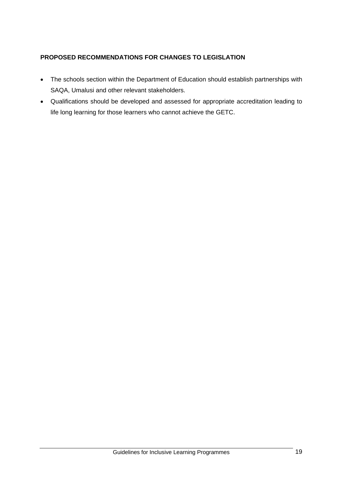### **PROPOSED RECOMMENDATIONS FOR CHANGES TO LEGISLATION**

- The schools section within the Department of Education should establish partnerships with SAQA, Umalusi and other relevant stakeholders.
- Qualifications should be developed and assessed for appropriate accreditation leading to life long learning for those learners who cannot achieve the GETC.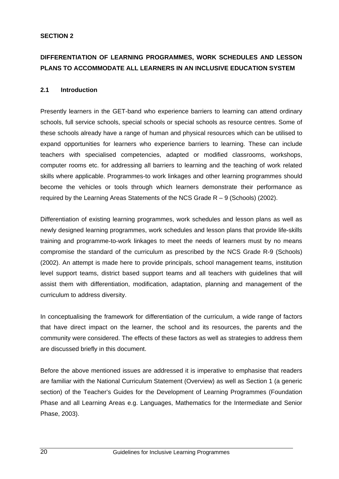#### **SECTION 2**

# **DIFFERENTIATION OF LEARNING PROGRAMMES, WORK SCHEDULES AND LESSON PLANS TO ACCOMMODATE ALL LEARNERS IN AN INCLUSIVE EDUCATION SYSTEM**

#### **2.1 Introduction**

Presently learners in the GET-band who experience barriers to learning can attend ordinary schools, full service schools, special schools or special schools as resource centres. Some of these schools already have a range of human and physical resources which can be utilised to expand opportunities for learners who experience barriers to learning. These can include teachers with specialised competencies, adapted or modified classrooms, workshops, computer rooms etc. for addressing all barriers to learning and the teaching of work related skills where applicable. Programmes-to work linkages and other learning programmes should become the vehicles or tools through which learners demonstrate their performance as required by the Learning Areas Statements of the NCS Grade R – 9 (Schools) (2002).

Differentiation of existing learning programmes, work schedules and lesson plans as well as newly designed learning programmes, work schedules and lesson plans that provide life-skills training and programme-to-work linkages to meet the needs of learners must by no means compromise the standard of the curriculum as prescribed by the NCS Grade R-9 (Schools) (2002). An attempt is made here to provide principals, school management teams, institution level support teams, district based support teams and all teachers with guidelines that will assist them with differentiation, modification, adaptation, planning and management of the curriculum to address diversity.

In conceptualising the framework for differentiation of the curriculum, a wide range of factors that have direct impact on the learner, the school and its resources, the parents and the community were considered. The effects of these factors as well as strategies to address them are discussed briefly in this document.

Before the above mentioned issues are addressed it is imperative to emphasise that readers are familiar with the National Curriculum Statement (Overview) as well as Section 1 (a generic section) of the Teacher's Guides for the Development of Learning Programmes (Foundation Phase and all Learning Areas e.g. Languages, Mathematics for the Intermediate and Senior Phase, 2003).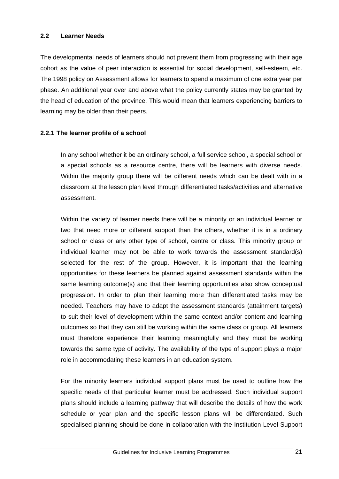#### **2.2 Learner Needs**

The developmental needs of learners should not prevent them from progressing with their age cohort as the value of peer interaction is essential for social development, self-esteem, etc. The 1998 policy on Assessment allows for learners to spend a maximum of one extra year per phase. An additional year over and above what the policy currently states may be granted by the head of education of the province. This would mean that learners experiencing barriers to learning may be older than their peers.

#### **2.2.1 The learner profile of a school**

In any school whether it be an ordinary school, a full service school, a special school or a special schools as a resource centre, there will be learners with diverse needs. Within the majority group there will be different needs which can be dealt with in a classroom at the lesson plan level through differentiated tasks/activities and alternative assessment.

Within the variety of learner needs there will be a minority or an individual learner or two that need more or different support than the others, whether it is in a ordinary school or class or any other type of school, centre or class. This minority group or individual learner may not be able to work towards the assessment standard(s) selected for the rest of the group. However, it is important that the learning opportunities for these learners be planned against assessment standards within the same learning outcome(s) and that their learning opportunities also show conceptual progression. In order to plan their learning more than differentiated tasks may be needed. Teachers may have to adapt the assessment standards (attainment targets) to suit their level of development within the same context and/or content and learning outcomes so that they can still be working within the same class or group. All learners must therefore experience their learning meaningfully and they must be working towards the same type of activity. The availability of the type of support plays a major role in accommodating these learners in an education system.

For the minority learners individual support plans must be used to outline how the specific needs of that particular learner must be addressed. Such individual support plans should include a learning pathway that will describe the details of how the work schedule or year plan and the specific lesson plans will be differentiated. Such specialised planning should be done in collaboration with the Institution Level Support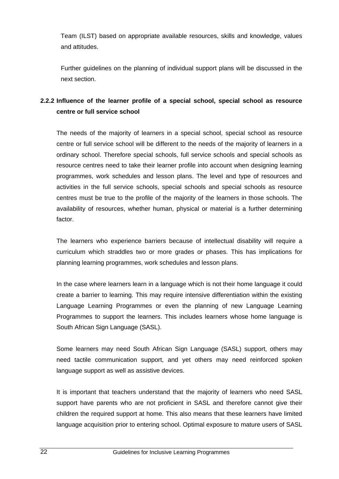Team (ILST) based on appropriate available resources, skills and knowledge, values and attitudes.

Further guidelines on the planning of individual support plans will be discussed in the next section.

# **2.2.2 Influence of the learner profile of a special school, special school as resource centre or full service school**

The needs of the majority of learners in a special school, special school as resource centre or full service school will be different to the needs of the majority of learners in a ordinary school. Therefore special schools, full service schools and special schools as resource centres need to take their learner profile into account when designing learning programmes, work schedules and lesson plans. The level and type of resources and activities in the full service schools, special schools and special schools as resource centres must be true to the profile of the majority of the learners in those schools. The availability of resources, whether human, physical or material is a further determining factor.

The learners who experience barriers because of intellectual disability will require a curriculum which straddles two or more grades or phases. This has implications for planning learning programmes, work schedules and lesson plans.

In the case where learners learn in a language which is not their home language it could create a barrier to learning. This may require intensive differentiation within the existing Language Learning Programmes or even the planning of new Language Learning Programmes to support the learners. This includes learners whose home language is South African Sign Language (SASL).

Some learners may need South African Sign Language (SASL) support, others may need tactile communication support, and yet others may need reinforced spoken language support as well as assistive devices.

It is important that teachers understand that the majority of learners who need SASL support have parents who are not proficient in SASL and therefore cannot give their children the required support at home. This also means that these learners have limited language acquisition prior to entering school. Optimal exposure to mature users of SASL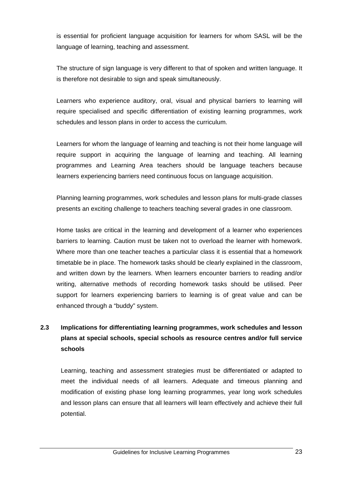is essential for proficient language acquisition for learners for whom SASL will be the language of learning, teaching and assessment.

The structure of sign language is very different to that of spoken and written language. It is therefore not desirable to sign and speak simultaneously.

Learners who experience auditory, oral, visual and physical barriers to learning will require specialised and specific differentiation of existing learning programmes, work schedules and lesson plans in order to access the curriculum.

Learners for whom the language of learning and teaching is not their home language will require support in acquiring the language of learning and teaching. All learning programmes and Learning Area teachers should be language teachers because learners experiencing barriers need continuous focus on language acquisition.

Planning learning programmes, work schedules and lesson plans for multi-grade classes presents an exciting challenge to teachers teaching several grades in one classroom.

Home tasks are critical in the learning and development of a learner who experiences barriers to learning. Caution must be taken not to overload the learner with homework. Where more than one teacher teaches a particular class it is essential that a homework timetable be in place. The homework tasks should be clearly explained in the classroom, and written down by the learners. When learners encounter barriers to reading and/or writing, alternative methods of recording homework tasks should be utilised. Peer support for learners experiencing barriers to learning is of great value and can be enhanced through a "buddy" system.

# **2.3 Implications for differentiating learning programmes, work schedules and lesson plans at special schools, special schools as resource centres and/or full service schools**

Learning, teaching and assessment strategies must be differentiated or adapted to meet the individual needs of all learners. Adequate and timeous planning and modification of existing phase long learning programmes, year long work schedules and lesson plans can ensure that all learners will learn effectively and achieve their full potential.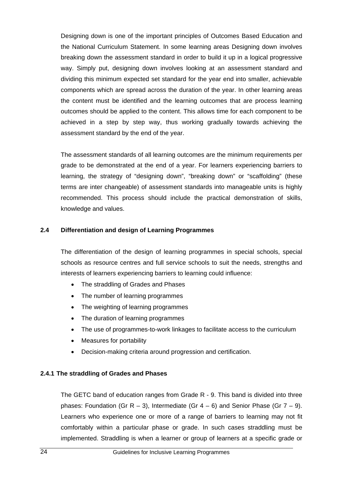Designing down is one of the important principles of Outcomes Based Education and the National Curriculum Statement. In some learning areas Designing down involves breaking down the assessment standard in order to build it up in a logical progressive way. Simply put, designing down involves looking at an assessment standard and dividing this minimum expected set standard for the year end into smaller, achievable components which are spread across the duration of the year. In other learning areas the content must be identified and the learning outcomes that are process learning outcomes should be applied to the content. This allows time for each component to be achieved in a step by step way, thus working gradually towards achieving the assessment standard by the end of the year.

The assessment standards of all learning outcomes are the minimum requirements per grade to be demonstrated at the end of a year. For learners experiencing barriers to learning, the strategy of "designing down", "breaking down" or "scaffolding" (these terms are inter changeable) of assessment standards into manageable units is highly recommended. This process should include the practical demonstration of skills, knowledge and values.

#### **2.4 Differentiation and design of Learning Programmes**

The differentiation of the design of learning programmes in special schools, special schools as resource centres and full service schools to suit the needs, strengths and interests of learners experiencing barriers to learning could influence:

- The straddling of Grades and Phases
- The number of learning programmes
- The weighting of learning programmes
- The duration of learning programmes
- The use of programmes-to-work linkages to facilitate access to the curriculum
- Measures for portability
- Decision-making criteria around progression and certification.

### **2.4.1 The straddling of Grades and Phases**

The GETC band of education ranges from Grade R - 9. This band is divided into three phases: Foundation (Gr R – 3), Intermediate (Gr 4 – 6) and Senior Phase (Gr  $7 - 9$ ). Learners who experience one or more of a range of barriers to learning may not fit comfortably within a particular phase or grade. In such cases straddling must be implemented. Straddling is when a learner or group of learners at a specific grade or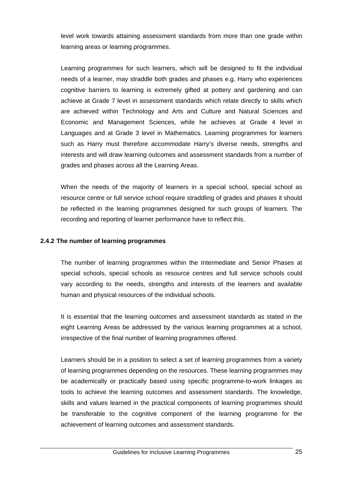level work towards attaining assessment standards from more than one grade within learning areas or learning programmes.

Learning programmes for such learners, which will be designed to fit the individual needs of a learner, may straddle both grades and phases e.g. Harry who experiences cognitive barriers to learning is extremely gifted at pottery and gardening and can achieve at Grade 7 level in assessment standards which relate directly to skills which are achieved within Technology and Arts and Culture and Natural Sciences and Economic and Management Sciences, while he achieves at Grade 4 level in Languages and at Grade 3 level in Mathematics. Learning programmes for learners such as Harry must therefore accommodate Harry's diverse needs, strengths and interests and will draw learning outcomes and assessment standards from a number of grades and phases across all the Learning Areas.

When the needs of the majority of learners in a special school, special school as resource centre or full service school require straddling of grades and phases it should be reflected in the learning programmes designed for such groups of learners. The recording and reporting of learner performance have to reflect this.

#### **2.4.2 The number of learning programmes**

The number of learning programmes within the Intermediate and Senior Phases at special schools, special schools as resource centres and full service schools could vary according to the needs, strengths and interests of the learners and available human and physical resources of the individual schools.

It is essential that the learning outcomes and assessment standards as stated in the eight Learning Areas be addressed by the various learning programmes at a school, irrespective of the final number of learning programmes offered.

Learners should be in a position to select a set of learning programmes from a variety of learning programmes depending on the resources. These learning programmes may be academically or practically based using specific programme-to-work linkages as tools to achieve the learning outcomes and assessment standards. The knowledge, skills and values learned in the practical components of learning programmes should be transferable to the cognitive component of the learning programme for the achievement of learning outcomes and assessment standards.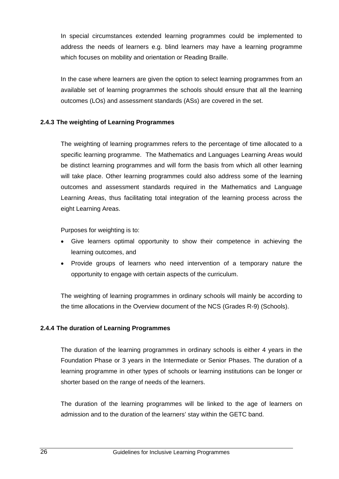In special circumstances extended learning programmes could be implemented to address the needs of learners e.g. blind learners may have a learning programme which focuses on mobility and orientation or Reading Braille.

In the case where learners are given the option to select learning programmes from an available set of learning programmes the schools should ensure that all the learning outcomes (LOs) and assessment standards (ASs) are covered in the set.

#### **2.4.3 The weighting of Learning Programmes**

The weighting of learning programmes refers to the percentage of time allocated to a specific learning programme. The Mathematics and Languages Learning Areas would be distinct learning programmes and will form the basis from which all other learning will take place. Other learning programmes could also address some of the learning outcomes and assessment standards required in the Mathematics and Language Learning Areas, thus facilitating total integration of the learning process across the eight Learning Areas.

Purposes for weighting is to:

- Give learners optimal opportunity to show their competence in achieving the learning outcomes, and
- Provide groups of learners who need intervention of a temporary nature the opportunity to engage with certain aspects of the curriculum.

The weighting of learning programmes in ordinary schools will mainly be according to the time allocations in the Overview document of the NCS (Grades R-9) (Schools).

#### **2.4.4 The duration of Learning Programmes**

The duration of the learning programmes in ordinary schools is either 4 years in the Foundation Phase or 3 years in the Intermediate or Senior Phases. The duration of a learning programme in other types of schools or learning institutions can be longer or shorter based on the range of needs of the learners.

The duration of the learning programmes will be linked to the age of learners on admission and to the duration of the learners' stay within the GETC band.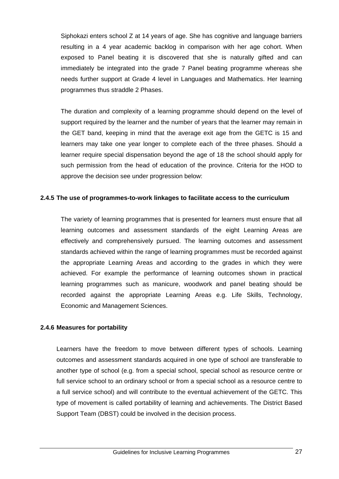Siphokazi enters school Z at 14 years of age. She has cognitive and language barriers resulting in a 4 year academic backlog in comparison with her age cohort. When exposed to Panel beating it is discovered that she is naturally gifted and can immediately be integrated into the grade 7 Panel beating programme whereas she needs further support at Grade 4 level in Languages and Mathematics. Her learning programmes thus straddle 2 Phases.

The duration and complexity of a learning programme should depend on the level of support required by the learner and the number of years that the learner may remain in the GET band, keeping in mind that the average exit age from the GETC is 15 and learners may take one year longer to complete each of the three phases. Should a learner require special dispensation beyond the age of 18 the school should apply for such permission from the head of education of the province. Criteria for the HOD to approve the decision see under progression below:

#### **2.4.5 The use of programmes-to-work linkages to facilitate access to the curriculum**

The variety of learning programmes that is presented for learners must ensure that all learning outcomes and assessment standards of the eight Learning Areas are effectively and comprehensively pursued. The learning outcomes and assessment standards achieved within the range of learning programmes must be recorded against the appropriate Learning Areas and according to the grades in which they were achieved. For example the performance of learning outcomes shown in practical learning programmes such as manicure, woodwork and panel beating should be recorded against the appropriate Learning Areas e.g. Life Skills, Technology, Economic and Management Sciences.

#### **2.4.6 Measures for portability**

Learners have the freedom to move between different types of schools. Learning outcomes and assessment standards acquired in one type of school are transferable to another type of school (e.g. from a special school, special school as resource centre or full service school to an ordinary school or from a special school as a resource centre to a full service school) and will contribute to the eventual achievement of the GETC. This type of movement is called portability of learning and achievements. The District Based Support Team (DBST) could be involved in the decision process.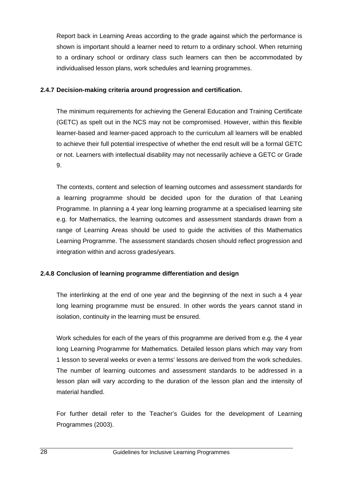Report back in Learning Areas according to the grade against which the performance is shown is important should a learner need to return to a ordinary school. When returning to a ordinary school or ordinary class such learners can then be accommodated by individualised lesson plans, work schedules and learning programmes.

#### **2.4.7 Decision-making criteria around progression and certification.**

The minimum requirements for achieving the General Education and Training Certificate (GETC) as spelt out in the NCS may not be compromised. However, within this flexible learner-based and learner-paced approach to the curriculum all learners will be enabled to achieve their full potential irrespective of whether the end result will be a formal GETC or not. Learners with intellectual disability may not necessarily achieve a GETC or Grade 9.

The contexts, content and selection of learning outcomes and assessment standards for a learning programme should be decided upon for the duration of that Leaning Programme. In planning a 4 year long learning programme at a specialised learning site e.g. for Mathematics, the learning outcomes and assessment standards drawn from a range of Learning Areas should be used to guide the activities of this Mathematics Learning Programme. The assessment standards chosen should reflect progression and integration within and across grades/years.

### **2.4.8 Conclusion of learning programme differentiation and design**

The interlinking at the end of one year and the beginning of the next in such a 4 year long learning programme must be ensured. In other words the years cannot stand in isolation, continuity in the learning must be ensured.

Work schedules for each of the years of this programme are derived from e.g. the 4 year long Learning Programme for Mathematics. Detailed lesson plans which may vary from 1 lesson to several weeks or even a terms' lessons are derived from the work schedules. The number of learning outcomes and assessment standards to be addressed in a lesson plan will vary according to the duration of the lesson plan and the intensity of material handled.

For further detail refer to the Teacher's Guides for the development of Learning Programmes (2003).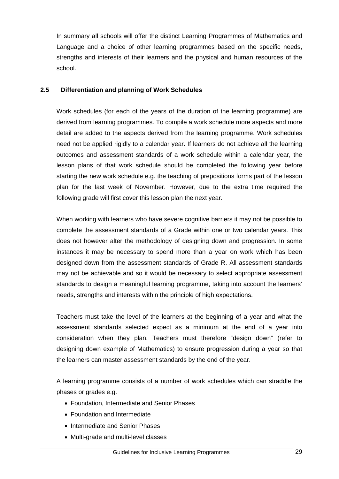In summary all schools will offer the distinct Learning Programmes of Mathematics and Language and a choice of other learning programmes based on the specific needs, strengths and interests of their learners and the physical and human resources of the school.

#### **2.5 Differentiation and planning of Work Schedules**

Work schedules (for each of the years of the duration of the learning programme) are derived from learning programmes. To compile a work schedule more aspects and more detail are added to the aspects derived from the learning programme. Work schedules need not be applied rigidly to a calendar year. If learners do not achieve all the learning outcomes and assessment standards of a work schedule within a calendar year, the lesson plans of that work schedule should be completed the following year before starting the new work schedule e.g. the teaching of prepositions forms part of the lesson plan for the last week of November. However, due to the extra time required the following grade will first cover this lesson plan the next year.

When working with learners who have severe cognitive barriers it may not be possible to complete the assessment standards of a Grade within one or two calendar years. This does not however alter the methodology of designing down and progression. In some instances it may be necessary to spend more than a year on work which has been designed down from the assessment standards of Grade R. All assessment standards may not be achievable and so it would be necessary to select appropriate assessment standards to design a meaningful learning programme, taking into account the learners' needs, strengths and interests within the principle of high expectations.

Teachers must take the level of the learners at the beginning of a year and what the assessment standards selected expect as a minimum at the end of a year into consideration when they plan. Teachers must therefore "design down" (refer to designing down example of Mathematics) to ensure progression during a year so that the learners can master assessment standards by the end of the year.

A learning programme consists of a number of work schedules which can straddle the phases or grades e.g.

- Foundation, Intermediate and Senior Phases
- Foundation and Intermediate
- Intermediate and Senior Phases
- Multi-grade and multi-level classes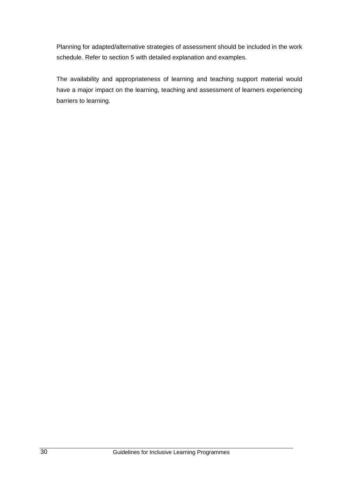Planning for adapted/alternative strategies of assessment should be included in the work schedule. Refer to section 5 with detailed explanation and examples.

The availability and appropriateness of learning and teaching support material would have a major impact on the learning, teaching and assessment of learners experiencing barriers to learning.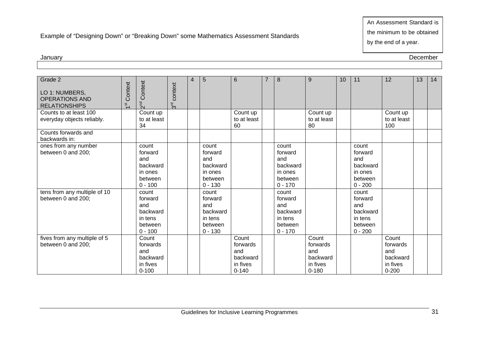### Example of "Designing Down" or "Breaking Down" some Mathematics Assessment Standards

| January | cember<br>ിലെ |
|---------|---------------|

| Grade 2                      | Context          | Context     | context        | $\overline{4}$ | 5         | $6\phantom{1}6$ | 7 | 8         | 9           | 10 | 11        | 12          | 13 | 14 |
|------------------------------|------------------|-------------|----------------|----------------|-----------|-----------------|---|-----------|-------------|----|-----------|-------------|----|----|
| LO 1: NUMBERS,               |                  |             |                |                |           |                 |   |           |             |    |           |             |    |    |
| <b>OPERATIONS AND</b>        |                  |             |                |                |           |                 |   |           |             |    |           |             |    |    |
| <b>RELATIONSHIPS</b>         | $\sum_{i=1}^{n}$ | $2^{rd}$    | 3 <sup>d</sup> |                |           |                 |   |           |             |    |           |             |    |    |
| Counts to at least 100       |                  | Count up    |                |                |           | Count up        |   |           | Count up    |    |           | Count up    |    |    |
| everyday objects reliably.   |                  | to at least |                |                |           | to at least     |   |           | to at least |    |           | to at least |    |    |
|                              |                  | 34          |                |                |           | 60              |   |           | 80          |    |           | 100         |    |    |
| Counts forwards and          |                  |             |                |                |           |                 |   |           |             |    |           |             |    |    |
| backwards in:                |                  |             |                |                |           |                 |   |           |             |    |           |             |    |    |
| ones from any number         |                  | count       |                |                | count     |                 |   | count     |             |    | count     |             |    |    |
| between 0 and 200;           |                  | forward     |                |                | forward   |                 |   | forward   |             |    | forward   |             |    |    |
|                              |                  | and         |                |                | and       |                 |   | and       |             |    | and       |             |    |    |
|                              |                  | backward    |                |                | backward  |                 |   | backward  |             |    | backward  |             |    |    |
|                              |                  | in ones     |                |                | in ones   |                 |   | in ones   |             |    | in ones   |             |    |    |
|                              |                  | between     |                |                | between   |                 |   | between   |             |    | between   |             |    |    |
|                              |                  | $0 - 100$   |                |                | $0 - 130$ |                 |   | $0 - 170$ |             |    | $0 - 200$ |             |    |    |
| tens from any multiple of 10 |                  | count       |                |                | count     |                 |   | count     |             |    | count     |             |    |    |
| between 0 and 200;           |                  | forward     |                |                | forward   |                 |   | forward   |             |    | forward   |             |    |    |
|                              |                  | and         |                |                | and       |                 |   | and       |             |    | and       |             |    |    |
|                              |                  | backward    |                |                | backward  |                 |   | backward  |             |    | backward  |             |    |    |
|                              |                  | in tens     |                |                | in tens   |                 |   | in tens   |             |    | in tens   |             |    |    |
|                              |                  | between     |                |                | between   |                 |   | between   |             |    | between   |             |    |    |
|                              |                  | $0 - 100$   |                |                | $0 - 130$ |                 |   | $0 - 170$ |             |    | $0 - 200$ |             |    |    |
| fives from any multiple of 5 |                  | Count       |                |                |           | Count           |   |           | Count       |    |           | Count       |    |    |
| between 0 and 200;           |                  | forwards    |                |                |           | forwards        |   |           | forwards    |    |           | forwards    |    |    |
|                              |                  | and         |                |                |           | and             |   |           | and         |    |           | and         |    |    |
|                              |                  | backward    |                |                |           | backward        |   |           | backward    |    |           | backward    |    |    |
|                              |                  | in fives    |                |                |           | in fives        |   |           | in fives    |    |           | in fives    |    |    |
|                              |                  | $0 - 100$   |                |                |           | $0 - 140$       |   |           | $0 - 180$   |    |           | $0 - 200$   |    |    |

# by the end of a year.

An Assessment Standard is the minimum to be obtained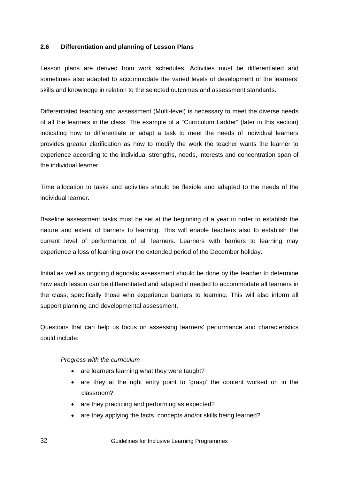#### **2.6 Differentiation and planning of Lesson Plans**

Lesson plans are derived from work schedules. Activities must be differentiated and sometimes also adapted to accommodate the varied levels of development of the learners' skills and knowledge in relation to the selected outcomes and assessment standards.

Differentiated teaching and assessment (Multi-level) is necessary to meet the diverse needs of all the learners in the class. The example of a "Curriculum Ladder" (later in this section) indicating how to differentiate or adapt a task to meet the needs of individual learners provides greater clarification as how to modify the work the teacher wants the learner to experience according to the individual strengths, needs, interests and concentration span of the individual learner.

Time allocation to tasks and activities should be flexible and adapted to the needs of the individual learner.

Baseline assessment tasks must be set at the beginning of a year in order to establish the nature and extent of barriers to learning. This will enable teachers also to establish the current level of performance of all learners. Learners with barriers to learning may experience a loss of learning over the extended period of the December holiday.

Initial as well as ongoing diagnostic assessment should be done by the teacher to determine how each lesson can be differentiated and adapted if needed to accommodate all learners in the class, specifically those who experience barriers to learning. This will also inform all support planning and developmental assessment.

Questions that can help us focus on assessing learners' performance and characteristics could include:

#### *Progress with the curriculum*

- are learners learning what they were taught?
- are they at the right entry point to 'grasp' the content worked on in the classroom?
- are they practicing and performing as expected?
- are they applying the facts, concepts and/or skills being learned?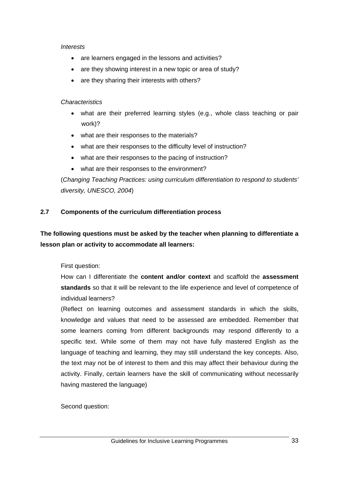#### *Interests*

- are learners engaged in the lessons and activities?
- are they showing interest in a new topic or area of study?
- are they sharing their interests with others?

#### *Characteristics*

- what are their preferred learning styles (e.g., whole class teaching or pair work)?
- what are their responses to the materials?
- what are their responses to the difficulty level of instruction?
- what are their responses to the pacing of instruction?
- what are their responses to the environment?

(*Changing Teaching Practices: using curriculum differentiation to respond to students' diversity, UNESCO, 2004*)

#### **2.7 Components of the curriculum differentiation process**

**The following questions must be asked by the teacher when planning to differentiate a lesson plan or activity to accommodate all learners:** 

First question:

How can I differentiate the **content and/or context** and scaffold the **assessment standards** so that it will be relevant to the life experience and level of competence of individual learners?

(Reflect on learning outcomes and assessment standards in which the skills, knowledge and values that need to be assessed are embedded. Remember that some learners coming from different backgrounds may respond differently to a specific text. While some of them may not have fully mastered English as the language of teaching and learning, they may still understand the key concepts. Also, the text may not be of interest to them and this may affect their behaviour during the activity. Finally, certain learners have the skill of communicating without necessarily having mastered the language)

Second question: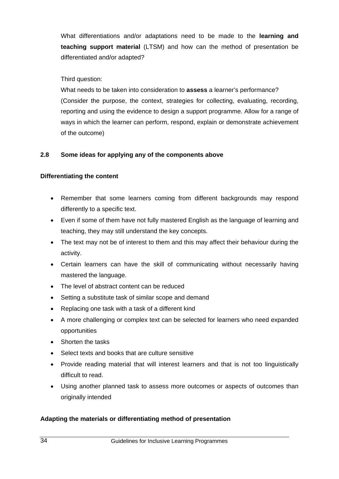What differentiations and/or adaptations need to be made to the **learning and teaching support material** (LTSM) and how can the method of presentation be differentiated and/or adapted?

#### Third question:

What needs to be taken into consideration to **assess** a learner's performance? (Consider the purpose, the context, strategies for collecting, evaluating, recording, reporting and using the evidence to design a support programme. Allow for a range of ways in which the learner can perform, respond, explain or demonstrate achievement of the outcome)

#### **2.8 Some ideas for applying any of the components above**

#### **Differentiating the content**

- Remember that some learners coming from different backgrounds may respond differently to a specific text.
- Even if some of them have not fully mastered English as the language of learning and teaching, they may still understand the key concepts.
- The text may not be of interest to them and this may affect their behaviour during the activity.
- Certain learners can have the skill of communicating without necessarily having mastered the language.
- The level of abstract content can be reduced
- Setting a substitute task of similar scope and demand
- Replacing one task with a task of a different kind
- A more challenging or complex text can be selected for learners who need expanded opportunities
- Shorten the tasks
- Select texts and books that are culture sensitive
- Provide reading material that will interest learners and that is not too linguistically difficult to read.
- Using another planned task to assess more outcomes or aspects of outcomes than originally intended

#### **Adapting the materials or differentiating method of presentation**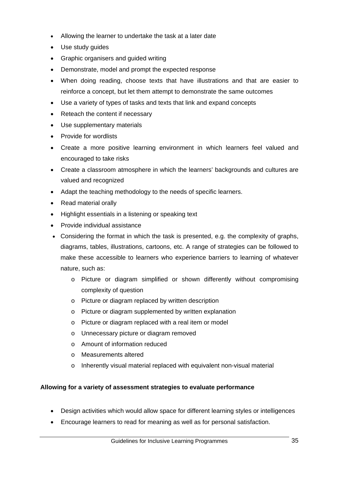- Allowing the learner to undertake the task at a later date
- Use study guides
- Graphic organisers and guided writing
- Demonstrate, model and prompt the expected response
- When doing reading, choose texts that have illustrations and that are easier to reinforce a concept, but let them attempt to demonstrate the same outcomes
- Use a variety of types of tasks and texts that link and expand concepts
- Reteach the content if necessary
- Use supplementary materials
- Provide for wordlists
- Create a more positive learning environment in which learners feel valued and encouraged to take risks
- Create a classroom atmosphere in which the learners' backgrounds and cultures are valued and recognized
- Adapt the teaching methodology to the needs of specific learners.
- Read material orally
- Highlight essentials in a listening or speaking text
- Provide individual assistance
- Considering the format in which the task is presented, e.g. the complexity of graphs, diagrams, tables, illustrations, cartoons, etc. A range of strategies can be followed to make these accessible to learners who experience barriers to learning of whatever nature, such as:
	- o Picture or diagram simplified or shown differently without compromising complexity of question
	- o Picture or diagram replaced by written description
	- o Picture or diagram supplemented by written explanation
	- o Picture or diagram replaced with a real item or model
	- o Unnecessary picture or diagram removed
	- o Amount of information reduced
	- o Measurements altered
	- o Inherently visual material replaced with equivalent non-visual material

### **Allowing for a variety of assessment strategies to evaluate performance**

- Design activities which would allow space for different learning styles or intelligences
- Encourage learners to read for meaning as well as for personal satisfaction.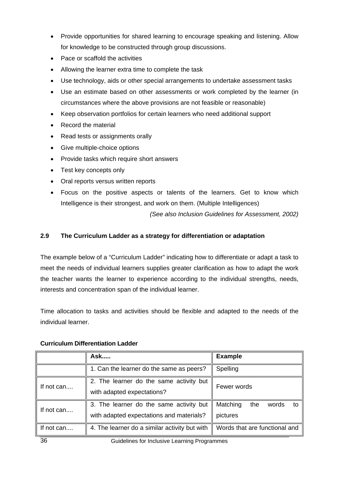- Provide opportunities for shared learning to encourage speaking and listening. Allow for knowledge to be constructed through group discussions.
- Pace or scaffold the activities
- Allowing the learner extra time to complete the task
- Use technology, aids or other special arrangements to undertake assessment tasks
- Use an estimate based on other assessments or work completed by the learner (in circumstances where the above provisions are not feasible or reasonable)
- Keep observation portfolios for certain learners who need additional support
- Record the material
- Read tests or assignments orally
- Give multiple-choice options
- Provide tasks which require short answers
- Test key concepts only
- Oral reports versus written reports
- Focus on the positive aspects or talents of the learners. Get to know which Intelligence is their strongest, and work on them. (Multiple Intelligences)

*(See also Inclusion Guidelines for Assessment, 2002)* 

#### **2.9 The Curriculum Ladder as a strategy for differentiation or adaptation**

The example below of a "Curriculum Ladder" indicating how to differentiate or adapt a task to meet the needs of individual learners supplies greater clarification as how to adapt the work the teacher wants the learner to experience according to the individual strengths, needs, interests and concentration span of the individual learner.

Time allocation to tasks and activities should be flexible and adapted to the needs of the individual learner.

|                      | <b>Ask</b>                                                                          | <b>Example</b>                             |  |  |  |  |  |  |
|----------------------|-------------------------------------------------------------------------------------|--------------------------------------------|--|--|--|--|--|--|
|                      | 1. Can the learner do the same as peers?                                            | Spelling                                   |  |  |  |  |  |  |
| If not can           | 2. The learner do the same activity but<br>with adapted expectations?               | Fewer words                                |  |  |  |  |  |  |
| If not can           | 3. The learner do the same activity but<br>with adapted expectations and materials? | Matching<br>the<br>words<br>to<br>pictures |  |  |  |  |  |  |
| If not can<br>$\sim$ | 4. The learner do a similar activity but with                                       | Words that are functional and              |  |  |  |  |  |  |

#### **Curriculum Differentiation Ladder**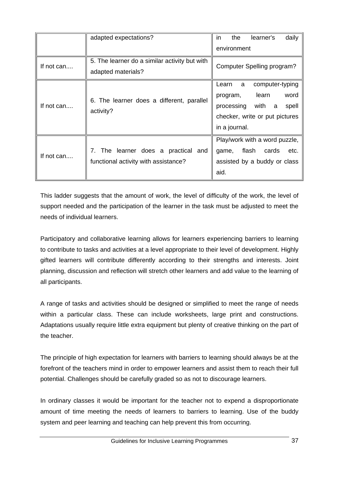|            | adapted expectations?                                                       | daily<br>the<br>learner's<br>in.                                                                                                                 |
|------------|-----------------------------------------------------------------------------|--------------------------------------------------------------------------------------------------------------------------------------------------|
|            |                                                                             | environment                                                                                                                                      |
| If not can | 5. The learner do a similar activity but with<br>adapted materials?         | Computer Spelling program?                                                                                                                       |
| If not can | 6. The learner does a different, parallel<br>activity?                      | Learn<br>computer-typing<br>a a<br>learn<br>word<br>program,<br>processing<br>with a<br>spell<br>checker, write or put pictures<br>in a journal. |
| If not can | 7. The learner does a practical and<br>functional activity with assistance? | Play/work with a word puzzle,<br>flash<br>cards<br>etc.<br>game,<br>assisted by a buddy or class<br>aid.                                         |

This ladder suggests that the amount of work, the level of difficulty of the work, the level of support needed and the participation of the learner in the task must be adjusted to meet the needs of individual learners.

Participatory and collaborative learning allows for learners experiencing barriers to learning to contribute to tasks and activities at a level appropriate to their level of development. Highly gifted learners will contribute differently according to their strengths and interests. Joint planning, discussion and reflection will stretch other learners and add value to the learning of all participants.

A range of tasks and activities should be designed or simplified to meet the range of needs within a particular class. These can include worksheets, large print and constructions. Adaptations usually require little extra equipment but plenty of creative thinking on the part of the teacher.

The principle of high expectation for learners with barriers to learning should always be at the forefront of the teachers mind in order to empower learners and assist them to reach their full potential. Challenges should be carefully graded so as not to discourage learners.

In ordinary classes it would be important for the teacher not to expend a disproportionate amount of time meeting the needs of learners to barriers to learning. Use of the buddy system and peer learning and teaching can help prevent this from occurring.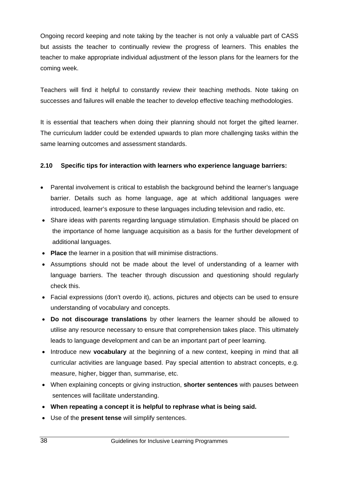Ongoing record keeping and note taking by the teacher is not only a valuable part of CASS but assists the teacher to continually review the progress of learners. This enables the teacher to make appropriate individual adjustment of the lesson plans for the learners for the coming week.

Teachers will find it helpful to constantly review their teaching methods. Note taking on successes and failures will enable the teacher to develop effective teaching methodologies.

It is essential that teachers when doing their planning should not forget the gifted learner. The curriculum ladder could be extended upwards to plan more challenging tasks within the same learning outcomes and assessment standards.

# **2.10 Specific tips for interaction with learners who experience language barriers:**

- Parental involvement is critical to establish the background behind the learner's language barrier. Details such as home language, age at which additional languages were introduced, learner's exposure to these languages including television and radio, etc.
- Share ideas with parents regarding language stimulation. Emphasis should be placed on the importance of home language acquisition as a basis for the further development of additional languages.
- **Place** the learner in a position that will minimise distractions.
- Assumptions should not be made about the level of understanding of a learner with language barriers. The teacher through discussion and questioning should regularly check this.
- Facial expressions (don't overdo it), actions, pictures and objects can be used to ensure understanding of vocabulary and concepts.
- **Do not discourage translations** by other learners the learner should be allowed to utilise any resource necessary to ensure that comprehension takes place. This ultimately leads to language development and can be an important part of peer learning.
- Introduce new **vocabulary** at the beginning of a new context, keeping in mind that all curricular activities are language based. Pay special attention to abstract concepts, e.g. measure, higher, bigger than, summarise, etc.
- When explaining concepts or giving instruction, **shorter sentences** with pauses between sentences will facilitate understanding.
- **When repeating a concept it is helpful to rephrase what is being said.**
- Use of the **present tense** will simplify sentences.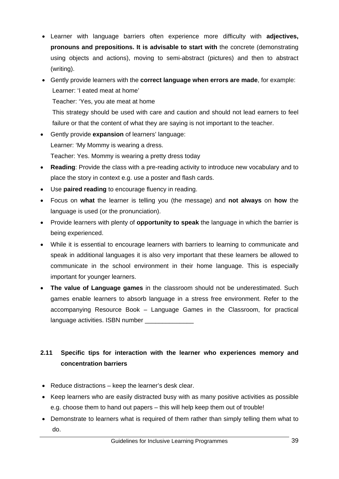- Learner with language barriers often experience more difficulty with **adjectives, pronouns and prepositions. It is advisable to start with** the concrete (demonstrating using objects and actions), moving to semi-abstract (pictures) and then to abstract (writing).
- Gently provide learners with the **correct language when errors are made**, for example: Learner: 'I eated meat at home' Teacher: 'Yes, you ate meat at home This strategy should be used with care and caution and should not lead earners to feel failure or that the content of what they are saying is not important to the teacher.
- Gently provide **expansion** of learners' language: Learner: 'My Mommy is wearing a dress. Teacher: Yes. Mommy is wearing a pretty dress today
- **Reading**: Provide the class with a pre-reading activity to introduce new vocabulary and to place the story in context e.g. use a poster and flash cards.
- Use **paired reading** to encourage fluency in reading.
- Focus on **what** the learner is telling you (the message) and **not always** on **how** the language is used (or the pronunciation).
- Provide learners with plenty of **opportunity to speak** the language in which the barrier is being experienced.
- While it is essential to encourage learners with barriers to learning to communicate and speak in additional languages it is also very important that these learners be allowed to communicate in the school environment in their home language. This is especially important for younger learners.
- **The value of Language games** in the classroom should not be underestimated. Such games enable learners to absorb language in a stress free environment. Refer to the accompanying Resource Book – Language Games in the Classroom, for practical language activities. ISBN number \_\_\_

# **2.11 Specific tips for interaction with the learner who experiences memory and concentration barriers**

- Reduce distractions keep the learner's desk clear.
- Keep learners who are easily distracted busy with as many positive activities as possible e.g. choose them to hand out papers – this will help keep them out of trouble!
- Demonstrate to learners what is required of them rather than simply telling them what to do.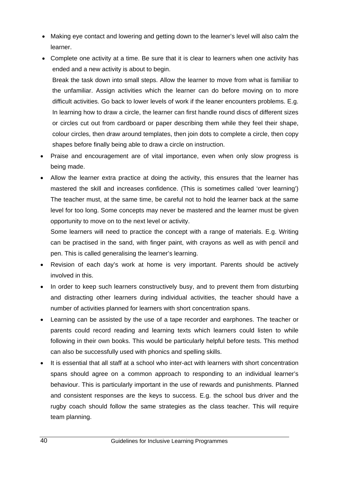- Making eye contact and lowering and getting down to the learner's level will also calm the learner.
- Complete one activity at a time. Be sure that it is clear to learners when one activity has ended and a new activity is about to begin.

Break the task down into small steps. Allow the learner to move from what is familiar to the unfamiliar. Assign activities which the learner can do before moving on to more difficult activities. Go back to lower levels of work if the leaner encounters problems. E.g. In learning how to draw a circle, the learner can first handle round discs of different sizes or circles cut out from cardboard or paper describing them while they feel their shape, colour circles, then draw around templates, then join dots to complete a circle, then copy shapes before finally being able to draw a circle on instruction.

- Praise and encouragement are of vital importance, even when only slow progress is being made.
- Allow the learner extra practice at doing the activity, this ensures that the learner has mastered the skill and increases confidence. (This is sometimes called 'over learning') The teacher must, at the same time, be careful not to hold the learner back at the same level for too long. Some concepts may never be mastered and the learner must be given opportunity to move on to the next level or activity.

Some learners will need to practice the concept with a range of materials. E.g. Writing can be practised in the sand, with finger paint, with crayons as well as with pencil and pen. This is called generalising the learner's learning.

- Revision of each day's work at home is very important. Parents should be actively involved in this.
- In order to keep such learners constructively busy, and to prevent them from disturbing and distracting other learners during individual activities, the teacher should have a number of activities planned for learners with short concentration spans.
- Learning can be assisted by the use of a tape recorder and earphones. The teacher or parents could record reading and learning texts which learners could listen to while following in their own books. This would be particularly helpful before tests. This method can also be successfully used with phonics and spelling skills.
- It is essential that all staff at a school who inter-act with learners with short concentration spans should agree on a common approach to responding to an individual learner's behaviour. This is particularly important in the use of rewards and punishments. Planned and consistent responses are the keys to success. E.g. the school bus driver and the rugby coach should follow the same strategies as the class teacher. This will require team planning.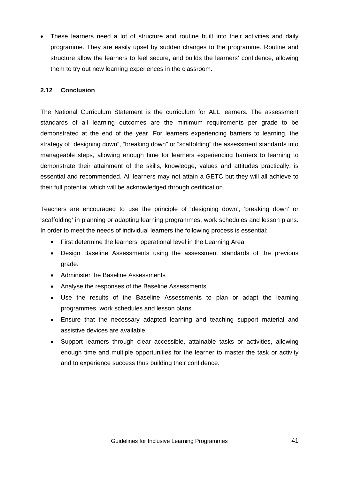These learners need a lot of structure and routine built into their activities and daily programme. They are easily upset by sudden changes to the programme. Routine and structure allow the learners to feel secure, and builds the learners' confidence, allowing them to try out new learning experiences in the classroom.

## **2.12 Conclusion**

The National Curriculum Statement is the curriculum for ALL learners. The assessment standards of all learning outcomes are the minimum requirements per grade to be demonstrated at the end of the year. For learners experiencing barriers to learning, the strategy of "designing down", "breaking down" or "scaffolding" the assessment standards into manageable steps, allowing enough time for learners experiencing barriers to learning to demonstrate their attainment of the skills, knowledge, values and attitudes practically, is essential and recommended. All learners may not attain a GETC but they will all achieve to their full potential which will be acknowledged through certification.

Teachers are encouraged to use the principle of 'designing down', 'breaking down' or 'scaffolding' in planning or adapting learning programmes, work schedules and lesson plans. In order to meet the needs of individual learners the following process is essential:

- First determine the learners' operational level in the Learning Area.
- Design Baseline Assessments using the assessment standards of the previous grade.
- Administer the Baseline Assessments
- Analyse the responses of the Baseline Assessments
- Use the results of the Baseline Assessments to plan or adapt the learning programmes, work schedules and lesson plans.
- Ensure that the necessary adapted learning and teaching support material and assistive devices are available.
- Support learners through clear accessible, attainable tasks or activities, allowing enough time and multiple opportunities for the learner to master the task or activity and to experience success thus building their confidence.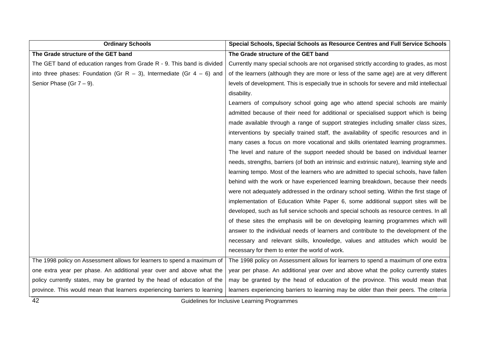| <b>Ordinary Schools</b>                                                   | Special Schools, Special Schools as Resource Centres and Full Service Schools              |
|---------------------------------------------------------------------------|--------------------------------------------------------------------------------------------|
| The Grade structure of the GET band                                       | The Grade structure of the GET band                                                        |
| The GET band of education ranges from Grade R - 9. This band is divided   | Currently many special schools are not organised strictly according to grades, as most     |
| into three phases: Foundation (Gr R $-$ 3), Intermediate (Gr 4 $-$ 6) and | of the learners (although they are more or less of the same age) are at very different     |
| Senior Phase (Gr $7 - 9$ ).                                               | levels of development. This is especially true in schools for severe and mild intellectual |
|                                                                           | disability.                                                                                |
|                                                                           | Learners of compulsory school going age who attend special schools are mainly              |
|                                                                           | admitted because of their need for additional or specialised support which is being        |
|                                                                           | made available through a range of support strategies including smaller class sizes,        |
|                                                                           | interventions by specially trained staff, the availability of specific resources and in    |
|                                                                           | many cases a focus on more vocational and skills orientated learning programmes.           |
|                                                                           | The level and nature of the support needed should be based on individual learner           |
|                                                                           | needs, strengths, barriers (of both an intrinsic and extrinsic nature), learning style and |
|                                                                           | learning tempo. Most of the learners who are admitted to special schools, have fallen      |
|                                                                           | behind with the work or have experienced learning breakdown, because their needs           |
|                                                                           | were not adequately addressed in the ordinary school setting. Within the first stage of    |
|                                                                           | implementation of Education White Paper 6, some additional support sites will be           |
|                                                                           | developed, such as full service schools and special schools as resource centres. In all    |
|                                                                           | of these sites the emphasis will be on developing learning programmes which will           |
|                                                                           | answer to the individual needs of learners and contribute to the development of the        |
|                                                                           | necessary and relevant skills, knowledge, values and attitudes which would be              |
|                                                                           | necessary for them to enter the world of work.                                             |
| The 1998 policy on Assessment allows for learners to spend a maximum of   | The 1998 policy on Assessment allows for learners to spend a maximum of one extra          |
| one extra year per phase. An additional year over and above what the      | year per phase. An additional year over and above what the policy currently states         |
| policy currently states, may be granted by the head of education of the   | may be granted by the head of education of the province. This would mean that              |
| province. This would mean that learners experiencing barriers to learning | learners experiencing barriers to learning may be older than their peers. The criteria     |

Guidelines for Inclusive Learning Programmes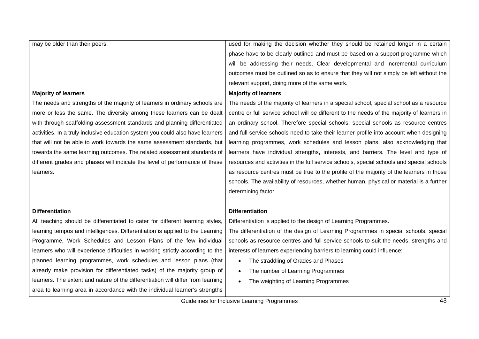| may be older than their peers.                                                   | used for making the decision whether they should be retained longer in a certain            |
|----------------------------------------------------------------------------------|---------------------------------------------------------------------------------------------|
|                                                                                  | phase have to be clearly outlined and must be based on a support programme which            |
|                                                                                  | will be addressing their needs. Clear developmental and incremental curriculum              |
|                                                                                  | outcomes must be outlined so as to ensure that they will not simply be left without the     |
|                                                                                  | relevant support, doing more of the same work.                                              |
| <b>Majority of learners</b>                                                      | <b>Majority of learners</b>                                                                 |
| The needs and strengths of the majority of learners in ordinary schools are      | The needs of the majority of learners in a special school, special school as a resource     |
| more or less the same. The diversity among these learners can be dealt           | centre or full service school will be different to the needs of the majority of learners in |
| with through scaffolding assessment standards and planning differentiated        | an ordinary school. Therefore special schools, special schools as resource centres          |
| activities. In a truly inclusive education system you could also have learners   | and full service schools need to take their learner profile into account when designing     |
| that will not be able to work towards the same assessment standards, but         | learning programmes, work schedules and lesson plans, also acknowledging that               |
| towards the same learning outcomes. The related assessment standards of          | learners have individual strengths, interests, and barriers. The level and type of          |
| different grades and phases will indicate the level of performance of these      | resources and activities in the full service schools, special schools and special schools   |
| learners.                                                                        | as resource centres must be true to the profile of the majority of the learners in those    |
|                                                                                  | schools. The availability of resources, whether human, physical or material is a further    |
|                                                                                  | determining factor.                                                                         |
|                                                                                  |                                                                                             |
| <b>Differentiation</b>                                                           | <b>Differentiation</b>                                                                      |
| All teaching should be differentiated to cater for different learning styles,    | Differentiation is applied to the design of Learning Programmes.                            |
| learning tempos and intelligences. Differentiation is applied to the Learning    | The differentiation of the design of Learning Programmes in special schools, special        |
| Programme, Work Schedules and Lesson Plans of the few individual                 | schools as resource centres and full service schools to suit the needs, strengths and       |
| learners who will experience difficulties in working strictly according to the   | interests of learners experiencing barriers to learning could influence:                    |
| planned learning programmes, work schedules and lesson plans (that               | The straddling of Grades and Phases<br>$\bullet$                                            |
| already make provision for differentiated tasks) of the majority group of        | The number of Learning Programmes<br>$\bullet$                                              |
| learners. The extent and nature of the differentiation will differ from learning | The weighting of Learning Programmes<br>$\bullet$                                           |
| area to learning area in accordance with the individual learner's strengths      |                                                                                             |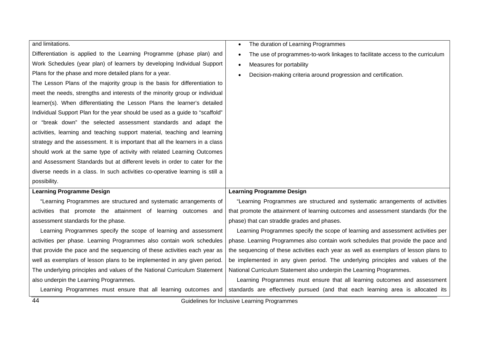| and limitations.                                                              | The duration of Learning Programmes<br>$\bullet$                                     |
|-------------------------------------------------------------------------------|--------------------------------------------------------------------------------------|
| Differentiation is applied to the Learning Programme (phase plan) and         | The use of programmes-to-work linkages to facilitate access to the curriculum        |
| Work Schedules (year plan) of learners by developing Individual Support       | Measures for portability                                                             |
| Plans for the phase and more detailed plans for a year.                       | Decision-making criteria around progression and certification.                       |
| The Lesson Plans of the majority group is the basis for differentiation to    |                                                                                      |
| meet the needs, strengths and interests of the minority group or individual   |                                                                                      |
| learner(s). When differentiating the Lesson Plans the learner's detailed      |                                                                                      |
| Individual Support Plan for the year should be used as a guide to "scaffold"  |                                                                                      |
| or "break down" the selected assessment standards and adapt the               |                                                                                      |
| activities, learning and teaching support material, teaching and learning     |                                                                                      |
| strategy and the assessment. It is important that all the learners in a class |                                                                                      |
| should work at the same type of activity with related Learning Outcomes       |                                                                                      |
| and Assessment Standards but at different levels in order to cater for the    |                                                                                      |
| diverse needs in a class. In such activities co-operative learning is still a |                                                                                      |
| possibility.                                                                  |                                                                                      |
| <b>Learning Programme Design</b>                                              | <b>Learning Programme Design</b>                                                     |
| "Learning Programmes are structured and systematic arrangements of            | "Learning Programmes are structured and systematic arrangements of activities        |
| activities that promote the attainment of learning outcomes and               | that promote the attainment of learning outcomes and assessment standards (for the   |
| assessment standards for the phase.                                           | phase) that can straddle grades and phases.                                          |
| Learning Programmes specify the scope of learning and assessment              | Learning Programmes specify the scope of learning and assessment activities per      |
| activities per phase. Learning Programmes also contain work schedules         | phase. Learning Programmes also contain work schedules that provide the pace and     |
| that provide the pace and the sequencing of these activities each year as     | the sequencing of these activities each year as well as exemplars of lesson plans to |
| well as exemplars of lesson plans to be implemented in any given period.      | be implemented in any given period. The underlying principles and values of the      |
| The underlying principles and values of the National Curriculum Statement     | National Curriculum Statement also underpin the Learning Programmes.                 |
| also underpin the Learning Programmes.                                        | Learning Programmes must ensure that all learning outcomes and assessment            |
| Learning Programmes must ensure that all learning outcomes and                | standards are effectively pursued (and that each learning area is allocated its      |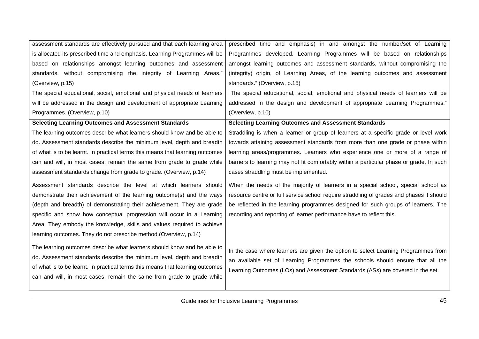| assessment standards are effectively pursued and that each learning area      | prescribed time and emphasis) in and amongst the number/set of Learning                  |
|-------------------------------------------------------------------------------|------------------------------------------------------------------------------------------|
| is allocated its prescribed time and emphasis. Learning Programmes will be    | Programmes developed. Learning Programmes will be based on relationships                 |
| based on relationships amongst learning outcomes and assessment               | amongst learning outcomes and assessment standards, without compromising the             |
| standards, without compromising the integrity of Learning Areas."             | (integrity) origin, of Learning Areas, of the learning outcomes and assessment           |
| (Overview, p.15)                                                              | standards." (Overview, p.15)                                                             |
| The special educational, social, emotional and physical needs of learners     | "The special educational, social, emotional and physical needs of learners will be       |
| will be addressed in the design and development of appropriate Learning       | addressed in the design and development of appropriate Learning Programmes."             |
| Programmes. (Overview, p.10)                                                  | (Overview, p.10)                                                                         |
| <b>Selecting Learning Outcomes and Assessment Standards</b>                   | <b>Selecting Learning Outcomes and Assessment Standards</b>                              |
| The learning outcomes describe what learners should know and be able to       | Straddling is when a learner or group of learners at a specific grade or level work      |
| do. Assessment standards describe the minimum level, depth and breadth        | towards attaining assessment standards from more than one grade or phase within          |
| of what is to be learnt. In practical terms this means that learning outcomes | learning areas/programmes. Learners who experience one or more of a range of             |
| can and will, in most cases, remain the same from grade to grade while        | barriers to learning may not fit comfortably within a particular phase or grade. In such |
| assessment standards change from grade to grade. (Overview, p.14)             | cases straddling must be implemented.                                                    |
| Assessment standards describe the level at which learners should              | When the needs of the majority of learners in a special school, special school as        |
| demonstrate their achievement of the learning outcome(s) and the ways         | resource centre or full service school require straddling of grades and phases it should |
| (depth and breadth) of demonstrating their achievement. They are grade        | be reflected in the learning programmes designed for such groups of learners. The        |
| specific and show how conceptual progression will occur in a Learning         | recording and reporting of learner performance have to reflect this.                     |
| Area. They embody the knowledge, skills and values required to achieve        |                                                                                          |
| learning outcomes. They do not prescribe method. (Overview, p.14)             |                                                                                          |
| The learning outcomes describe what learners should know and be able to       |                                                                                          |
| do. Assessment standards describe the minimum level, depth and breadth        | In the case where learners are given the option to select Learning Programmes from       |
| of what is to be learnt. In practical terms this means that learning outcomes | an available set of Learning Programmes the schools should ensure that all the           |
| can and will, in most cases, remain the same from grade to grade while        | Learning Outcomes (LOs) and Assessment Standards (ASs) are covered in the set.           |
|                                                                               |                                                                                          |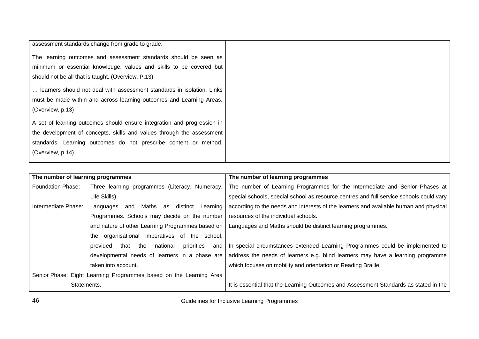| assessment standards change from grade to grade.                        |  |
|-------------------------------------------------------------------------|--|
| The learning outcomes and assessment standards should be seen as        |  |
| minimum or essential knowledge, values and skills to be covered but     |  |
| should not be all that is taught. (Overview. P.13)                      |  |
| learners should not deal with assessment standards in isolation. Links  |  |
| must be made within and across learning outcomes and Learning Areas.    |  |
| (Overview, p.13)                                                        |  |
| A set of learning outcomes should ensure integration and progression in |  |
| the development of concepts, skills and values through the assessment   |  |
| standards. Learning outcomes do not prescribe content or method.        |  |
| (Overview, p.14)                                                        |  |
|                                                                         |  |

| The number of learning programmes                                  |                                                          | The number of learning programmes                                                       |
|--------------------------------------------------------------------|----------------------------------------------------------|-----------------------------------------------------------------------------------------|
| Foundation Phase:                                                  | Three learning programmes (Literacy, Numeracy,           | The number of Learning Programmes for the Intermediate and Senior Phases at             |
|                                                                    | Life Skills)                                             | special schools, special school as resource centres and full service schools could vary |
| Intermediate Phase:                                                | Maths<br>distinct<br>Learning<br>as<br>Languages<br>and  | according to the needs and interests of the learners and available human and physical   |
|                                                                    | Programmes. Schools may decide on the number             | resources of the individual schools.                                                    |
|                                                                    | and nature of other Learning Programmes based on         | Languages and Maths should be distinct learning programmes.                             |
|                                                                    | the organisational imperatives of the school,            |                                                                                         |
|                                                                    | provided<br>the<br>national<br>priorities<br>that<br>and | In special circumstances extended Learning Programmes could be implemented to           |
| developmental needs of learners in a phase are                     |                                                          | address the needs of learners e.g. blind learners may have a learning programme         |
| taken into account.                                                |                                                          | which focuses on mobility and orientation or Reading Braille.                           |
| Senior Phase: Eight Learning Programmes based on the Learning Area |                                                          |                                                                                         |
| Statements.                                                        |                                                          | It is essential that the Learning Outcomes and Assessment Standards as stated in the    |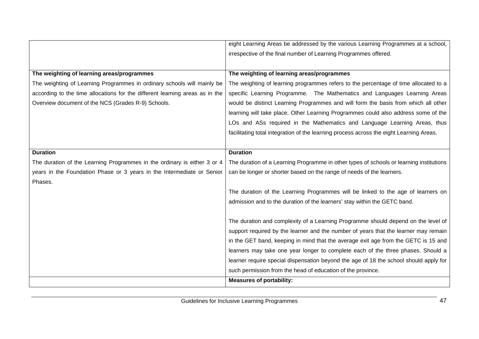|                                                                              | eight Learning Areas be addressed by the various Learning Programmes at a school,       |
|------------------------------------------------------------------------------|-----------------------------------------------------------------------------------------|
|                                                                              | irrespective of the final number of Learning Programmes offered.                        |
|                                                                              |                                                                                         |
| The weighting of learning areas/programmes                                   | The weighting of learning areas/programmes                                              |
| The weighting of Learning Programmes in ordinary schools will mainly be      | The weighting of learning programmes refers to the percentage of time allocated to a    |
| according to the time allocations for the different learning areas as in the | specific Learning Programme. The Mathematics and Languages Learning Areas               |
| Overview document of the NCS (Grades R-9) Schools.                           | would be distinct Learning Programmes and will form the basis from which all other      |
|                                                                              | learning will take place. Other Learning Programmes could also address some of the      |
|                                                                              | LOs and ASs required in the Mathematics and Language Learning Areas, thus               |
|                                                                              | facilitating total integration of the learning process across the eight Learning Areas. |
|                                                                              |                                                                                         |
| <b>Duration</b>                                                              | <b>Duration</b>                                                                         |
| The duration of the Learning Programmes in the ordinary is either 3 or 4     | The duration of a Learning Programme in other types of schools or learning institutions |
| years in the Foundation Phase or 3 years in the Intermediate or Senior       | can be longer or shorter based on the range of needs of the learners.                   |
| Phases.                                                                      |                                                                                         |
|                                                                              | The duration of the Learning Programmes will be linked to the age of learners on        |
|                                                                              | admission and to the duration of the learners' stay within the GETC band.               |
|                                                                              |                                                                                         |
|                                                                              | The duration and complexity of a Learning Programme should depend on the level of       |
|                                                                              | support required by the learner and the number of years that the learner may remain     |
|                                                                              | in the GET band, keeping in mind that the average exit age from the GETC is 15 and      |
|                                                                              | learners may take one year longer to complete each of the three phases. Should a        |
|                                                                              | learner require special dispensation beyond the age of 18 the school should apply for   |
|                                                                              | such permission from the head of education of the province.                             |
|                                                                              | <b>Measures of portability:</b>                                                         |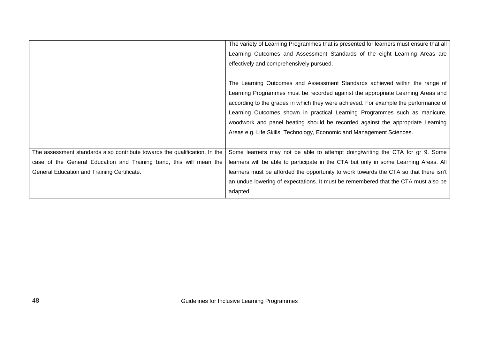|                                                                            | The variety of Learning Programmes that is presented for learners must ensure that all |
|----------------------------------------------------------------------------|----------------------------------------------------------------------------------------|
|                                                                            | Learning Outcomes and Assessment Standards of the eight Learning Areas are             |
|                                                                            | effectively and comprehensively pursued.                                               |
|                                                                            |                                                                                        |
|                                                                            | The Learning Outcomes and Assessment Standards achieved within the range of            |
|                                                                            | Learning Programmes must be recorded against the appropriate Learning Areas and        |
|                                                                            | according to the grades in which they were achieved. For example the performance of    |
|                                                                            | Learning Outcomes shown in practical Learning Programmes such as manicure,             |
|                                                                            | woodwork and panel beating should be recorded against the appropriate Learning         |
|                                                                            | Areas e.g. Life Skills, Technology, Economic and Management Sciences.                  |
|                                                                            |                                                                                        |
| The assessment standards also contribute towards the qualification. In the | Some learners may not be able to attempt doing/writing the CTA for gr 9. Some          |
| case of the General Education and Training band, this will mean the        | learners will be able to participate in the CTA but only in some Learning Areas. All   |
| General Education and Training Certificate.                                | learners must be afforded the opportunity to work towards the CTA so that there isn't  |
|                                                                            | an undue lowering of expectations. It must be remembered that the CTA must also be     |
|                                                                            | adapted.                                                                               |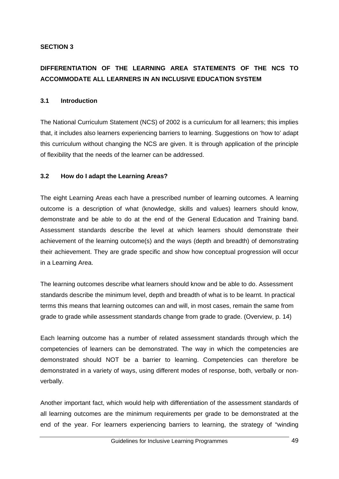## **SECTION 3**

# **DIFFERENTIATION OF THE LEARNING AREA STATEMENTS OF THE NCS TO ACCOMMODATE ALL LEARNERS IN AN INCLUSIVE EDUCATION SYSTEM**

### **3.1 Introduction**

The National Curriculum Statement (NCS) of 2002 is a curriculum for all learners; this implies that, it includes also learners experiencing barriers to learning. Suggestions on 'how to' adapt this curriculum without changing the NCS are given. It is through application of the principle of flexibility that the needs of the learner can be addressed.

#### **3.2 How do I adapt the Learning Areas?**

The eight Learning Areas each have a prescribed number of learning outcomes. A learning outcome is a description of what (knowledge, skills and values) learners should know, demonstrate and be able to do at the end of the General Education and Training band. Assessment standards describe the level at which learners should demonstrate their achievement of the learning outcome(s) and the ways (depth and breadth) of demonstrating their achievement. They are grade specific and show how conceptual progression will occur in a Learning Area.

The learning outcomes describe what learners should know and be able to do. Assessment standards describe the minimum level, depth and breadth of what is to be learnt. In practical terms this means that learning outcomes can and will, in most cases, remain the same from grade to grade while assessment standards change from grade to grade. (Overview, p. 14)

Each learning outcome has a number of related assessment standards through which the competencies of learners can be demonstrated. The way in which the competencies are demonstrated should NOT be a barrier to learning. Competencies can therefore be demonstrated in a variety of ways, using different modes of response, both, verbally or nonverbally.

Another important fact, which would help with differentiation of the assessment standards of all learning outcomes are the minimum requirements per grade to be demonstrated at the end of the year. For learners experiencing barriers to learning, the strategy of "winding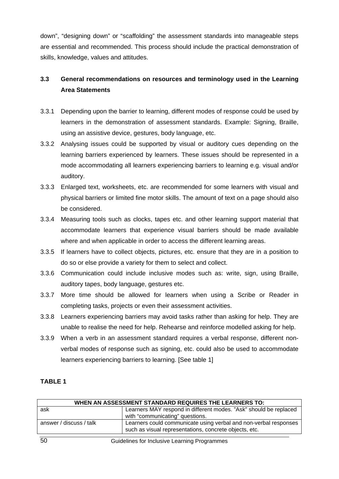down", "designing down" or "scaffolding" the assessment standards into manageable steps are essential and recommended. This process should include the practical demonstration of skills, knowledge, values and attitudes.

# **3.3 General recommendations on resources and terminology used in the Learning Area Statements**

- 3.3.1 Depending upon the barrier to learning, different modes of response could be used by learners in the demonstration of assessment standards. Example: Signing, Braille, using an assistive device, gestures, body language, etc.
- 3.3.2 Analysing issues could be supported by visual or auditory cues depending on the learning barriers experienced by learners. These issues should be represented in a mode accommodating all learners experiencing barriers to learning e.g. visual and/or auditory.
- 3.3.3 Enlarged text, worksheets, etc. are recommended for some learners with visual and physical barriers or limited fine motor skills. The amount of text on a page should also be considered.
- 3.3.4 Measuring tools such as clocks, tapes etc. and other learning support material that accommodate learners that experience visual barriers should be made available where and when applicable in order to access the different learning areas.
- 3.3.5 If learners have to collect objects, pictures, etc. ensure that they are in a position to do so or else provide a variety for them to select and collect.
- 3.3.6 Communication could include inclusive modes such as: write, sign, using Braille, auditory tapes, body language, gestures etc.
- 3.3.7 More time should be allowed for learners when using a Scribe or Reader in completing tasks, projects or even their assessment activities.
- 3.3.8 Learners experiencing barriers may avoid tasks rather than asking for help. They are unable to realise the need for help. Rehearse and reinforce modelled asking for help.
- 3.3.9 When a verb in an assessment standard requires a verbal response, different nonverbal modes of response such as signing, etc. could also be used to accommodate learners experiencing barriers to learning. [See table 1]

# **TABLE 1**

| WHEN AN ASSESSMENT STANDARD REQUIRES THE LEARNERS TO: |                                                                                                                            |  |
|-------------------------------------------------------|----------------------------------------------------------------------------------------------------------------------------|--|
| ask                                                   | Learners MAY respond in different modes. "Ask" should be replaced<br>with "communicating" questions.                       |  |
| answer / discuss / talk                               | Learners could communicate using verbal and non-verbal responses<br>such as visual representations, concrete objects, etc. |  |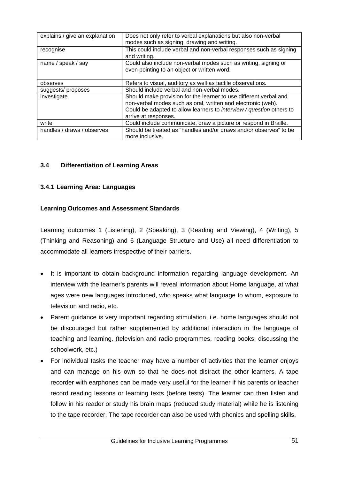| explains / give an explanation | Does not only refer to verbal explanations but also non-verbal<br>modes such as signing, drawing and writing.                                                                                                                     |
|--------------------------------|-----------------------------------------------------------------------------------------------------------------------------------------------------------------------------------------------------------------------------------|
| recognise                      | This could include verbal and non-verbal responses such as signing<br>and writing.                                                                                                                                                |
| name / speak / say             | Could also include non-verbal modes such as writing, signing or<br>even pointing to an object or written word.                                                                                                                    |
| observes                       | Refers to visual, auditory as well as tactile observations.                                                                                                                                                                       |
| suggests/proposes              | Should include verbal and non-verbal modes.                                                                                                                                                                                       |
| investigate                    | Should make provision for the learner to use different verbal and<br>non-verbal modes such as oral, written and electronic (web).<br>Could be adapted to allow learners to interview / question others to<br>arrive at responses. |
| write                          | Could include communicate, draw a picture or respond in Braille.                                                                                                                                                                  |
| handles / draws / observes     | Should be treated as "handles and/or draws and/or observes" to be<br>more inclusive.                                                                                                                                              |

## **3.4 Differentiation of Learning Areas**

## **3.4.1 Learning Area: Languages**

#### **Learning Outcomes and Assessment Standards**

Learning outcomes 1 (Listening), 2 (Speaking), 3 (Reading and Viewing), 4 (Writing), 5 (Thinking and Reasoning) and 6 (Language Structure and Use) all need differentiation to accommodate all learners irrespective of their barriers.

- It is important to obtain background information regarding language development. An interview with the learner's parents will reveal information about Home language, at what ages were new languages introduced, who speaks what language to whom, exposure to television and radio, etc.
- Parent guidance is very important regarding stimulation, i.e. home languages should not be discouraged but rather supplemented by additional interaction in the language of teaching and learning. (television and radio programmes, reading books, discussing the schoolwork, etc.)
- For individual tasks the teacher may have a number of activities that the learner enjoys and can manage on his own so that he does not distract the other learners. A tape recorder with earphones can be made very useful for the learner if his parents or teacher record reading lessons or learning texts (before tests). The learner can then listen and follow in his reader or study his brain maps (reduced study material) while he is listening to the tape recorder. The tape recorder can also be used with phonics and spelling skills.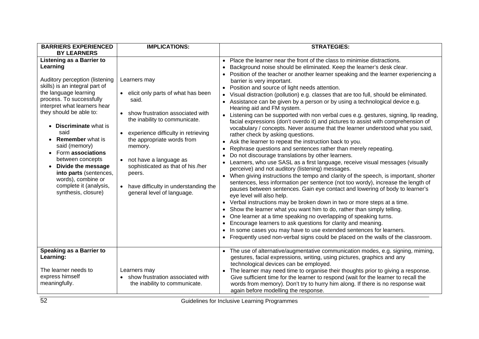| <b>BARRIERS EXPERIENCED</b>                                                                                                                                                                                                                                                                                                                                                                                                                                                                            | <b>IMPLICATIONS:</b>                                                                                                                                                                                                                                                                                                                                            | <b>STRATEGIES:</b>                                                                                                                                                                                                                                                                                                                                                                                                                                                                                                                                                                                                                                                                                                                                                                                                                                                                                                                                                                                                                                                                                                                                                                                                                                                                                                                                                                                                                                                                                                                                                                                                                                                                                                                                                                                                                                                                                                                                                                                                                                                                                  |
|--------------------------------------------------------------------------------------------------------------------------------------------------------------------------------------------------------------------------------------------------------------------------------------------------------------------------------------------------------------------------------------------------------------------------------------------------------------------------------------------------------|-----------------------------------------------------------------------------------------------------------------------------------------------------------------------------------------------------------------------------------------------------------------------------------------------------------------------------------------------------------------|-----------------------------------------------------------------------------------------------------------------------------------------------------------------------------------------------------------------------------------------------------------------------------------------------------------------------------------------------------------------------------------------------------------------------------------------------------------------------------------------------------------------------------------------------------------------------------------------------------------------------------------------------------------------------------------------------------------------------------------------------------------------------------------------------------------------------------------------------------------------------------------------------------------------------------------------------------------------------------------------------------------------------------------------------------------------------------------------------------------------------------------------------------------------------------------------------------------------------------------------------------------------------------------------------------------------------------------------------------------------------------------------------------------------------------------------------------------------------------------------------------------------------------------------------------------------------------------------------------------------------------------------------------------------------------------------------------------------------------------------------------------------------------------------------------------------------------------------------------------------------------------------------------------------------------------------------------------------------------------------------------------------------------------------------------------------------------------------------------|
| <b>BY LEARNERS</b><br><b>Listening as a Barrier to</b><br>Learning<br>Auditory perception (listening<br>skills) is an integral part of<br>the language learning<br>process. To successfully<br>interpret what learners hear<br>they should be able to:<br>• Discriminate what is<br>said<br><b>Remember</b> what is<br>said (memory)<br>• Form associations<br>between concepts<br>Divide the message<br>into parts (sentences,<br>words), combine or<br>complete it (analysis,<br>synthesis, closure) | Learners may<br>elicit only parts of what has been<br>said.<br>show frustration associated with<br>the inability to communicate.<br>experience difficulty in retrieving<br>the appropriate words from<br>memory.<br>not have a language as<br>sophisticated as that of his /her<br>peers.<br>have difficulty in understanding the<br>general level of language. | • Place the learner near the front of the class to minimise distractions.<br>Background noise should be eliminated. Keep the learner's desk clear.<br>$\bullet$<br>Position of the teacher or another learner speaking and the learner experiencing a<br>$\bullet$<br>barrier is very important.<br>Position and source of light needs attention.<br>$\bullet$<br>Visual distraction (pollution) e.g. classes that are too full, should be eliminated.<br>$\bullet$<br>Assistance can be given by a person or by using a technological device e.g.<br>$\bullet$<br>Hearing aid and FM system.<br>Listening can be supported with non verbal cues e.g. gestures, signing, lip reading,<br>$\bullet$<br>facial expressions (don't overdo it) and pictures to assist with comprehension of<br>vocabulary / concepts. Never assume that the learner understood what you said,<br>rather check by asking questions.<br>Ask the learner to repeat the instruction back to you.<br>$\bullet$<br>Rephrase questions and sentences rather than merely repeating.<br>$\bullet$<br>Do not discourage translations by other learners.<br>$\bullet$<br>Learners, who use SASL as a first language, receive visual messages (visually<br>$\bullet$<br>perceive) and not auditory (listening) messages.<br>When giving instructions the tempo and clarity of the speech, is important, shorter<br>$\bullet$<br>sentences, less information per sentence (not too wordy), increase the length of<br>pauses between sentences. Gain eye contact and lowering of body to learner's<br>eye level will also help.<br>• Verbal instructions may be broken down in two or more steps at a time.<br>Show the learner what you want him to do, rather than simply telling.<br>$\bullet$<br>One learner at a time speaking no overlapping of speaking turns.<br>$\bullet$<br>Encourage learners to ask questions for clarity and meaning.<br>$\bullet$<br>In some cases you may have to use extended sentences for learners.<br>$\bullet$<br>Frequently used non-verbal signs could be placed on the walls of the classroom. |
| <b>Speaking as a Barrier to</b><br>Learning:<br>The learner needs to<br>express himself<br>meaningfully.                                                                                                                                                                                                                                                                                                                                                                                               | Learners may<br>show frustration associated with<br>the inability to communicate.                                                                                                                                                                                                                                                                               | The use of alternative/augmentative communication modes, e.g. signing, miming,<br>$\bullet$<br>gestures, facial expressions, writing, using pictures, graphics and any<br>technological devices can be employed.<br>The learner may need time to organise their thoughts prior to giving a response.<br>Give sufficient time for the learner to respond (wait for the learner to recall the<br>words from memory). Don't try to hurry him along. If there is no response wait<br>again before modelling the response.                                                                                                                                                                                                                                                                                                                                                                                                                                                                                                                                                                                                                                                                                                                                                                                                                                                                                                                                                                                                                                                                                                                                                                                                                                                                                                                                                                                                                                                                                                                                                                               |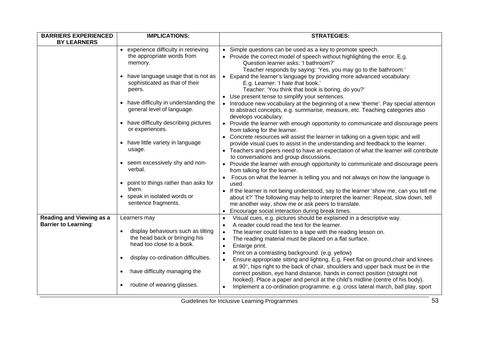| <b>BARRIERS EXPERIENCED</b>                                    | <b>IMPLICATIONS:</b>                                                             | <b>STRATEGIES:</b>                                                                                                                                                                                                                                                                                    |
|----------------------------------------------------------------|----------------------------------------------------------------------------------|-------------------------------------------------------------------------------------------------------------------------------------------------------------------------------------------------------------------------------------------------------------------------------------------------------|
| <b>BY LEARNERS</b>                                             |                                                                                  |                                                                                                                                                                                                                                                                                                       |
|                                                                | experience difficulty in retrieving<br>the appropriate words from<br>memory.     | • Simple questions can be used as a key to promote speech.<br>• Provide the correct model of speech without highlighting the error. E.g.<br>Question learner asks: 'I bathroom?'<br>Teacher responds by saying: 'Yes, you may go to the bathroom.'                                                    |
|                                                                | • have language usage that is not as<br>sophisticated as that of their<br>peers. | Expand the learner's language by providing more advanced vocabulary:<br>$\bullet$<br>E.g. Learner: 'I hate that book.'<br>Teacher: 'You think that book is boring, do you?'                                                                                                                           |
|                                                                | have difficulty in understanding the<br>$\bullet$<br>general level of language.  | • Use present tense to simplify your sentences.<br>• Introduce new vocabulary at the beginning of a new 'theme'. Pay special attention<br>to abstract concepts, e.g. summarise, measure, etc. Teaching categories also<br>develops vocabulary.                                                        |
|                                                                | have difficulty describing pictures<br>or experiences.                           | Provide the learner with enough opportunity to communicate and discourage peers<br>from talking for the learner.                                                                                                                                                                                      |
|                                                                | have little variety in language<br>$\bullet$<br>usage.                           | • Concrete resources will assist the learner in talking on a given topic and will<br>provide visual cues to assist in the understanding and feedback to the learner.<br>Teachers and peers need to have an expectation of what the learner will contribute<br>to conversations and group discussions. |
|                                                                | seem excessively shy and non-<br>verbal.                                         | Provide the learner with enough opportunity to communicate and discourage peers<br>$\bullet$<br>from talking for the learner.                                                                                                                                                                         |
|                                                                | • point to things rather than asks for<br>them.                                  | Focus on what the learner is telling you and not always on how the language is<br>$\bullet$<br>used.<br>• If the learner is not being understood, say to the learner 'show me, can you tell me                                                                                                        |
|                                                                | • speak in isolated words or<br>sentence fragments.                              | about it?' The following may help to interpret the learner: Repeat, slow down, tell<br>me another way, show me or ask peers to translate.                                                                                                                                                             |
|                                                                |                                                                                  | Encourage social interaction during break times.<br>$\bullet$                                                                                                                                                                                                                                         |
| <b>Reading and Viewing as a</b><br><b>Barrier to Learning:</b> | Learners may<br>display behaviours such as tilting                               | Visual cues, e.g. pictures should be explained in a descriptive way.<br>$\bullet$<br>A reader could read the text for the learner.<br>$\bullet$                                                                                                                                                       |
|                                                                | the head back or bringing his<br>head too close to a book.                       | The learner could listen to a tape with the reading lesson on.<br>$\bullet$<br>The reading material must be placed on a flat surface.<br>$\bullet$<br>Enlarge print.<br>$\bullet$                                                                                                                     |
|                                                                | display co-ordination difficulties.<br>$\bullet$                                 | Print on a contrasting background. (e.g. yellow)<br>$\bullet$<br>Ensure appropriate sitting and lighting. E.g. Feet flat on ground, chair and knees<br>$\bullet$<br>at 90°, hips right to the back of chair, shoulders and upper back must be in the                                                  |
|                                                                | have difficulty managing the                                                     | correct position, eye hand distance, hands in correct position (straight not<br>hooked). Place a paper and pencil at the child's midline (centre of his body).                                                                                                                                        |
|                                                                | routine of wearing glasses.                                                      | Implement a co-ordination programme. e.g. cross lateral march, ball play, sport<br>$\bullet$                                                                                                                                                                                                          |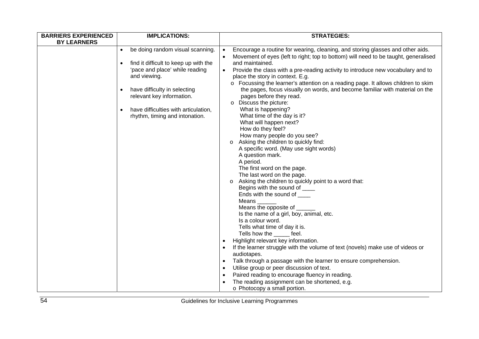| <b>BARRIERS EXPERIENCED</b> | <b>IMPLICATIONS:</b>                                                                                                                                                                                                                                                                                      | <b>STRATEGIES:</b>                                                                                                                                                                                                                                                                                                                                                                                                                                                                                                                                                                                                                                                                                                                                                                                                                                                                                                                                                                                                                                                                                                                                                                                                                                                                                                                                                                                                                                                                                                                                                                              |
|-----------------------------|-----------------------------------------------------------------------------------------------------------------------------------------------------------------------------------------------------------------------------------------------------------------------------------------------------------|-------------------------------------------------------------------------------------------------------------------------------------------------------------------------------------------------------------------------------------------------------------------------------------------------------------------------------------------------------------------------------------------------------------------------------------------------------------------------------------------------------------------------------------------------------------------------------------------------------------------------------------------------------------------------------------------------------------------------------------------------------------------------------------------------------------------------------------------------------------------------------------------------------------------------------------------------------------------------------------------------------------------------------------------------------------------------------------------------------------------------------------------------------------------------------------------------------------------------------------------------------------------------------------------------------------------------------------------------------------------------------------------------------------------------------------------------------------------------------------------------------------------------------------------------------------------------------------------------|
| <b>BY LEARNERS</b>          |                                                                                                                                                                                                                                                                                                           |                                                                                                                                                                                                                                                                                                                                                                                                                                                                                                                                                                                                                                                                                                                                                                                                                                                                                                                                                                                                                                                                                                                                                                                                                                                                                                                                                                                                                                                                                                                                                                                                 |
|                             | be doing random visual scanning.<br>$\bullet$<br>find it difficult to keep up with the<br>'pace and place' while reading<br>and viewing.<br>have difficulty in selecting<br>$\bullet$<br>relevant key information.<br>have difficulties with articulation,<br>$\bullet$<br>rhythm, timing and intonation. | Encourage a routine for wearing, cleaning, and storing glasses and other aids.<br>$\bullet$<br>Movement of eyes (left to right; top to bottom) will need to be taught, generalised<br>and maintained.<br>Provide the class with a pre-reading activity to introduce new vocabulary and to<br>$\bullet$<br>place the story in context. E.g.<br>o Focussing the learner's attention on a reading page. It allows children to skim<br>the pages, focus visually on words, and become familiar with material on the<br>pages before they read.<br>o Discuss the picture:<br>What is happening?<br>What time of the day is it?<br>What will happen next?<br>How do they feel?<br>How many people do you see?<br>Asking the children to quickly find:<br>A specific word. (May use sight words)<br>A question mark.<br>A period.<br>The first word on the page.<br>The last word on the page.<br>Asking the children to quickly point to a word that:<br>Begins with the sound of _____<br>Ends with the sound of ____<br>Means<br>Means the opposite of __<br>Is the name of a girl, boy, animal, etc.<br>Is a colour word.<br>Tells what time of day it is.<br>Tells how the feel.<br>Highlight relevant key information.<br>$\bullet$<br>If the learner struggle with the volume of text (novels) make use of videos or<br>audiotapes.<br>Talk through a passage with the learner to ensure comprehension.<br>$\bullet$<br>Utilise group or peer discussion of text.<br>$\bullet$<br>Paired reading to encourage fluency in reading.<br>$\bullet$<br>The reading assignment can be shortened, e.g. |
|                             |                                                                                                                                                                                                                                                                                                           | o Photocopy a small portion.                                                                                                                                                                                                                                                                                                                                                                                                                                                                                                                                                                                                                                                                                                                                                                                                                                                                                                                                                                                                                                                                                                                                                                                                                                                                                                                                                                                                                                                                                                                                                                    |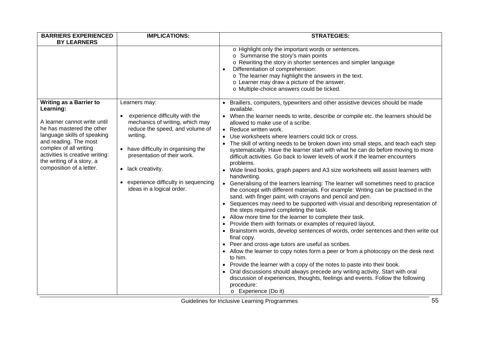| <b>BARRIERS EXPERIENCED</b>                                                                                                                                                                                                                                                            | <b>IMPLICATIONS:</b>                                                                                                                                                                                                                                                                                | <b>STRATEGIES:</b>                                                                                                                                                                                                                                                                                                                                                                                                                                                                                                                                                                                                                                                                                                                                                                                                                                                                                                                                                                                                                                                                                                                                                                                                                                                                                                                                                                                                                                                                                                                                                                                                                                                                                                                                     |
|----------------------------------------------------------------------------------------------------------------------------------------------------------------------------------------------------------------------------------------------------------------------------------------|-----------------------------------------------------------------------------------------------------------------------------------------------------------------------------------------------------------------------------------------------------------------------------------------------------|--------------------------------------------------------------------------------------------------------------------------------------------------------------------------------------------------------------------------------------------------------------------------------------------------------------------------------------------------------------------------------------------------------------------------------------------------------------------------------------------------------------------------------------------------------------------------------------------------------------------------------------------------------------------------------------------------------------------------------------------------------------------------------------------------------------------------------------------------------------------------------------------------------------------------------------------------------------------------------------------------------------------------------------------------------------------------------------------------------------------------------------------------------------------------------------------------------------------------------------------------------------------------------------------------------------------------------------------------------------------------------------------------------------------------------------------------------------------------------------------------------------------------------------------------------------------------------------------------------------------------------------------------------------------------------------------------------------------------------------------------------|
| <b>BY LEARNERS</b>                                                                                                                                                                                                                                                                     |                                                                                                                                                                                                                                                                                                     | o Highlight only the important words or sentences.<br>o Summarise the story's main points<br>o Rewriting the story in shorter sentences and simpler language<br>Differentiation of comprehension:<br>o The learner may highlight the answers in the text.<br>o Learner may draw a picture of the answer.<br>o Multiple-choice answers could be ticked.                                                                                                                                                                                                                                                                                                                                                                                                                                                                                                                                                                                                                                                                                                                                                                                                                                                                                                                                                                                                                                                                                                                                                                                                                                                                                                                                                                                                 |
| <b>Writing as a Barrier to</b><br>Learning:<br>A learner cannot write until<br>he has mastered the other<br>language skills of speaking<br>and reading. The most<br>complex of all writing<br>activities is creative writing:<br>the writing of a story, a<br>composition of a letter. | Learners may:<br>experience difficulty with the<br>mechanics of writing, which may<br>reduce the speed, and volume of<br>writing.<br>• have difficulty in organising the<br>presentation of their work.<br>• lack creativity.<br>• experience difficulty in sequencing<br>ideas in a logical order. | Braillers, computers, typewriters and other assistive devices should be made<br>available.<br>• When the learner needs to write, describe or compile etc. the learners should be<br>allowed to make use of a scribe.<br>Reduce written work.<br>$\bullet$<br>Use worksheets where learners could tick or cross.<br>$\bullet$<br>The skill of writing needs to be broken down into small steps, and teach each step<br>systematically. Have the learner start with what he can do before moving to more<br>difficult activities. Go back to lower levels of work if the learner encounters<br>problems.<br>Wide lined books, graph papers and A3 size worksheets will assist learners with<br>handwriting.<br>Generalising of the learners learning: The learner will sometimes need to practice<br>the concept with different materials. For example: Writing can be practised in the<br>sand, with finger paint, with crayons and pencil and pen.<br>Sequences may need to be supported with visual and describing representation of<br>the steps required completing the task.<br>• Allow more time for the learner to complete their task.<br>Provide them with formats or examples of required layout.<br>Brainstorm words, develop sentences of words, order sentences and then write out<br>final copy.<br>• Peer and cross-age tutors are useful as scribes.<br>• Allow the learner to copy notes form a peer or from a photocopy on the desk next<br>to him.<br>Provide the learner with a copy of the notes to paste into their book.<br>Oral discussions should always precede any writing activity. Start with oral<br>discussion of experiences, thoughts, feelings and events. Follow the following<br>procedure:<br>o Experience (Do it) |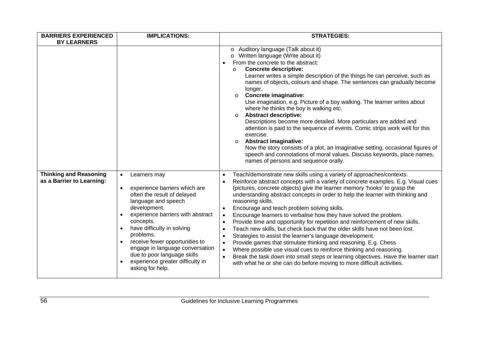| <b>BARRIERS EXPERIENCED</b>                                | <b>IMPLICATIONS:</b>                                                                                                                                                                                                                                                                                                                                                                                                                                       | <b>STRATEGIES:</b>                                                                                                                                                                                                                                                                                                                                                                                                                                                                                                                                                                                                                                                                                                                                                                                                                                                                                                                                                                                                                                                                                                                       |
|------------------------------------------------------------|------------------------------------------------------------------------------------------------------------------------------------------------------------------------------------------------------------------------------------------------------------------------------------------------------------------------------------------------------------------------------------------------------------------------------------------------------------|------------------------------------------------------------------------------------------------------------------------------------------------------------------------------------------------------------------------------------------------------------------------------------------------------------------------------------------------------------------------------------------------------------------------------------------------------------------------------------------------------------------------------------------------------------------------------------------------------------------------------------------------------------------------------------------------------------------------------------------------------------------------------------------------------------------------------------------------------------------------------------------------------------------------------------------------------------------------------------------------------------------------------------------------------------------------------------------------------------------------------------------|
| <b>BY LEARNERS</b>                                         |                                                                                                                                                                                                                                                                                                                                                                                                                                                            |                                                                                                                                                                                                                                                                                                                                                                                                                                                                                                                                                                                                                                                                                                                                                                                                                                                                                                                                                                                                                                                                                                                                          |
|                                                            |                                                                                                                                                                                                                                                                                                                                                                                                                                                            | Auditory language (Talk about it)<br>$\circ$<br>Written language (Write about it)<br>$\circ$<br>From the concrete to the abstract:<br><b>Concrete descriptive:</b><br>$\circ$<br>Learner writes a simple description of the things he can perceive, such as<br>names of objects, colours and shape. The sentences can gradually become<br>longer.<br><b>Concrete imaginative:</b><br>$\circ$<br>Use imagination, e.g. Picture of a boy walking. The learner writes about<br>where he thinks the boy is walking etc.<br><b>Abstract descriptive:</b><br>$\circ$<br>Descriptions become more detailed. More particulars are added and<br>attention is paid to the sequence of events. Comic strips work well for this<br>exercise.<br><b>Abstract imaginative:</b><br>$\circ$<br>Now the story consists of a plot, an imaginative setting, occasional figures of<br>speech and connotations of moral values. Discuss keywords, place names,<br>names of persons and sequence orally.                                                                                                                                                       |
| <b>Thinking and Reasoning</b><br>as a Barrier to Learning: | Learners may<br>$\bullet$<br>experience barriers which are<br>$\bullet$<br>often the result of delayed<br>language and speech<br>development.<br>experience barriers with abstract<br>$\bullet$<br>concepts.<br>have difficulty in solving<br>$\bullet$<br>problems.<br>receive fewer opportunities to<br>$\bullet$<br>engage in language conversation<br>due to poor language skills<br>experience greater difficulty in<br>$\bullet$<br>asking for help. | Teach/demonstrate new skills using a variety of approaches/contexts.<br>$\bullet$<br>Reinforce abstract concepts with a variety of concrete examples. E.g. Visual cues<br>$\bullet$<br>(pictures, concrete objects) give the learner memory 'hooks' to grasp the<br>understanding abstract concepts in order to help the learner with thinking and<br>reasoning skills.<br>Encourage and teach problem solving skills.<br>$\bullet$<br>Encourage learners to verbalise how they have solved the problem.<br>$\bullet$<br>Provide time and opportunity for repetition and reinforcement of new skills.<br>$\bullet$<br>Teach new skills, but check back that the older skills have not been lost.<br>$\bullet$<br>Strategies to assist the learner's language development.<br>$\bullet$<br>Provide games that stimulate thinking and reasoning. E.g. Chess<br>$\bullet$<br>Where possible use visual cues to reinforce thinking and reasoning.<br>$\bullet$<br>Break the task down into small steps or learning objectives. Have the learner start<br>$\bullet$<br>with what he or she can do before moving to more difficult activities. |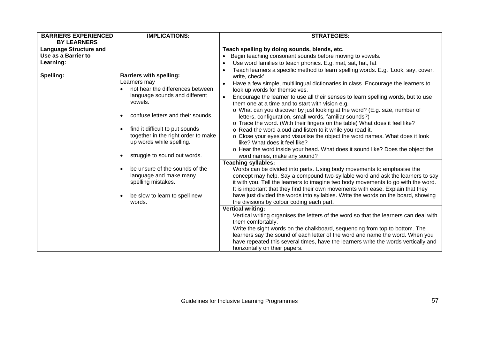| <b>BARRIERS EXPERIENCED</b>   | <b>IMPLICATIONS:</b>                           | <b>STRATEGIES:</b>                                                                                                                    |
|-------------------------------|------------------------------------------------|---------------------------------------------------------------------------------------------------------------------------------------|
| <b>BY LEARNERS</b>            |                                                |                                                                                                                                       |
| <b>Language Structure and</b> |                                                | Teach spelling by doing sounds, blends, etc.                                                                                          |
| Use as a Barrier to           |                                                | Begin teaching consonant sounds before moving to vowels.<br>$\bullet$                                                                 |
| Learning:                     |                                                | Use word families to teach phonics. E.g. mat, sat, hat, fat<br>$\bullet$                                                              |
| Spelling:                     | <b>Barriers with spelling:</b>                 | Teach learners a specific method to learn spelling words. E.g. 'Look, say, cover,<br>$\bullet$<br>write, check'                       |
|                               | Learners may                                   |                                                                                                                                       |
|                               | not hear the differences between               | Have a few simple, multilingual dictionaries in class. Encourage the learners to<br>$\bullet$<br>look up words for themselves.        |
|                               | language sounds and different<br>vowels.       | Encourage the learner to use all their senses to learn spelling words, but to use<br>them one at a time and to start with vision e.g. |
|                               | confuse letters and their sounds.<br>$\bullet$ | o What can you discover by just looking at the word? (E.g. size, number of<br>letters, configuration, small words, familiar sounds?)  |
|                               |                                                | o Trace the word. (With their fingers on the table) What does it feel like?                                                           |
|                               | find it difficult to put sounds                | o Read the word aloud and listen to it while you read it.                                                                             |
|                               | together in the right order to make            | o Close your eyes and visualise the object the word names. What does it look                                                          |
|                               | up words while spelling.                       | like? What does it feel like?                                                                                                         |
|                               |                                                | o Hear the word inside your head. What does it sound like? Does the object the                                                        |
|                               | struggle to sound out words.<br>$\bullet$      | word names, make any sound?                                                                                                           |
|                               |                                                | <b>Teaching syllables:</b>                                                                                                            |
|                               | be unsure of the sounds of the                 | Words can be divided into parts. Using body movements to emphasise the                                                                |
|                               | language and make many                         | concept may help. Say a compound two-syllable word and ask the learners to say                                                        |
|                               | spelling mistakes.                             | it with you. Tell the learners to imagine two body movements to go with the word.                                                     |
|                               |                                                | It is important that they find their own movements with ease. Explain that they                                                       |
|                               | be slow to learn to spell new                  | have just divided the words into syllables. Write the words on the board, showing                                                     |
|                               | words.                                         | the divisions by colour coding each part.                                                                                             |
|                               |                                                | <b>Vertical writing:</b>                                                                                                              |
|                               |                                                | Vertical writing organises the letters of the word so that the learners can deal with<br>them comfortably.                            |
|                               |                                                | Write the sight words on the chalkboard, sequencing from top to bottom. The                                                           |
|                               |                                                | learners say the sound of each letter of the word and name the word. When you                                                         |
|                               |                                                | have repeated this several times, have the learners write the words vertically and                                                    |
|                               |                                                | horizontally on their papers.                                                                                                         |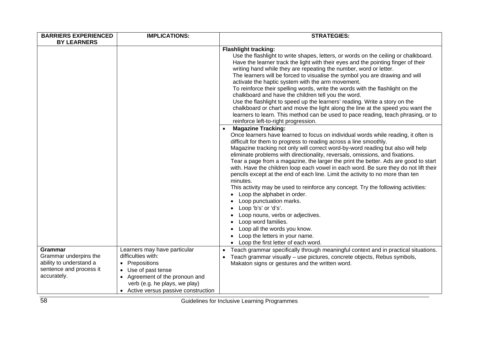| <b>BARRIERS EXPERIENCED</b>                                                                           | <b>IMPLICATIONS:</b>                                                                                                                                                                                   | <b>STRATEGIES:</b>                                                                                                                                                                                                                                                                                                                                                                                                                                                                                                                                                                                                                                                                                                                                                                                                                                                                                                                                                              |
|-------------------------------------------------------------------------------------------------------|--------------------------------------------------------------------------------------------------------------------------------------------------------------------------------------------------------|---------------------------------------------------------------------------------------------------------------------------------------------------------------------------------------------------------------------------------------------------------------------------------------------------------------------------------------------------------------------------------------------------------------------------------------------------------------------------------------------------------------------------------------------------------------------------------------------------------------------------------------------------------------------------------------------------------------------------------------------------------------------------------------------------------------------------------------------------------------------------------------------------------------------------------------------------------------------------------|
| <b>BY LEARNERS</b>                                                                                    |                                                                                                                                                                                                        |                                                                                                                                                                                                                                                                                                                                                                                                                                                                                                                                                                                                                                                                                                                                                                                                                                                                                                                                                                                 |
|                                                                                                       |                                                                                                                                                                                                        | <b>Flashlight tracking:</b><br>Use the flashlight to write shapes, letters, or words on the ceiling or chalkboard.<br>Have the learner track the light with their eyes and the pointing finger of their<br>writing hand while they are repeating the number, word or letter.<br>The learners will be forced to visualise the symbol you are drawing and will<br>activate the haptic system with the arm movement.<br>To reinforce their spelling words, write the words with the flashlight on the<br>chalkboard and have the children tell you the word.<br>Use the flashlight to speed up the learners' reading. Write a story on the<br>chalkboard or chart and move the light along the line at the speed you want the<br>learners to learn. This method can be used to pace reading, teach phrasing, or to<br>reinforce left-to-right progression.                                                                                                                         |
|                                                                                                       |                                                                                                                                                                                                        | <b>Magazine Tracking:</b><br>Once learners have learned to focus on individual words while reading, it often is<br>difficult for them to progress to reading across a line smoothly.<br>Magazine tracking not only will correct word-by-word reading but also will help<br>eliminate problems with directionality, reversals, omissions, and fixations.<br>Tear a page from a magazine, the larger the print the better. Ads are good to start<br>with. Have the children loop each vowel in each word. Be sure they do not lift their<br>pencils except at the end of each line. Limit the activity to no more than ten<br>minutes.<br>This activity may be used to reinforce any concept. Try the following activities:<br>Loop the alphabet in order.<br>Loop punctuation marks.<br>Loop 'b's' or 'd's'.<br>Loop nouns, verbs or adjectives.<br>Loop word families.<br>Loop all the words you know.<br>Loop the letters in your name.<br>Loop the first letter of each word. |
| Grammar<br>Grammar underpins the<br>ability to understand a<br>sentence and process it<br>accurately. | Learners may have particular<br>difficulties with:<br>• Prepositions<br>• Use of past tense<br>• Agreement of the pronoun and<br>verb (e.g. he plays, we play)<br>• Active versus passive construction | Teach grammar specifically through meaningful context and in practical situations.<br>$\bullet$<br>Teach grammar visually - use pictures, concrete objects, Rebus symbols,<br>Makaton signs or gestures and the written word.                                                                                                                                                                                                                                                                                                                                                                                                                                                                                                                                                                                                                                                                                                                                                   |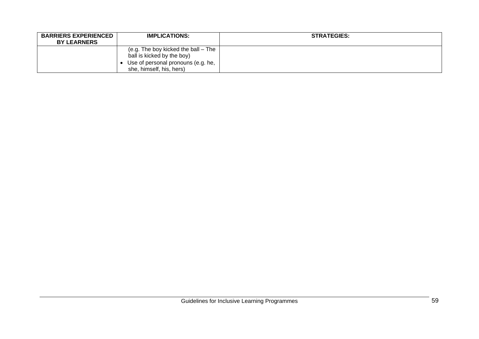| <b>BARRIERS EXPERIENCED</b><br><b>BY LEARNERS</b> | <b>IMPLICATIONS:</b>                                                                                                                  | <b>STRATEGIES:</b> |
|---------------------------------------------------|---------------------------------------------------------------------------------------------------------------------------------------|--------------------|
|                                                   | (e.g. The boy kicked the ball $-$ The<br>ball is kicked by the boy)<br>Use of personal pronouns (e.g. he,<br>she, himself, his, hers) |                    |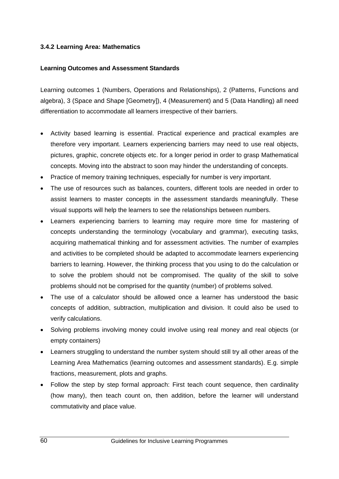## **3.4.2 Learning Area: Mathematics**

### **Learning Outcomes and Assessment Standards**

Learning outcomes 1 (Numbers, Operations and Relationships), 2 (Patterns, Functions and algebra), 3 (Space and Shape [Geometry]), 4 (Measurement) and 5 (Data Handling) all need differentiation to accommodate all learners irrespective of their barriers.

- Activity based learning is essential. Practical experience and practical examples are therefore very important. Learners experiencing barriers may need to use real objects, pictures, graphic, concrete objects etc. for a longer period in order to grasp Mathematical concepts. Moving into the abstract to soon may hinder the understanding of concepts.
- Practice of memory training techniques, especially for number is very important.
- The use of resources such as balances, counters, different tools are needed in order to assist learners to master concepts in the assessment standards meaningfully. These visual supports will help the learners to see the relationships between numbers.
- Learners experiencing barriers to learning may require more time for mastering of concepts understanding the terminology (vocabulary and grammar), executing tasks, acquiring mathematical thinking and for assessment activities. The number of examples and activities to be completed should be adapted to accommodate learners experiencing barriers to learning. However, the thinking process that you using to do the calculation or to solve the problem should not be compromised. The quality of the skill to solve problems should not be comprised for the quantity (number) of problems solved.
- The use of a calculator should be allowed once a learner has understood the basic concepts of addition, subtraction, multiplication and division. It could also be used to verify calculations.
- Solving problems involving money could involve using real money and real objects (or empty containers)
- Learners struggling to understand the number system should still try all other areas of the Learning Area Mathematics (learning outcomes and assessment standards). E.g. simple fractions, measurement, plots and graphs.
- Follow the step by step formal approach: First teach count sequence, then cardinality (how many), then teach count on, then addition, before the learner will understand commutativity and place value.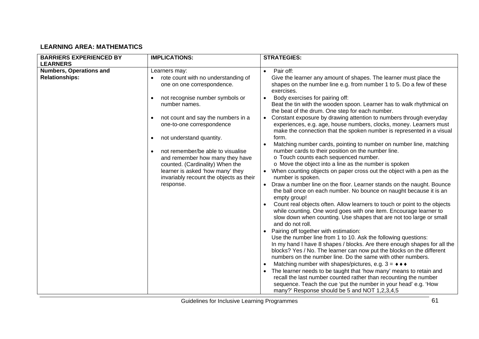#### **LEARNING AREA: MATHEMATICS**

| <b>BARRIERS EXPERIENCED BY</b>                                             | <b>IMPLICATIONS:</b>                                                                                                                                                                                                                                                                                                                                                                                                                                                   | <b>STRATEGIES:</b>                                                                                                                                                                                                                                                                                                                                                                                                                                                                                                                                                                                                                                                                                                                                                                                                                                                                                                                                                                                                                                                                                                                                                                                                                                                                                                                               |
|----------------------------------------------------------------------------|------------------------------------------------------------------------------------------------------------------------------------------------------------------------------------------------------------------------------------------------------------------------------------------------------------------------------------------------------------------------------------------------------------------------------------------------------------------------|--------------------------------------------------------------------------------------------------------------------------------------------------------------------------------------------------------------------------------------------------------------------------------------------------------------------------------------------------------------------------------------------------------------------------------------------------------------------------------------------------------------------------------------------------------------------------------------------------------------------------------------------------------------------------------------------------------------------------------------------------------------------------------------------------------------------------------------------------------------------------------------------------------------------------------------------------------------------------------------------------------------------------------------------------------------------------------------------------------------------------------------------------------------------------------------------------------------------------------------------------------------------------------------------------------------------------------------------------|
|                                                                            |                                                                                                                                                                                                                                                                                                                                                                                                                                                                        |                                                                                                                                                                                                                                                                                                                                                                                                                                                                                                                                                                                                                                                                                                                                                                                                                                                                                                                                                                                                                                                                                                                                                                                                                                                                                                                                                  |
| <b>LEARNERS</b><br><b>Numbers, Operations and</b><br><b>Relationships:</b> | Learners may:<br>rote count with no understanding of<br>one on one correspondence.<br>not recognise number symbols or<br>number names.<br>not count and say the numbers in a<br>one-to-one correspondence<br>not understand quantity.<br>$\bullet$<br>not remember/be able to visualise<br>$\bullet$<br>and remember how many they have<br>counted. (Cardinality) When the<br>learner is asked 'how many' they<br>invariably recount the objects as their<br>response. | Pair off:<br>$\bullet$<br>Give the learner any amount of shapes. The learner must place the<br>shapes on the number line e.g. from number 1 to 5. Do a few of these<br>exercises.<br>Body exercises for pairing off:<br>$\bullet$<br>Beat the tin with the wooden spoon. Learner has to walk rhythmical on<br>the beat of the drum. One step for each number.<br>Constant exposure by drawing attention to numbers through everyday<br>$\bullet$<br>experiences, e.g. age, house numbers, clocks, money. Learners must<br>make the connection that the spoken number is represented in a visual<br>form.<br>Matching number cards, pointing to number on number line, matching<br>number cards to their position on the number line.<br>o Touch counts each sequenced number.<br>o Move the object into a line as the number is spoken<br>When counting objects on paper cross out the object with a pen as the<br>number is spoken.<br>Draw a number line on the floor. Learner stands on the naught. Bounce<br>the ball once on each number. No bounce on naught because it is an<br>empty group!<br>Count real objects often. Allow learners to touch or point to the objects<br>while counting. One word goes with one item. Encourage learner to<br>slow down when counting. Use shapes that are not too large or small<br>and do not roll. |
|                                                                            |                                                                                                                                                                                                                                                                                                                                                                                                                                                                        | Pairing off together with estimation:<br>$\bullet$<br>Use the number line from 1 to 10. Ask the following questions:<br>In my hand I have 8 shapes / blocks. Are there enough shapes for all the<br>blocks? Yes / No. The learner can now put the blocks on the different<br>numbers on the number line. Do the same with other numbers.<br>Matching number with shapes/pictures, e.g. $3 = \rightarrow \rightarrow \rightarrow$<br>The learner needs to be taught that 'how many' means to retain and<br>recall the last number counted rather than recounting the number<br>sequence. Teach the cue 'put the number in your head' e.g. 'How<br>many?' Response should be 5 and NOT 1,2,3,4,5                                                                                                                                                                                                                                                                                                                                                                                                                                                                                                                                                                                                                                                   |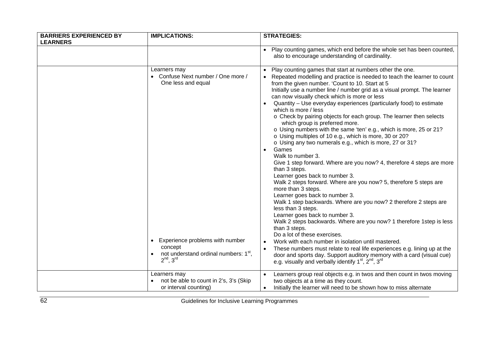| <b>BARRIERS EXPERIENCED BY</b><br><b>LEARNERS</b> | <b>IMPLICATIONS:</b>                                                                                                                                                                       | <b>STRATEGIES:</b>                                                                                                                                                                                                                                                                                                                                                                                                                                                                                                                                                                                                                                                                                                                                                                                                                                                                                                                                                                                                                                                                                                                                                                                                                                                                                                                                                                                                                                                                                                                                                                                                             |
|---------------------------------------------------|--------------------------------------------------------------------------------------------------------------------------------------------------------------------------------------------|--------------------------------------------------------------------------------------------------------------------------------------------------------------------------------------------------------------------------------------------------------------------------------------------------------------------------------------------------------------------------------------------------------------------------------------------------------------------------------------------------------------------------------------------------------------------------------------------------------------------------------------------------------------------------------------------------------------------------------------------------------------------------------------------------------------------------------------------------------------------------------------------------------------------------------------------------------------------------------------------------------------------------------------------------------------------------------------------------------------------------------------------------------------------------------------------------------------------------------------------------------------------------------------------------------------------------------------------------------------------------------------------------------------------------------------------------------------------------------------------------------------------------------------------------------------------------------------------------------------------------------|
|                                                   |                                                                                                                                                                                            | Play counting games, which end before the whole set has been counted,<br>also to encourage understanding of cardinality.                                                                                                                                                                                                                                                                                                                                                                                                                                                                                                                                                                                                                                                                                                                                                                                                                                                                                                                                                                                                                                                                                                                                                                                                                                                                                                                                                                                                                                                                                                       |
|                                                   | Learners may<br>Confuse Next number / One more /<br>One less and equal<br>Experience problems with number<br>concept<br>not understand ordinal numbers: 1 <sup>st</sup> ,<br>$2nd$ , $3rd$ | Play counting games that start at numbers other the one.<br>$\bullet$<br>Repeated modelling and practice is needed to teach the learner to count<br>from the given number. 'Count to 10. Start at 5<br>Initially use a number line / number grid as a visual prompt. The learner<br>can now visually check which is more or less<br>Quantity – Use everyday experiences (particularly food) to estimate<br>which is more / less<br>o Check by pairing objects for each group. The learner then selects<br>which group is preferred more.<br>o Using numbers with the same 'ten' e.g., which is more, 25 or 21?<br>o Using multiples of 10 e.g., which is more, 30 or 20?<br>o Using any two numerals e.g., which is more, 27 or 31?<br>Games<br>$\bullet$<br>Walk to number 3.<br>Give 1 step forward. Where are you now? 4, therefore 4 steps are more<br>than 3 steps.<br>Learner goes back to number 3.<br>Walk 2 steps forward. Where are you now? 5, therefore 5 steps are<br>more than 3 steps.<br>Learner goes back to number 3.<br>Walk 1 step backwards. Where are you now? 2 therefore 2 steps are<br>less than 3 steps.<br>Learner goes back to number 3.<br>Walk 2 steps backwards. Where are you now? 1 therefore 1 step is less<br>than 3 steps.<br>Do a lot of these exercises.<br>Work with each number in isolation until mastered.<br>$\bullet$<br>These numbers must relate to real life experiences e.g. lining up at the<br>$\bullet$<br>door and sports day. Support auditory memory with a card (visual cue)<br>e.g. visually and verbally identify 1 <sup>st</sup> , 2 <sup>nd</sup> , 3 <sup>rd</sup> |
|                                                   | Learners may<br>not be able to count in 2's, 3's (Skip<br>or interval counting)                                                                                                            | Learners group real objects e.g. in twos and then count in twos moving<br>two objects at a time as they count.<br>Initially the learner will need to be shown how to miss alternate<br>$\bullet$                                                                                                                                                                                                                                                                                                                                                                                                                                                                                                                                                                                                                                                                                                                                                                                                                                                                                                                                                                                                                                                                                                                                                                                                                                                                                                                                                                                                                               |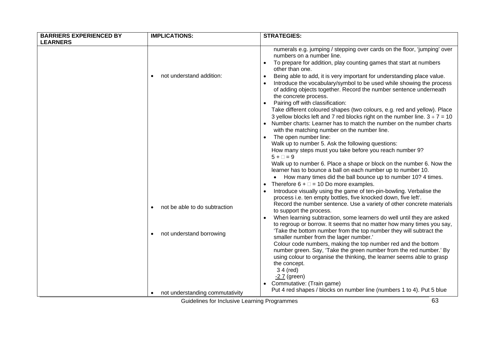| <b>BARRIERS EXPERIENCED BY</b> | <b>IMPLICATIONS:</b>                         | <b>STRATEGIES:</b>                                                                                                                                                                                                                                                                                                                                                                                                                                                                                                                                                                                                      |
|--------------------------------|----------------------------------------------|-------------------------------------------------------------------------------------------------------------------------------------------------------------------------------------------------------------------------------------------------------------------------------------------------------------------------------------------------------------------------------------------------------------------------------------------------------------------------------------------------------------------------------------------------------------------------------------------------------------------------|
| <b>LEARNERS</b>                |                                              |                                                                                                                                                                                                                                                                                                                                                                                                                                                                                                                                                                                                                         |
|                                |                                              | numerals e.g. jumping / stepping over cards on the floor, 'jumping' over<br>numbers on a number line.<br>To prepare for addition, play counting games that start at numbers<br>other than one.                                                                                                                                                                                                                                                                                                                                                                                                                          |
|                                | not understand addition:<br>$\bullet$        | Being able to add, it is very important for understanding place value.<br>Introduce the vocabulary/symbol to be used while showing the process<br>$\bullet$<br>of adding objects together. Record the number sentence underneath<br>the concrete process.<br>Pairing off with classification:<br>$\bullet$<br>Take different coloured shapes (two colours, e.g. red and yellow). Place<br>3 yellow blocks left and 7 red blocks right on the number line. $3 + 7 = 10$<br>Number charts: Learner has to match the number on the number charts<br>$\bullet$<br>with the matching number on the number line.<br>$\bullet$ |
|                                |                                              | The open number line:<br>Walk up to number 5. Ask the following questions:<br>How many steps must you take before you reach number 9?<br>$5 + \square = 9$                                                                                                                                                                                                                                                                                                                                                                                                                                                              |
|                                |                                              | Walk up to number 6. Place a shape or block on the number 6. Now the<br>learner has to bounce a ball on each number up to number 10.<br>• How many times did the ball bounce up to number 10? 4 times.<br>Therefore $6 + \square = 10$ Do more examples.                                                                                                                                                                                                                                                                                                                                                                |
|                                |                                              | Introduce visually using the game of ten-pin-bowling. Verbalise the<br>process i.e. ten empty bottles, five knocked down, five left'.<br>Record the number sentence. Use a variety of other concrete materials                                                                                                                                                                                                                                                                                                                                                                                                          |
|                                | not be able to do subtraction                | to support the process.<br>When learning subtraction, some learners do well until they are asked<br>$\bullet$                                                                                                                                                                                                                                                                                                                                                                                                                                                                                                           |
|                                | not understand borrowing                     | to regroup or borrow. It seems that no matter how many times you say,<br>'Take the bottom number from the top number they will subtract the<br>smaller number from the lager number.'                                                                                                                                                                                                                                                                                                                                                                                                                                   |
|                                |                                              | Colour code numbers, making the top number red and the bottom<br>number green. Say, 'Take the green number from the red number.' By<br>using colour to organise the thinking, the learner seems able to grasp<br>the concept.<br>3 4 (red)<br>-2 7 (green)                                                                                                                                                                                                                                                                                                                                                              |
|                                | not understanding commutativity<br>$\bullet$ | Commutative: (Train game)<br>Put 4 red shapes / blocks on number line (numbers 1 to 4). Put 5 blue                                                                                                                                                                                                                                                                                                                                                                                                                                                                                                                      |

Guidelines for Inclusive Learning Programmes 63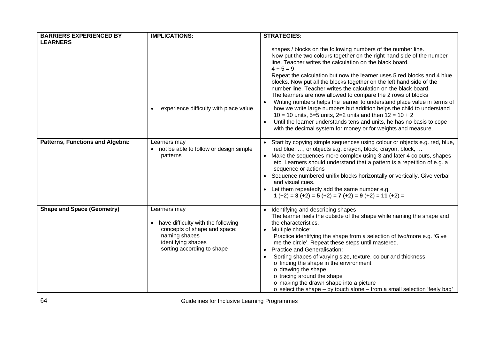| <b>BARRIERS EXPERIENCED BY</b>    | <b>IMPLICATIONS:</b>                                                                                                                                    | <b>STRATEGIES:</b>                                                                                                                                                                                                                                                                                                                                                                                                                                                                                                                                                                                                                                                                                                                                                                                                                                                 |
|-----------------------------------|---------------------------------------------------------------------------------------------------------------------------------------------------------|--------------------------------------------------------------------------------------------------------------------------------------------------------------------------------------------------------------------------------------------------------------------------------------------------------------------------------------------------------------------------------------------------------------------------------------------------------------------------------------------------------------------------------------------------------------------------------------------------------------------------------------------------------------------------------------------------------------------------------------------------------------------------------------------------------------------------------------------------------------------|
| <b>LEARNERS</b>                   |                                                                                                                                                         |                                                                                                                                                                                                                                                                                                                                                                                                                                                                                                                                                                                                                                                                                                                                                                                                                                                                    |
|                                   | experience difficulty with place value                                                                                                                  | shapes / blocks on the following numbers of the number line.<br>Now put the two colours together on the right hand side of the number<br>line. Teacher writes the calculation on the black board.<br>$4 + 5 = 9$<br>Repeat the calculation but now the learner uses 5 red blocks and 4 blue<br>blocks. Now put all the blocks together on the left hand side of the<br>number line. Teacher writes the calculation on the black board.<br>The learners are now allowed to compare the 2 rows of blocks<br>Writing numbers helps the learner to understand place value in terms of<br>how we write large numbers but addition helps the child to understand<br>10 = 10 units, 5=5 units, 2=2 units and then $12 = 10 + 2$<br>Until the learner understands tens and units, he has no basis to cope<br>with the decimal system for money or for weights and measure. |
| Patterns, Functions and Algebra:  | Learners may<br>• not be able to follow or design simple<br>patterns                                                                                    | Start by copying simple sequences using colour or objects e.g. red, blue,<br>red blue, , or objects e.g. crayon, block, crayon, block,<br>Make the sequences more complex using 3 and later 4 colours, shapes<br>etc. Learners should understand that a pattern is a repetition of e.g. a<br>sequence or actions<br>Sequence numbered unifix blocks horizontally or vertically. Give verbal<br>$\bullet$<br>and visual cues.<br>• Let them repeatedly add the same number e.g.<br>$1 (+2) = 3 (+2) = 5 (+2) = 7 (+2) = 9 (+2) = 11 (+2) =$                                                                                                                                                                                                                                                                                                                         |
| <b>Shape and Space (Geometry)</b> | Learners may<br>have difficulty with the following<br>concepts of shape and space:<br>naming shapes<br>identifying shapes<br>sorting according to shape | Identifying and describing shapes<br>The learner feels the outside of the shape while naming the shape and<br>the characteristics.<br>Multiple choice:<br>$\bullet$<br>Practice identifying the shape from a selection of two/more e.g. 'Give<br>me the circle'. Repeat these steps until mastered.<br>Practice and Generalisation:<br>$\bullet$<br>Sorting shapes of varying size, texture, colour and thickness<br>o finding the shape in the environment<br>o drawing the shape<br>o tracing around the shape<br>o making the drawn shape into a picture<br>$\circ$ select the shape – by touch alone – from a small selection 'feely bag'                                                                                                                                                                                                                      |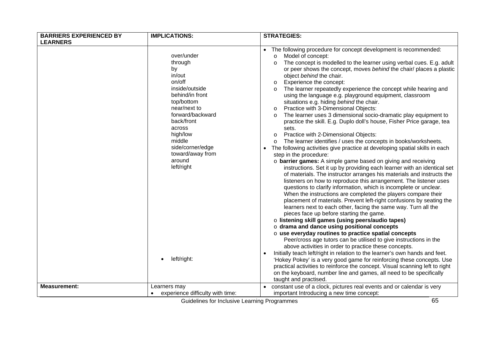| <b>BARRIERS EXPERIENCED BY</b> | <b>IMPLICATIONS:</b>                                                                                                                                                                                                                                                | <b>STRATEGIES:</b>                                                                                                                                                                                                                                                                                                                                                                                                                                                                                                                                                                                                                                                                                                                                                                                                                                                                                                                                                                                                                                                                                                                                                                                                                                                                                                                                                                                                                                                                                                                                                                                                                                                                                                                                                                                                                                                                                                                                                                                                                                                                                                                       |
|--------------------------------|---------------------------------------------------------------------------------------------------------------------------------------------------------------------------------------------------------------------------------------------------------------------|------------------------------------------------------------------------------------------------------------------------------------------------------------------------------------------------------------------------------------------------------------------------------------------------------------------------------------------------------------------------------------------------------------------------------------------------------------------------------------------------------------------------------------------------------------------------------------------------------------------------------------------------------------------------------------------------------------------------------------------------------------------------------------------------------------------------------------------------------------------------------------------------------------------------------------------------------------------------------------------------------------------------------------------------------------------------------------------------------------------------------------------------------------------------------------------------------------------------------------------------------------------------------------------------------------------------------------------------------------------------------------------------------------------------------------------------------------------------------------------------------------------------------------------------------------------------------------------------------------------------------------------------------------------------------------------------------------------------------------------------------------------------------------------------------------------------------------------------------------------------------------------------------------------------------------------------------------------------------------------------------------------------------------------------------------------------------------------------------------------------------------------|
|                                |                                                                                                                                                                                                                                                                     |                                                                                                                                                                                                                                                                                                                                                                                                                                                                                                                                                                                                                                                                                                                                                                                                                                                                                                                                                                                                                                                                                                                                                                                                                                                                                                                                                                                                                                                                                                                                                                                                                                                                                                                                                                                                                                                                                                                                                                                                                                                                                                                                          |
| <b>LEARNERS</b>                | over/under<br>through<br>by<br>in/out<br>on/off<br>inside/outside<br>behind/in front<br>top/bottom<br>near/next to<br>forward/backward<br>back/front<br>across<br>high/low<br>middle<br>side/corner/edge<br>toward/away from<br>around<br>left/right<br>left/right: | • The following procedure for concept development is recommended:<br>Model of concept:<br>$\circ$<br>The concept is modelled to the learner using verbal cues. E.g. adult<br>$\circ$<br>or peer shows the concept, moves behind the chair/ places a plastic<br>object behind the chair.<br>Experience the concept:<br>$\circ$<br>The learner repeatedly experience the concept while hearing and<br>$\circ$<br>using the language e.g. playground equipment, classroom<br>situations e.g. hiding behind the chair.<br>Practice with 3-Dimensional Objects:<br>$\circ$<br>The learner uses 3 dimensional socio-dramatic play equipment to<br>$\circ$<br>practice the skill. E.g. Duplo doll's house, Fisher Price garage, tea<br>sets.<br>Practice with 2-Dimensional Objects:<br>$\circ$<br>The learner identifies / uses the concepts in books/worksheets.<br>The following activities give practice at developing spatial skills in each<br>step in the procedure:<br>o barrier games: A simple game based on giving and receiving<br>instructions. Set it up by providing each learner with an identical set<br>of materials. The instructor arranges his materials and instructs the<br>listeners on how to reproduce this arrangement. The listener uses<br>questions to clarify information, which is incomplete or unclear.<br>When the instructions are completed the players compare their<br>placement of materials. Prevent left-right confusions by seating the<br>learners next to each other, facing the same way. Turn all the<br>pieces face up before starting the game.<br>o listening skill games (using peers/audio tapes)<br>o drama and dance using positional concepts<br>o use everyday routines to practice spatial concepts<br>Peer/cross age tutors can be utilised to give instructions in the<br>above activities in order to practice these concepts.<br>Initially teach left/right in relation to the learner's own hands and feet.<br>$\bullet$<br>'Hokey Pokey' is a very good game for reinforcing these concepts. Use<br>practical activities to reinforce the concept. Visual scanning left to right |
|                                |                                                                                                                                                                                                                                                                     | on the keyboard, number line and games, all need to be specifically                                                                                                                                                                                                                                                                                                                                                                                                                                                                                                                                                                                                                                                                                                                                                                                                                                                                                                                                                                                                                                                                                                                                                                                                                                                                                                                                                                                                                                                                                                                                                                                                                                                                                                                                                                                                                                                                                                                                                                                                                                                                      |
|                                |                                                                                                                                                                                                                                                                     | taught and practised.                                                                                                                                                                                                                                                                                                                                                                                                                                                                                                                                                                                                                                                                                                                                                                                                                                                                                                                                                                                                                                                                                                                                                                                                                                                                                                                                                                                                                                                                                                                                                                                                                                                                                                                                                                                                                                                                                                                                                                                                                                                                                                                    |
| <b>Measurement:</b>            | Learners may                                                                                                                                                                                                                                                        | constant use of a clock, pictures real events and or calendar is very                                                                                                                                                                                                                                                                                                                                                                                                                                                                                                                                                                                                                                                                                                                                                                                                                                                                                                                                                                                                                                                                                                                                                                                                                                                                                                                                                                                                                                                                                                                                                                                                                                                                                                                                                                                                                                                                                                                                                                                                                                                                    |
|                                | experience difficulty with time:                                                                                                                                                                                                                                    | important Introducing a new time concept:                                                                                                                                                                                                                                                                                                                                                                                                                                                                                                                                                                                                                                                                                                                                                                                                                                                                                                                                                                                                                                                                                                                                                                                                                                                                                                                                                                                                                                                                                                                                                                                                                                                                                                                                                                                                                                                                                                                                                                                                                                                                                                |

Guidelines for Inclusive Learning Programmes 65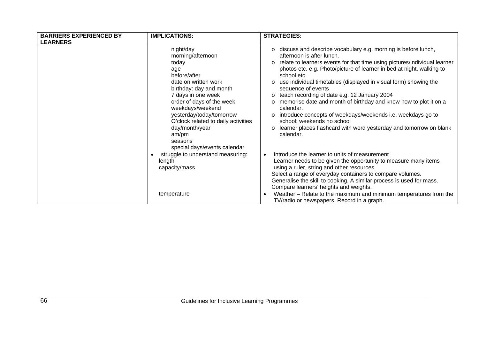| <b>BARRIERS EXPERIENCED BY</b> | <b>IMPLICATIONS:</b>                                                                                                                                                                                                                                                                                                              | <b>STRATEGIES:</b>                                                                                                                                                                                                                                                                                                                                                                                                                                                                                                                                                                                                                                                                                         |
|--------------------------------|-----------------------------------------------------------------------------------------------------------------------------------------------------------------------------------------------------------------------------------------------------------------------------------------------------------------------------------|------------------------------------------------------------------------------------------------------------------------------------------------------------------------------------------------------------------------------------------------------------------------------------------------------------------------------------------------------------------------------------------------------------------------------------------------------------------------------------------------------------------------------------------------------------------------------------------------------------------------------------------------------------------------------------------------------------|
| <b>LEARNERS</b>                |                                                                                                                                                                                                                                                                                                                                   |                                                                                                                                                                                                                                                                                                                                                                                                                                                                                                                                                                                                                                                                                                            |
|                                | night/day<br>morning/afternoon<br>today<br>age<br>before/after<br>date on written work<br>birthday: day and month<br>7 days in one week<br>order of days of the week<br>weekdays/weekend<br>yesterday/today/tomorrow<br>O'clock related to daily activities<br>day/month/year<br>am/pm<br>seasons<br>special days/events calendar | o discuss and describe vocabulary e.g. morning is before lunch,<br>afternoon is after lunch.<br>relate to learners events for that time using pictures/individual learner<br>$\circ$<br>photos etc. e.g. Photo/picture of learner in bed at night, walking to<br>school etc.<br>o use individual timetables (displayed in visual form) showing the<br>sequence of events<br>o teach recording of date e.g. 12 January 2004<br>o memorise date and month of birthday and know how to plot it on a<br>calendar.<br>o introduce concepts of weekdays/weekends i.e. weekdays go to<br>school; weekends no school<br>learner places flashcard with word yesterday and tomorrow on blank<br>$\circ$<br>calendar. |
|                                | struggle to understand measuring:<br>$\bullet$<br>length<br>capacity/mass<br>temperature                                                                                                                                                                                                                                          | Introduce the learner to units of measurement<br>$\bullet$<br>Learner needs to be given the opportunity to measure many items<br>using a ruler, string and other resources.<br>Select a range of everyday containers to compare volumes.<br>Generalise the skill to cooking. A similar process is used for mass.<br>Compare learners' heights and weights.<br>Weather – Relate to the maximum and minimum temperatures from the<br>$\bullet$<br>TV/radio or newspapers. Record in a graph.                                                                                                                                                                                                                 |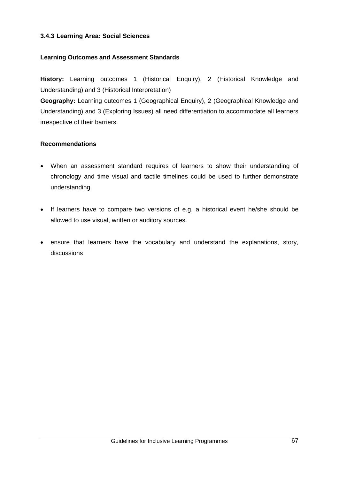### **3.4.3 Learning Area: Social Sciences**

### **Learning Outcomes and Assessment Standards**

**History:** Learning outcomes 1 (Historical Enquiry), 2 (Historical Knowledge and Understanding) and 3 (Historical Interpretation)

**Geography:** Learning outcomes 1 (Geographical Enquiry), 2 (Geographical Knowledge and Understanding) and 3 (Exploring Issues) all need differentiation to accommodate all learners irrespective of their barriers.

#### **Recommendations**

- When an assessment standard requires of learners to show their understanding of chronology and time visual and tactile timelines could be used to further demonstrate understanding.
- If learners have to compare two versions of e.g. a historical event he/she should be allowed to use visual, written or auditory sources.
- ensure that learners have the vocabulary and understand the explanations, story, discussions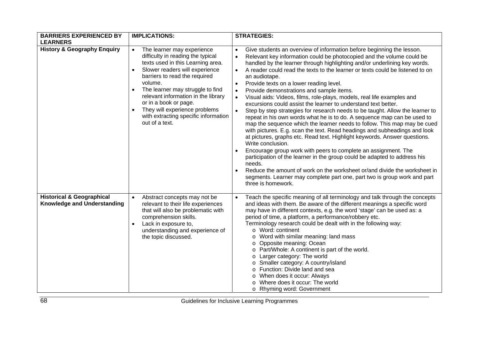| <b>BARRIERS EXPERIENCED BY</b>                                      | <b>IMPLICATIONS:</b>                                                                                                                                                                                                                                                                                                                                                                                                     | <b>STRATEGIES:</b>                                                                                                                                                                                                                                                                                                                                                                                                                                                                                                                                                                                                                                                                                                                                                                                                                                                                                                                                                                                                                                                                                                                                                                                                                                                                                                                                             |
|---------------------------------------------------------------------|--------------------------------------------------------------------------------------------------------------------------------------------------------------------------------------------------------------------------------------------------------------------------------------------------------------------------------------------------------------------------------------------------------------------------|----------------------------------------------------------------------------------------------------------------------------------------------------------------------------------------------------------------------------------------------------------------------------------------------------------------------------------------------------------------------------------------------------------------------------------------------------------------------------------------------------------------------------------------------------------------------------------------------------------------------------------------------------------------------------------------------------------------------------------------------------------------------------------------------------------------------------------------------------------------------------------------------------------------------------------------------------------------------------------------------------------------------------------------------------------------------------------------------------------------------------------------------------------------------------------------------------------------------------------------------------------------------------------------------------------------------------------------------------------------|
| <b>LEARNERS</b><br><b>History &amp; Geography Enquiry</b>           | The learner may experience<br>$\bullet$<br>difficulty in reading the typical<br>texts used in this Learning area.<br>Slower readers will experience<br>barriers to read the required<br>volume.<br>The learner may struggle to find<br>$\bullet$<br>relevant information in the library<br>or in a book or page.<br>They will experience problems<br>$\bullet$<br>with extracting specific information<br>out of a text. | Give students an overview of information before beginning the lesson.<br>$\bullet$<br>Relevant key information could be photocopied and the volume could be<br>handled by the learner through highlighting and/or underlining key words.<br>A reader could read the texts to the learner or texts could be listened to on<br>an audiotape.<br>Provide texts on a lower reading level.<br>٠<br>Provide demonstrations and sample items.<br>$\bullet$<br>Visual aids: Videos, films, role-plays, models, real life examples and<br>excursions could assist the learner to understand text better.<br>Step by step strategies for research needs to be taught. Allow the learner to<br>repeat in his own words what he is to do. A sequence map can be used to<br>map the sequence which the learner needs to follow. This map may be cued<br>with pictures. E.g. scan the text. Read headings and subheadings and look<br>at pictures, graphs etc. Read text. Highlight keywords. Answer questions.<br>Write conclusion.<br>Encourage group work with peers to complete an assignment. The<br>participation of the learner in the group could be adapted to address his<br>needs.<br>Reduce the amount of work on the worksheet or/and divide the worksheet in<br>segments. Learner may complete part one, part two is group work and part<br>three is homework. |
| <b>Historical &amp; Geographical</b><br>Knowledge and Understanding | Abstract concepts may not be<br>$\bullet$<br>relevant to their life experiences<br>that will also be problematic with<br>comprehension skills.<br>Lack in exposure to,<br>understanding and experience of<br>the topic discussed.                                                                                                                                                                                        | Teach the specific meaning of all terminology and talk through the concepts<br>and ideas with them. Be aware of the different meanings a specific word<br>may have in different contexts, e.g. the word 'stage' can be used as: a<br>period of time, a platform, a performance/robbery etc.<br>Terminology research could be dealt with in the following way:<br>o Word: continent<br>o Word with similar meaning: land mass<br>o Opposite meaning: Ocean<br>o Part/Whole: A continent is part of the world.<br>o Larger category: The world<br>o Smaller category: A country/island<br>o Function: Divide land and sea<br>o When does it occur: Always<br>o Where does it occur: The world<br>o Rhyming word: Government                                                                                                                                                                                                                                                                                                                                                                                                                                                                                                                                                                                                                                      |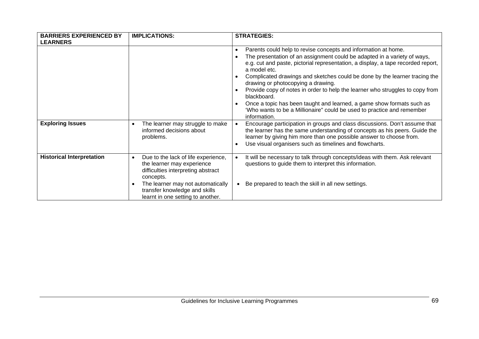| <b>BARRIERS EXPERIENCED BY</b><br><b>LEARNERS</b> | <b>IMPLICATIONS:</b>                                                                                                                                                                                                                         | <b>STRATEGIES:</b>                                                                                                                                                                                                                                                                                                                                                                                                                                                                                                                                                                                                                    |
|---------------------------------------------------|----------------------------------------------------------------------------------------------------------------------------------------------------------------------------------------------------------------------------------------------|---------------------------------------------------------------------------------------------------------------------------------------------------------------------------------------------------------------------------------------------------------------------------------------------------------------------------------------------------------------------------------------------------------------------------------------------------------------------------------------------------------------------------------------------------------------------------------------------------------------------------------------|
|                                                   |                                                                                                                                                                                                                                              | Parents could help to revise concepts and information at home.<br>The presentation of an assignment could be adapted in a variety of ways,<br>e.g. cut and paste, pictorial representation, a display, a tape recorded report,<br>a model etc.<br>Complicated drawings and sketches could be done by the learner tracing the<br>drawing or photocopying a drawing.<br>Provide copy of notes in order to help the learner who struggles to copy from<br>blackboard.<br>Once a topic has been taught and learned, a game show formats such as<br>'Who wants to be a Millionaire" could be used to practice and remember<br>information. |
| <b>Exploring Issues</b>                           | The learner may struggle to make<br>informed decisions about<br>problems.                                                                                                                                                                    | Encourage participation in groups and class discussions. Don't assume that<br>the learner has the same understanding of concepts as his peers. Guide the<br>learner by giving him more than one possible answer to choose from.<br>Use visual organisers such as timelines and flowcharts.                                                                                                                                                                                                                                                                                                                                            |
| <b>Historical Interpretation</b>                  | Due to the lack of life experience,<br>$\bullet$<br>the learner may experience<br>difficulties interpreting abstract<br>concepts.<br>The learner may not automatically<br>transfer knowledge and skills<br>learnt in one setting to another. | It will be necessary to talk through concepts/ideas with them. Ask relevant<br>questions to guide them to interpret this information.<br>Be prepared to teach the skill in all new settings.                                                                                                                                                                                                                                                                                                                                                                                                                                          |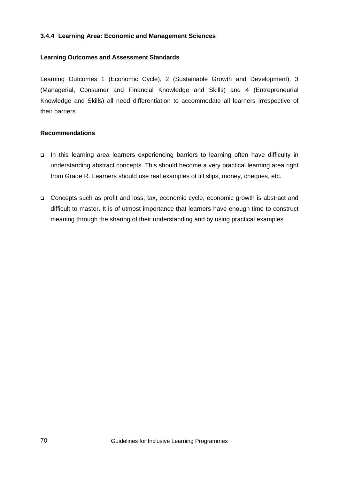### **3.4.4 Learning Area: Economic and Management Sciences**

#### **Learning Outcomes and Assessment Standards**

Learning Outcomes 1 (Economic Cycle), 2 (Sustainable Growth and Development), 3 (Managerial, Consumer and Financial Knowledge and Skills) and 4 (Entrepreneurial Knowledge and Skills) all need differentiation to accommodate all learners irrespective of their barriers.

#### **Recommendations**

- In this learning area learners experiencing barriers to learning often have difficulty in understanding abstract concepts. This should become a very practical learning area right from Grade R. Learners should use real examples of till slips, money, cheques, etc.
- □ Concepts such as profit and loss; tax, economic cycle, economic growth is abstract and difficult to master. It is of utmost importance that learners have enough time to construct meaning through the sharing of their understanding and by using practical examples.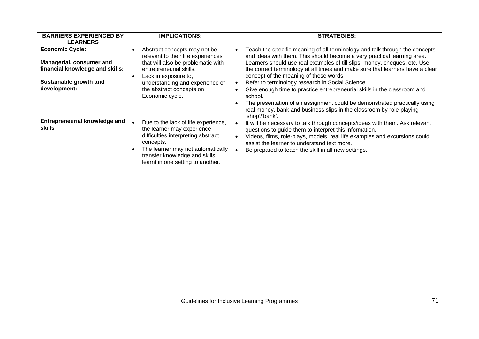| <b>BARRIERS EXPERIENCED BY</b>                                                        | <b>IMPLICATIONS:</b>                                                                                                                                                                                                            | <b>STRATEGIES:</b>                                                                                                                                                                                                                                                                                                                                                                                                                                                                               |
|---------------------------------------------------------------------------------------|---------------------------------------------------------------------------------------------------------------------------------------------------------------------------------------------------------------------------------|--------------------------------------------------------------------------------------------------------------------------------------------------------------------------------------------------------------------------------------------------------------------------------------------------------------------------------------------------------------------------------------------------------------------------------------------------------------------------------------------------|
| <b>LEARNERS</b>                                                                       |                                                                                                                                                                                                                                 |                                                                                                                                                                                                                                                                                                                                                                                                                                                                                                  |
| <b>Economic Cycle:</b><br>Managerial, consumer and<br>financial knowledge and skills: | Abstract concepts may not be<br>relevant to their life experiences<br>that will also be problematic with<br>entrepreneurial skills.<br>Lack in exposure to,                                                                     | Teach the specific meaning of all terminology and talk through the concepts<br>and ideas with them. This should become a very practical learning area.<br>Learners should use real examples of till slips, money, cheques, etc. Use<br>the correct terminology at all times and make sure that learners have a clear<br>concept of the meaning of these words.                                                                                                                                   |
| Sustainable growth and                                                                | understanding and experience of                                                                                                                                                                                                 | Refer to terminology research in Social Science.                                                                                                                                                                                                                                                                                                                                                                                                                                                 |
| development:                                                                          | the abstract concepts on<br>Economic cycle.                                                                                                                                                                                     | Give enough time to practice entrepreneurial skills in the classroom and<br>school.                                                                                                                                                                                                                                                                                                                                                                                                              |
| <b>Entrepreneurial knowledge and</b><br>skills                                        | Due to the lack of life experience,<br>the learner may experience<br>difficulties interpreting abstract<br>concepts.<br>The learner may not automatically<br>transfer knowledge and skills<br>learnt in one setting to another. | The presentation of an assignment could be demonstrated practically using<br>real money, bank and business slips in the classroom by role-playing<br>'shop'/'bank'.<br>It will be necessary to talk through concepts/ideas with them. Ask relevant<br>questions to guide them to interpret this information.<br>Videos, films, role-plays, models, real life examples and excursions could<br>assist the learner to understand text more.<br>Be prepared to teach the skill in all new settings. |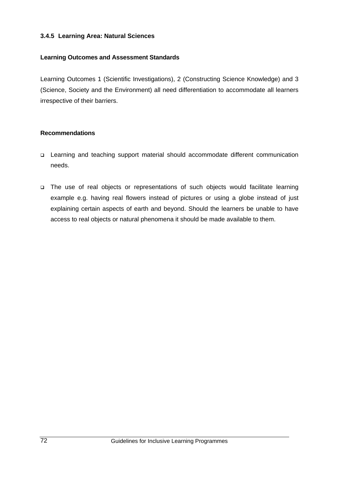### **3.4.5 Learning Area: Natural Sciences**

### **Learning Outcomes and Assessment Standards**

Learning Outcomes 1 (Scientific Investigations), 2 (Constructing Science Knowledge) and 3 (Science, Society and the Environment) all need differentiation to accommodate all learners irrespective of their barriers.

#### **Recommendations**

- Learning and teaching support material should accommodate different communication needs.
- The use of real objects or representations of such objects would facilitate learning example e.g. having real flowers instead of pictures or using a globe instead of just explaining certain aspects of earth and beyond. Should the learners be unable to have access to real objects or natural phenomena it should be made available to them.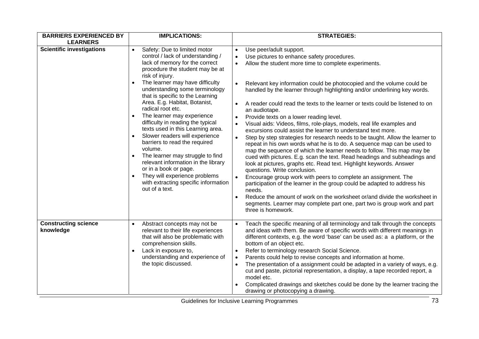| <b>BARRIERS EXPERIENCED BY</b>           | <b>IMPLICATIONS:</b>                                                                                                                                                                                                                                                                                                                                                                                                                                                                                                                                                                                                                                                                                          | <b>STRATEGIES:</b>                                                                                                                                                                                                                                                                                                                                                                                                                                                                                                                                                                                                                                                                                                                                                                                                                                                                                                                                                                                                                                                                                                                                                                                                                                                                                                                                                                               |  |  |
|------------------------------------------|---------------------------------------------------------------------------------------------------------------------------------------------------------------------------------------------------------------------------------------------------------------------------------------------------------------------------------------------------------------------------------------------------------------------------------------------------------------------------------------------------------------------------------------------------------------------------------------------------------------------------------------------------------------------------------------------------------------|--------------------------------------------------------------------------------------------------------------------------------------------------------------------------------------------------------------------------------------------------------------------------------------------------------------------------------------------------------------------------------------------------------------------------------------------------------------------------------------------------------------------------------------------------------------------------------------------------------------------------------------------------------------------------------------------------------------------------------------------------------------------------------------------------------------------------------------------------------------------------------------------------------------------------------------------------------------------------------------------------------------------------------------------------------------------------------------------------------------------------------------------------------------------------------------------------------------------------------------------------------------------------------------------------------------------------------------------------------------------------------------------------|--|--|
| <b>LEARNERS</b>                          |                                                                                                                                                                                                                                                                                                                                                                                                                                                                                                                                                                                                                                                                                                               |                                                                                                                                                                                                                                                                                                                                                                                                                                                                                                                                                                                                                                                                                                                                                                                                                                                                                                                                                                                                                                                                                                                                                                                                                                                                                                                                                                                                  |  |  |
| <b>Scientific investigations</b>         | Safety: Due to limited motor<br>control / lack of understanding /<br>lack of memory for the correct<br>procedure the student may be at<br>risk of injury.<br>The learner may have difficulty<br>understanding some terminology<br>that is specific to the Learning<br>Area. E.g. Habitat, Botanist,<br>radical root etc.<br>The learner may experience<br>difficulty in reading the typical<br>texts used in this Learning area.<br>Slower readers will experience<br>barriers to read the required<br>volume.<br>The learner may struggle to find<br>relevant information in the library<br>or in a book or page.<br>They will experience problems<br>with extracting specific information<br>out of a text. | Use peer/adult support.<br>$\bullet$<br>Use pictures to enhance safety procedures.<br>$\bullet$<br>Allow the student more time to complete experiments.<br>Relevant key information could be photocopied and the volume could be<br>handled by the learner through highlighting and/or underlining key words.<br>A reader could read the texts to the learner or texts could be listened to on<br>an audiotape.<br>Provide texts on a lower reading level.<br>$\bullet$<br>Visual aids: Videos, films, role-plays, models, real life examples and<br>excursions could assist the learner to understand text more.<br>Step by step strategies for research needs to be taught. Allow the learner to<br>repeat in his own words what he is to do. A sequence map can be used to<br>map the sequence of which the learner needs to follow. This map may be<br>cued with pictures. E.g. scan the text. Read headings and subheadings and<br>look at pictures, graphs etc. Read text. Highlight keywords. Answer<br>questions. Write conclusion.<br>Encourage group work with peers to complete an assignment. The<br>$\bullet$<br>participation of the learner in the group could be adapted to address his<br>needs.<br>Reduce the amount of work on the worksheet or/and divide the worksheet in<br>segments. Learner may complete part one, part two is group work and part<br>three is homework. |  |  |
| <b>Constructing science</b><br>knowledge | Abstract concepts may not be<br>relevant to their life experiences<br>that will also be problematic with<br>comprehension skills.<br>Lack in exposure to,<br>understanding and experience of<br>the topic discussed.                                                                                                                                                                                                                                                                                                                                                                                                                                                                                          | Teach the specific meaning of all terminology and talk through the concepts<br>and ideas with them. Be aware of specific words with different meanings in<br>different contexts, e.g. the word 'base' can be used as: a a platform, or the<br>bottom of an object etc.<br>Refer to terminology research Social Science.<br>$\bullet$<br>Parents could help to revise concepts and information at home.<br>$\bullet$<br>The presentation of a assignment could be adapted in a variety of ways, e.g.<br>$\bullet$<br>cut and paste, pictorial representation, a display, a tape recorded report, a<br>model etc.<br>Complicated drawings and sketches could be done by the learner tracing the<br>drawing or photocopying a drawing.                                                                                                                                                                                                                                                                                                                                                                                                                                                                                                                                                                                                                                                              |  |  |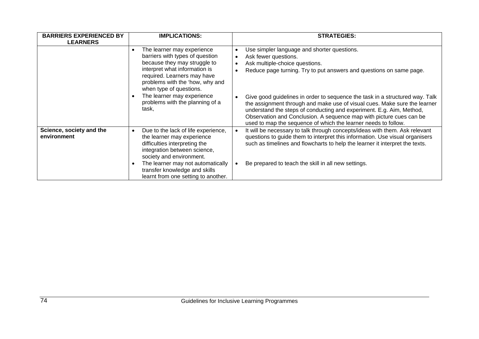| <b>BARRIERS EXPERIENCED BY</b><br><b>LEARNERS</b> | <b>IMPLICATIONS:</b>                                                                                                                                                                                                                                                                                  | <b>STRATEGIES:</b>                                                                                                                                                                                                                                                                                                                                                                                                                                                                                                                                         |  |  |
|---------------------------------------------------|-------------------------------------------------------------------------------------------------------------------------------------------------------------------------------------------------------------------------------------------------------------------------------------------------------|------------------------------------------------------------------------------------------------------------------------------------------------------------------------------------------------------------------------------------------------------------------------------------------------------------------------------------------------------------------------------------------------------------------------------------------------------------------------------------------------------------------------------------------------------------|--|--|
|                                                   | The learner may experience<br>barriers with types of question<br>because they may struggle to<br>interpret what information is<br>required. Learners may have<br>problems with the 'how, why and<br>when type of questions.<br>The learner may experience<br>problems with the planning of a<br>task, | Use simpler language and shorter questions.<br>Ask fewer questions.<br>Ask multiple-choice questions.<br>Reduce page turning. Try to put answers and questions on same page.<br>Give good guidelines in order to sequence the task in a structured way. Talk<br>the assignment through and make use of visual cues. Make sure the learner<br>understand the steps of conducting and experiment. E.g. Aim, Method,<br>Observation and Conclusion. A sequence map with picture cues can be<br>used to map the sequence of which the learner needs to follow. |  |  |
| Science, society and the<br>environment           | Due to the lack of life experience,<br>the learner may experience<br>difficulties interpreting the<br>integration between science,<br>society and environment.                                                                                                                                        | It will be necessary to talk through concepts/ideas with them. Ask relevant<br>questions to guide them to interpret this information. Use visual organisers<br>such as timelines and flowcharts to help the learner it interpret the texts.                                                                                                                                                                                                                                                                                                                |  |  |
|                                                   | The learner may not automatically<br>transfer knowledge and skills<br>learnt from one setting to another.                                                                                                                                                                                             | Be prepared to teach the skill in all new settings.                                                                                                                                                                                                                                                                                                                                                                                                                                                                                                        |  |  |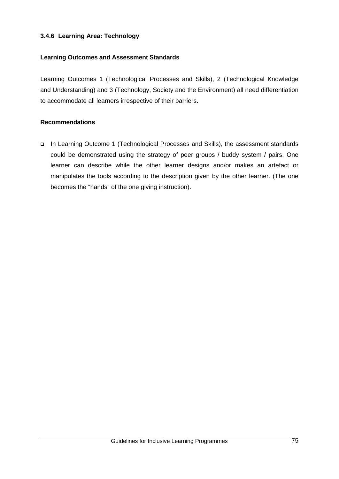## **3.4.6 Learning Area: Technology**

### **Learning Outcomes and Assessment Standards**

Learning Outcomes 1 (Technological Processes and Skills), 2 (Technological Knowledge and Understanding) and 3 (Technology, Society and the Environment) all need differentiation to accommodate all learners irrespective of their barriers.

#### **Recommendations**

□ In Learning Outcome 1 (Technological Processes and Skills), the assessment standards could be demonstrated using the strategy of peer groups / buddy system / pairs. One learner can describe while the other learner designs and/or makes an artefact or manipulates the tools according to the description given by the other learner. (The one becomes the "hands" of the one giving instruction).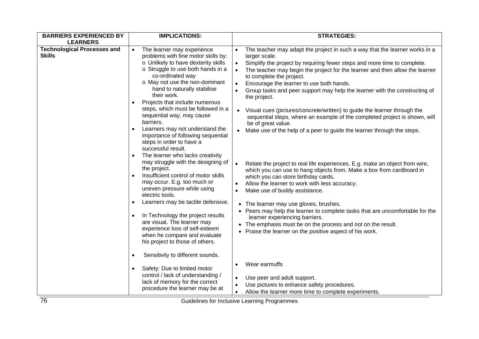| <b>BARRIERS EXPERIENCED BY</b>                                         | <b>IMPLICATIONS:</b>                                                                                                                                                                                                                                                                                                                                                                                                                                                                                                                                                                                                                                                                                                                                                                                                   | <b>STRATEGIES:</b>                                                                                                                                                                                                                                                                                                                                                                                                                                                                                                                                                                                                                                                                                                                                                                                                                                                                                                                                                                                                                                                                                                                                                                                                  |  |  |
|------------------------------------------------------------------------|------------------------------------------------------------------------------------------------------------------------------------------------------------------------------------------------------------------------------------------------------------------------------------------------------------------------------------------------------------------------------------------------------------------------------------------------------------------------------------------------------------------------------------------------------------------------------------------------------------------------------------------------------------------------------------------------------------------------------------------------------------------------------------------------------------------------|---------------------------------------------------------------------------------------------------------------------------------------------------------------------------------------------------------------------------------------------------------------------------------------------------------------------------------------------------------------------------------------------------------------------------------------------------------------------------------------------------------------------------------------------------------------------------------------------------------------------------------------------------------------------------------------------------------------------------------------------------------------------------------------------------------------------------------------------------------------------------------------------------------------------------------------------------------------------------------------------------------------------------------------------------------------------------------------------------------------------------------------------------------------------------------------------------------------------|--|--|
|                                                                        |                                                                                                                                                                                                                                                                                                                                                                                                                                                                                                                                                                                                                                                                                                                                                                                                                        |                                                                                                                                                                                                                                                                                                                                                                                                                                                                                                                                                                                                                                                                                                                                                                                                                                                                                                                                                                                                                                                                                                                                                                                                                     |  |  |
| <b>LEARNERS</b><br><b>Technological Processes and</b><br><b>Skills</b> | The learner may experience<br>problems with fine motor skills by:<br>o Unlikely to have dexterity skills<br>o Struggle to use both hands in a<br>co-ordinated way<br>o May not use the non-dominant<br>hand to naturally stabilise<br>their work.<br>Projects that include numerous<br>steps, which must be followed in a<br>sequential way, may cause<br>barriers.<br>Learners may not understand the<br>importance of following sequential<br>steps in order to have a<br>successful result.<br>The learner who lacks creativity<br>may struggle with the designing of<br>the project.<br>Insufficient control of motor skills<br>$\bullet$<br>may occur. E.g. too much or<br>uneven pressure while using<br>electric tools.<br>Learners may be tactile defensive.<br>In Technology the project results<br>$\bullet$ | The teacher may adapt the project in such a way that the learner works in a<br>larger scale.<br>Simplify the project by requiring fewer steps and more time to complete.<br>$\bullet$<br>The teacher may begin the project for the learner and then allow the learner<br>$\bullet$<br>to complete the project.<br>Encourage the learner to use both hands.<br>$\bullet$<br>Group tasks and peer support may help the learner with the constructing of<br>the project.<br>Visual cues (pictures/concrete/written) to guide the learner through the<br>$\bullet$<br>sequential steps, where an example of the completed project is shown, will<br>be of great value.<br>Make use of the help of a peer to guide the learner through the steps.<br>$\bullet$<br>Relate the project to real life experiences. E.g. make an object from wire,<br>which you can use to hang objects from. Make a box from cardboard in<br>which you can store birthday cards.<br>Allow the learner to work with less accuracy.<br>Make use of buddy assistance.<br>$\bullet$<br>• The learner may use gloves, brushes.<br>• Peers may help the learner to complete tasks that are uncomfortable for the<br>learner experiencing barriers. |  |  |
|                                                                        | are visual. The learner may<br>experience loss of self-esteem<br>when he compare and evaluate<br>his project to those of others.<br>Sensitivity to different sounds.<br>$\bullet$<br>Safety: Due to limited motor<br>$\bullet$<br>control / lack of understanding /                                                                                                                                                                                                                                                                                                                                                                                                                                                                                                                                                    | • The emphasis must be on the process and not on the result.<br>Praise the learner on the positive aspect of his work.<br>Wear earmuffs<br>$\bullet$<br>Use peer and adult support.<br>$\bullet$                                                                                                                                                                                                                                                                                                                                                                                                                                                                                                                                                                                                                                                                                                                                                                                                                                                                                                                                                                                                                    |  |  |
|                                                                        | lack of memory for the correct<br>procedure the learner may be at                                                                                                                                                                                                                                                                                                                                                                                                                                                                                                                                                                                                                                                                                                                                                      | Use pictures to enhance safety procedures.<br>$\bullet$<br>Allow the learner more time to complete experiments.<br>$\bullet$                                                                                                                                                                                                                                                                                                                                                                                                                                                                                                                                                                                                                                                                                                                                                                                                                                                                                                                                                                                                                                                                                        |  |  |

Guidelines for Inclusive Learning Programmes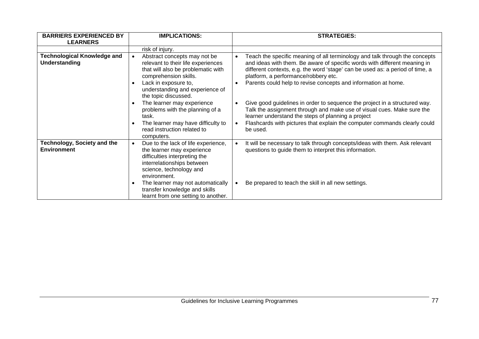| <b>BARRIERS EXPERIENCED BY</b><br><b>LEARNERS</b>                                                                                                                                                                                       | <b>IMPLICATIONS:</b>                                                                                                                                                                                                 | <b>STRATEGIES:</b>                                                                                                                                                                                                                                                                                                                                  |  |  |
|-----------------------------------------------------------------------------------------------------------------------------------------------------------------------------------------------------------------------------------------|----------------------------------------------------------------------------------------------------------------------------------------------------------------------------------------------------------------------|-----------------------------------------------------------------------------------------------------------------------------------------------------------------------------------------------------------------------------------------------------------------------------------------------------------------------------------------------------|--|--|
|                                                                                                                                                                                                                                         | risk of injury.                                                                                                                                                                                                      |                                                                                                                                                                                                                                                                                                                                                     |  |  |
| <b>Technological Knowledge and</b><br>Understanding                                                                                                                                                                                     | Abstract concepts may not be<br>relevant to their life experiences<br>that will also be problematic with<br>comprehension skills.<br>Lack in exposure to,<br>understanding and experience of<br>the topic discussed. | Teach the specific meaning of all terminology and talk through the concepts<br>and ideas with them. Be aware of specific words with different meaning in<br>different contexts, e.g. the word 'stage' can be used as: a period of time, a<br>platform, a performance/robbery etc.<br>Parents could help to revise concepts and information at home. |  |  |
|                                                                                                                                                                                                                                         | The learner may experience<br>problems with the planning of a<br>task.<br>The learner may have difficulty to<br>read instruction related to<br>computers.                                                            | Give good guidelines in order to sequence the project in a structured way.<br>Talk the assignment through and make use of visual cues. Make sure the<br>learner understand the steps of planning a project<br>Flashcards with pictures that explain the computer commands clearly could<br>be used.                                                 |  |  |
| <b>Technology, Society and the</b><br>Due to the lack of life experience,<br><b>Environment</b><br>the learner may experience<br>difficulties interpreting the<br>interrelationships between<br>science, technology and<br>environment. |                                                                                                                                                                                                                      | It will be necessary to talk through concepts/ideas with them. Ask relevant<br>questions to guide them to interpret this information.                                                                                                                                                                                                               |  |  |
|                                                                                                                                                                                                                                         | The learner may not automatically<br>transfer knowledge and skills<br>learnt from one setting to another.                                                                                                            | Be prepared to teach the skill in all new settings.                                                                                                                                                                                                                                                                                                 |  |  |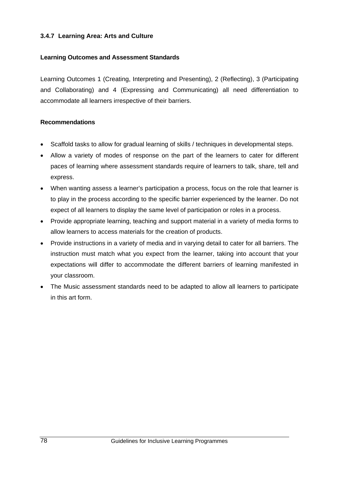## **3.4.7 Learning Area: Arts and Culture**

## **Learning Outcomes and Assessment Standards**

Learning Outcomes 1 (Creating, Interpreting and Presenting), 2 (Reflecting), 3 (Participating and Collaborating) and 4 (Expressing and Communicating) all need differentiation to accommodate all learners irrespective of their barriers.

### **Recommendations**

- Scaffold tasks to allow for gradual learning of skills / techniques in developmental steps.
- Allow a variety of modes of response on the part of the learners to cater for different paces of learning where assessment standards require of learners to talk, share, tell and express.
- When wanting assess a learner's participation a process, focus on the role that learner is to play in the process according to the specific barrier experienced by the learner. Do not expect of all learners to display the same level of participation or roles in a process.
- Provide appropriate learning, teaching and support material in a variety of media forms to allow learners to access materials for the creation of products.
- Provide instructions in a variety of media and in varying detail to cater for all barriers. The instruction must match what you expect from the learner, taking into account that your expectations will differ to accommodate the different barriers of learning manifested in your classroom.
- The Music assessment standards need to be adapted to allow all learners to participate in this art form.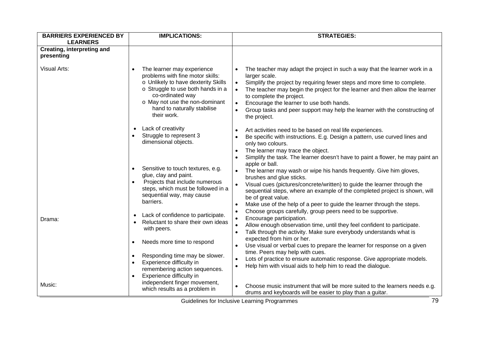| <b>BARRIERS EXPERIENCED BY</b><br><b>LEARNERS</b> | <b>IMPLICATIONS:</b>                                                                                                                                                                                                                                                                                                    | <b>STRATEGIES:</b>                                                                                                                                                                                                                                                                                                                                                                                                                                                                                                                                                                                         |  |  |
|---------------------------------------------------|-------------------------------------------------------------------------------------------------------------------------------------------------------------------------------------------------------------------------------------------------------------------------------------------------------------------------|------------------------------------------------------------------------------------------------------------------------------------------------------------------------------------------------------------------------------------------------------------------------------------------------------------------------------------------------------------------------------------------------------------------------------------------------------------------------------------------------------------------------------------------------------------------------------------------------------------|--|--|
| <b>Creating, interpreting and</b><br>presenting   |                                                                                                                                                                                                                                                                                                                         |                                                                                                                                                                                                                                                                                                                                                                                                                                                                                                                                                                                                            |  |  |
| <b>Visual Arts:</b>                               | The learner may experience<br>problems with fine motor skills:<br>o Unlikely to have dexterity Skills<br>o Struggle to use both hands in a<br>co-ordinated way<br>o May not use the non-dominant<br>hand to naturally stabilise<br>their work.<br>Lack of creativity<br>Struggle to represent 3<br>dimensional objects. | The teacher may adapt the project in such a way that the learner work in a<br>larger scale.<br>Simplify the project by requiring fewer steps and more time to complete.<br>The teacher may begin the project for the learner and then allow the learner<br>to complete the project.<br>Encourage the learner to use both hands.<br>$\bullet$<br>Group tasks and peer support may help the learner with the constructing of<br>the project.<br>Art activities need to be based on real life experiences.<br>Be specific with instructions. E.g. Design a pattern, use curved lines and<br>only two colours. |  |  |
|                                                   | Sensitive to touch textures, e.g.<br>glue, clay and paint.<br>Projects that include numerous<br>steps, which must be followed in a<br>sequential way, may cause<br>barriers.                                                                                                                                            | The learner may trace the object.<br>Simplify the task. The learner doesn't have to paint a flower, he may paint an<br>apple or ball.<br>The learner may wash or wipe his hands frequently. Give him gloves,<br>brushes and glue sticks.<br>Visual cues (pictures/concrete/written) to guide the learner through the<br>sequential steps, where an example of the completed project is shown, will<br>be of great value.<br>Make use of the help of a peer to guide the learner through the steps.<br>Choose groups carefully, group peers need to be supportive.<br>$\bullet$                             |  |  |
| Drama:                                            | Lack of confidence to participate.<br>Reluctant to share their own ideas<br>with peers.                                                                                                                                                                                                                                 | Encourage participation.<br>Allow enough observation time, until they feel confident to participate.<br>Talk through the activity. Make sure everybody understands what is<br>expected from him or her.                                                                                                                                                                                                                                                                                                                                                                                                    |  |  |
|                                                   | Needs more time to respond<br>$\bullet$<br>Responding time may be slower.<br>Experience difficulty in<br>remembering action sequences.<br>Experience difficulty in                                                                                                                                                      | Use visual or verbal cues to prepare the learner for response on a given<br>time. Peers may help with cues.<br>Lots of practice to ensure automatic response. Give appropriate models.<br>$\bullet$<br>Help him with visual aids to help him to read the dialogue.                                                                                                                                                                                                                                                                                                                                         |  |  |
| Music:                                            | independent finger movement,<br>which results as a problem in                                                                                                                                                                                                                                                           | Choose music instrument that will be more suited to the learners needs e.g.<br>drums and keyboards will be easier to play than a guitar.                                                                                                                                                                                                                                                                                                                                                                                                                                                                   |  |  |

Guidelines for Inclusive Learning Programmes 79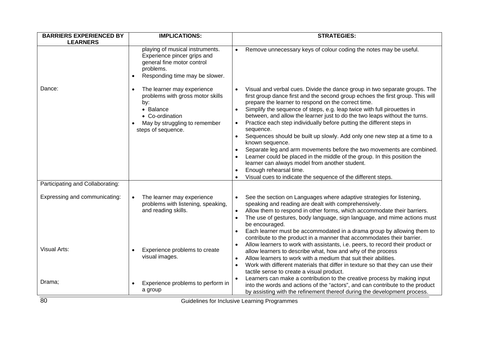| <b>BARRIERS EXPERIENCED BY</b>   | <b>IMPLICATIONS:</b>                                                                                                                                         | <b>STRATEGIES:</b>                                                                                                                                                                                                                                                                                                                                                                                                                                                                                                                                                                                                                                                                                                                                                                                                                                                                                         |  |  |  |
|----------------------------------|--------------------------------------------------------------------------------------------------------------------------------------------------------------|------------------------------------------------------------------------------------------------------------------------------------------------------------------------------------------------------------------------------------------------------------------------------------------------------------------------------------------------------------------------------------------------------------------------------------------------------------------------------------------------------------------------------------------------------------------------------------------------------------------------------------------------------------------------------------------------------------------------------------------------------------------------------------------------------------------------------------------------------------------------------------------------------------|--|--|--|
| <b>LEARNERS</b>                  | playing of musical instruments.<br>Experience pincer grips and<br>general fine motor control<br>problems.<br>Responding time may be slower.                  | Remove unnecessary keys of colour coding the notes may be useful.                                                                                                                                                                                                                                                                                                                                                                                                                                                                                                                                                                                                                                                                                                                                                                                                                                          |  |  |  |
| Dance:                           | The learner may experience<br>problems with gross motor skills<br>by:<br>• Balance<br>• Co-ordination<br>May by struggling to remember<br>steps of sequence. | Visual and verbal cues. Divide the dance group in two separate groups. The<br>first group dance first and the second group echoes the first group. This will<br>prepare the learner to respond on the correct time.<br>Simplify the sequence of steps, e.g. leap twice with full pirouettes in<br>between, and allow the learner just to do the two leaps without the turns.<br>Practice each step individually before putting the different steps in<br>$\bullet$<br>sequence.<br>Sequences should be built up slowly. Add only one new step at a time to a<br>$\bullet$<br>known sequence.<br>Separate leg and arm movements before the two movements are combined.<br>$\bullet$<br>Learner could be placed in the middle of the group. In this position the<br>learner can always model from another student.<br>Enough rehearsal time.<br>Visual cues to indicate the sequence of the different steps. |  |  |  |
| Participating and Collaborating: |                                                                                                                                                              |                                                                                                                                                                                                                                                                                                                                                                                                                                                                                                                                                                                                                                                                                                                                                                                                                                                                                                            |  |  |  |
| Expressing and communicating:    | The learner may experience<br>$\bullet$<br>problems with listening, speaking,<br>and reading skills.                                                         | See the section on Languages where adaptive strategies for listening,<br>speaking and reading are dealt with comprehensively.<br>Allow them to respond in other forms, which accommodate their barriers.<br>$\bullet$<br>The use of gestures, body language, sign language, and mime actions must<br>$\bullet$<br>be encouraged.<br>Each learner must be accommodated in a drama group by allowing them to                                                                                                                                                                                                                                                                                                                                                                                                                                                                                                 |  |  |  |
| <b>Visual Arts:</b>              | Experience problems to create<br>visual images.                                                                                                              | contribute to the product in a manner that accommodates their barrier.<br>Allow learners to work with assistants, i.e. peers, to record their product or<br>allow learners to describe what, how and why of the process<br>Allow learners to work with a medium that suit their abilities.<br>$\bullet$<br>Work with different materials that differ in texture so that they can use their<br>$\bullet$<br>tactile sense to create a visual product.                                                                                                                                                                                                                                                                                                                                                                                                                                                       |  |  |  |
| Drama;                           | Experience problems to perform in<br>a group                                                                                                                 | Learners can make a contribution to the creative process by making input<br>into the words and actions of the "actors", and can contribute to the product<br>by assisting with the refinement thereof during the development process.                                                                                                                                                                                                                                                                                                                                                                                                                                                                                                                                                                                                                                                                      |  |  |  |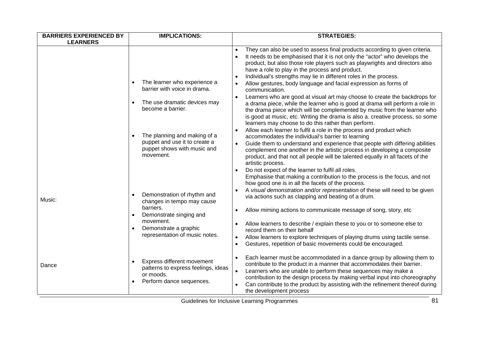| <b>BARRIERS EXPERIENCED BY</b> | <b>IMPLICATIONS:</b>                                                                                                                                                      | <b>STRATEGIES:</b>                                                                                                                                                                                                                                                                                                                                                                                                                                                                                                                                                                                                                                                                                                                                                                                                      |  |  |
|--------------------------------|---------------------------------------------------------------------------------------------------------------------------------------------------------------------------|-------------------------------------------------------------------------------------------------------------------------------------------------------------------------------------------------------------------------------------------------------------------------------------------------------------------------------------------------------------------------------------------------------------------------------------------------------------------------------------------------------------------------------------------------------------------------------------------------------------------------------------------------------------------------------------------------------------------------------------------------------------------------------------------------------------------------|--|--|
| <b>LEARNERS</b>                |                                                                                                                                                                           |                                                                                                                                                                                                                                                                                                                                                                                                                                                                                                                                                                                                                                                                                                                                                                                                                         |  |  |
|                                | The learner who experience a<br>barrier with voice in drama.<br>The use dramatic devices may<br>become a barrier.                                                         | They can also be used to assess final products according to given criteria.<br>It needs to be emphasised that it is not only the "actor" who develops the<br>product, but also those role players such as playwrights and directors also<br>have a role to play in the process and product.<br>Individual's strengths may lie in different roles in the process.<br>$\bullet$<br>Allow gestures, body language and facial expression as forms of<br>$\bullet$<br>communication.<br>Learners who are good at visual art may choose to create the backdrops for<br>$\bullet$<br>a drama piece, while the learner who is good at drama will perform a role in<br>the drama piece which will be complemented by music from the learner who<br>is good at music, etc. Writing the drama is also a. creative process, so some |  |  |
|                                | The planning and making of a<br>puppet and use it to create a<br>puppet shows with music and<br>movement.                                                                 | learners may choose to do this rather than perform.<br>Allow each learner to fulfil a role in the process and product which<br>accommodates the individual's barrier to learning<br>Guide them to understand and experience that people with differing abilities<br>$\bullet$<br>complement one another in the artistic process in developing a composite<br>product, and that not all people will be talented equally in all facets of the<br>artistic process.<br>Do not expect of the learner to fulfil all roles.<br>Emphasise that making a contribution to the process is the focus, and not                                                                                                                                                                                                                      |  |  |
| Music:                         | Demonstration of rhythm and<br>changes in tempo may cause<br>barriers.<br>Demonstrate singing and<br>movement.<br>Demonstrate a graphic<br>representation of music notes. | how good one is in all the facets of the process.<br>A visual demonstration and/or representation of these will need to be given<br>via actions such as clapping and beating of a drum.<br>Allow miming actions to communicate message of song, story, etc<br>$\bullet$<br>Allow learners to describe / explain these to you or to someone else to<br>record them on their behalf<br>Allow learners to explore techniques of playing drums using tactile sense.<br>$\bullet$<br>Gestures, repetition of basic movements could be encouraged.<br>$\bullet$                                                                                                                                                                                                                                                               |  |  |
| Dance                          | Express different movement<br>patterns to express feelings, ideas<br>or moods.<br>Perform dance sequences.<br>$\bullet$                                                   | Each learner must be accommodated in a dance group by allowing them to<br>contribute to the product in a manner that accommodates their barrier.<br>Learners who are unable to perform these sequences may make a<br>$\bullet$<br>contribution to the design process by making verbal input into choreography<br>Can contribute to the product by assisting with the refinement thereof during<br>the development process                                                                                                                                                                                                                                                                                                                                                                                               |  |  |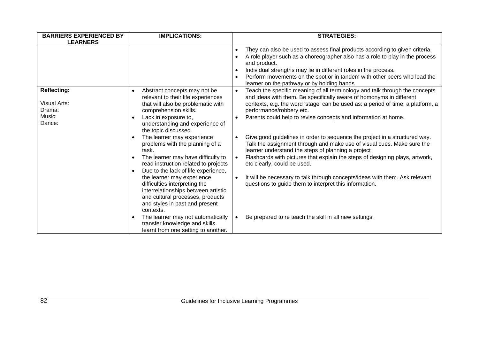| <b>BARRIERS EXPERIENCED BY</b>                                          | <b>IMPLICATIONS:</b>                                                                                                                                                                                                                                                                                                                                                                                                                                                                                                                                                                                                                                                        | <b>STRATEGIES:</b>                                                                                                                                                                                                                                                                                                                                                                                                                                                                                                                                                                                                                                                                                                                                                                                                                                                               |
|-------------------------------------------------------------------------|-----------------------------------------------------------------------------------------------------------------------------------------------------------------------------------------------------------------------------------------------------------------------------------------------------------------------------------------------------------------------------------------------------------------------------------------------------------------------------------------------------------------------------------------------------------------------------------------------------------------------------------------------------------------------------|----------------------------------------------------------------------------------------------------------------------------------------------------------------------------------------------------------------------------------------------------------------------------------------------------------------------------------------------------------------------------------------------------------------------------------------------------------------------------------------------------------------------------------------------------------------------------------------------------------------------------------------------------------------------------------------------------------------------------------------------------------------------------------------------------------------------------------------------------------------------------------|
| <b>LEARNERS</b>                                                         |                                                                                                                                                                                                                                                                                                                                                                                                                                                                                                                                                                                                                                                                             |                                                                                                                                                                                                                                                                                                                                                                                                                                                                                                                                                                                                                                                                                                                                                                                                                                                                                  |
|                                                                         |                                                                                                                                                                                                                                                                                                                                                                                                                                                                                                                                                                                                                                                                             | They can also be used to assess final products according to given criteria.<br>$\bullet$<br>A role player such as a choreographer also has a role to play in the process<br>and product.<br>Individual strengths may lie in different roles in the process.<br>Perform movements on the spot or in tandem with other peers who lead the<br>learner on the pathway or by holding hands                                                                                                                                                                                                                                                                                                                                                                                                                                                                                            |
| <b>Reflecting:</b><br><b>Visual Arts:</b><br>Drama:<br>Music:<br>Dance: | Abstract concepts may not be<br>$\bullet$<br>relevant to their life experiences<br>that will also be problematic with<br>comprehension skills.<br>Lack in exposure to,<br>$\bullet$<br>understanding and experience of<br>the topic discussed.<br>The learner may experience<br>problems with the planning of a<br>task.<br>The learner may have difficulty to<br>read instruction related to projects<br>Due to the lack of life experience,<br>the learner may experience<br>difficulties interpreting the<br>interrelationships between artistic<br>and cultural processes, products<br>and styles in past and present<br>contexts.<br>The learner may not automatically | Teach the specific meaning of all terminology and talk through the concepts<br>$\bullet$<br>and ideas with them. Be specifically aware of homonyms in different<br>contexts, e.g. the word 'stage' can be used as: a period of time, a platform, a<br>performance/robbery etc.<br>Parents could help to revise concepts and information at home.<br>Give good guidelines in order to sequence the project in a structured way.<br>Talk the assignment through and make use of visual cues. Make sure the<br>learner understand the steps of planning a project<br>Flashcards with pictures that explain the steps of designing plays, artwork,<br>etc clearly, could be used.<br>It will be necessary to talk through concepts/ideas with them. Ask relevant<br>questions to guide them to interpret this information.<br>Be prepared to re teach the skill in all new settings. |
|                                                                         | transfer knowledge and skills<br>learnt from one setting to another.                                                                                                                                                                                                                                                                                                                                                                                                                                                                                                                                                                                                        |                                                                                                                                                                                                                                                                                                                                                                                                                                                                                                                                                                                                                                                                                                                                                                                                                                                                                  |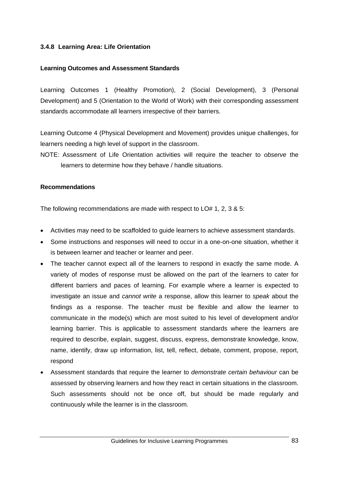## **3.4.8 Learning Area: Life Orientation**

### **Learning Outcomes and Assessment Standards**

Learning Outcomes 1 (Healthy Promotion), 2 (Social Development), 3 (Personal Development) and 5 (Orientation to the World of Work) with their corresponding assessment standards accommodate all learners irrespective of their barriers.

Learning Outcome 4 (Physical Development and Movement) provides unique challenges, for learners needing a high level of support in the classroom.

NOTE: Assessment of Life Orientation activities will require the teacher to *observe* the learners to determine how they behave / handle situations.

### **Recommendations**

The following recommendations are made with respect to LO# 1, 2, 3 & 5:

- Activities may need to be scaffolded to guide learners to achieve assessment standards.
- Some instructions and responses will need to occur in a one-on-one situation, whether it is between learner and teacher or learner and peer.
- The teacher cannot expect all of the learners to respond in exactly the same mode. A variety of modes of response must be allowed on the part of the learners to cater for different barriers and paces of learning. For example where a learner is expected to investigate an issue and *cannot write* a response, allow this learner to *speak* about the findings as a response. The teacher must be flexible and allow the learner to communicate in the mode(s) which are most suited to his level of development and/or learning barrier. This is applicable to assessment standards where the learners are required to describe, explain, suggest, discuss, express, demonstrate knowledge, know, name, identify, draw up information, list, tell, reflect, debate, comment, propose, report, respond
- Assessment standards that require the learner to *demonstrate certain behaviour* can be assessed by observing learners and how they react in certain situations in the classroom. Such assessments should not be once off, but should be made regularly and continuously while the learner is in the classroom.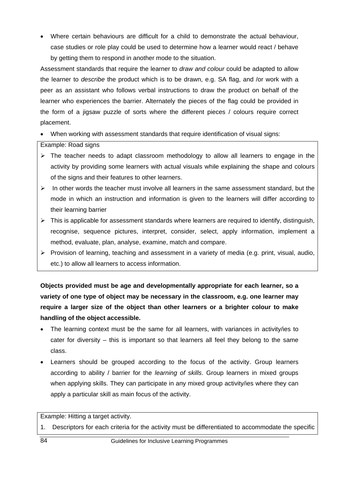Where certain behaviours are difficult for a child to demonstrate the actual behaviour, case studies or role play could be used to determine how a learner would react / behave by getting them to respond in another mode to the situation.

Assessment standards that require the learner to *draw and colour* could be adapted to allow the learner to *describe* the product which is to be drawn, e.g. SA flag, and /or work with a peer as an assistant who follows verbal instructions to draw the product on behalf of the learner who experiences the barrier. Alternately the pieces of the flag could be provided in the form of a jigsaw puzzle of sorts where the different pieces / colours require correct placement.

When working with assessment standards that require identification of visual signs:

Example: Road signs

- $\triangleright$  The teacher needs to adapt classroom methodology to allow all learners to engage in the activity by providing some learners with actual visuals while explaining the shape and colours of the signs and their features to other learners.
- $\triangleright$  In other words the teacher must involve all learners in the same assessment standard, but the mode in which an instruction and information is given to the learners will differ according to their learning barrier
- $\triangleright$  This is applicable for assessment standards where learners are required to identify, distinguish, recognise, sequence pictures, interpret, consider, select, apply information, implement a method, evaluate, plan, analyse, examine, match and compare.
- $\triangleright$  Provision of learning, teaching and assessment in a variety of media (e.g. print, visual, audio, etc.) to allow all learners to access information.

**Objects provided must be age and developmentally appropriate for each learner, so a variety of one type of object may be necessary in the classroom, e.g. one learner may require a larger size of the object than other learners or a brighter colour to make handling of the object accessible.** 

- The learning context must be the same for all learners, with variances in activity/ies to cater for diversity – this is important so that learners all feel they belong to the same class.
- Learners should be grouped according to the focus of the activity. Group learners according to ability / barrier for the *learning of skills*. Group learners in mixed groups when applying skills. They can participate in any mixed group activity/ies where they can apply a particular skill as main focus of the activity.

Example: Hitting a target activity.

1. Descriptors for each criteria for the activity must be differentiated to accommodate the specific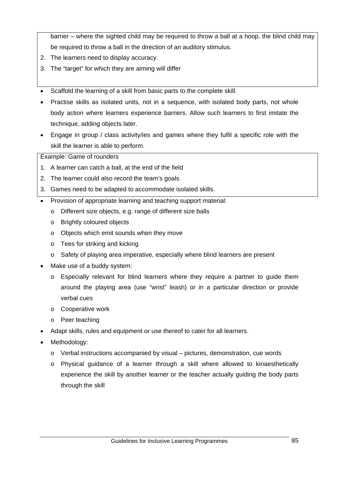barrier – where the sighted child may be required to throw a ball at a hoop, the blind child may be required to throw a ball in the direction of an auditory stimulus.

- 2. The learners need to display accuracy.
- 3. The "target" for which they are aiming will differ
- Scaffold the learning of a skill from basic parts to the complete skill.
- Practise skills as isolated units, not in a sequence, with isolated body parts, not whole body action where learners experience barriers. Allow such learners to first imitate the technique, adding objects later.
- Engage in group / class activity/ies and games where they fulfil a specific role with the skill the learner is able to perform.

Example: Game of rounders

- 1. A learner can catch a ball, at the end of the field
- 2. The learner could also record the team's goals
- 3. Games need to be adapted to accommodate isolated skills.
- Provision of appropriate learning and teaching support material:
	- o Different size objects, e.g. range of different size balls
	- o Brightly coloured objects
	- o Objects which emit sounds when they move
	- o Tees for striking and kicking
	- o Safety of playing area imperative, especially where blind learners are present
- Make use of a buddy system:
	- o Especially relevant for blind learners where they require a partner to guide them around the playing area (use "wrist" leash) or in a particular direction or provide verbal cues
	- o Cooperative work
	- o Peer teaching
- Adapt skills, rules and equipment or use thereof to cater for all learners.
- Methodology:
	- o Verbal instructions accompanied by visual pictures, demonstration, cue words
	- o Physical guidance of a learner through a skill where allowed to kinaesthetically experience the skill by another learner or the teacher actually guiding the body parts through the skill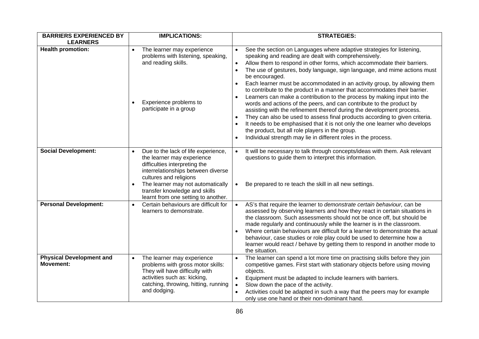| <b>BARRIERS EXPERIENCED BY</b>                      | <b>IMPLICATIONS:</b>                                                                                                                                                                                                                                                            | <b>STRATEGIES:</b>                                                                                                                                                                                                                                                                                                                                                                                                                                                                                                                                                                                                                                                                                                                                                                                                                                                                                                                                                             |  |  |
|-----------------------------------------------------|---------------------------------------------------------------------------------------------------------------------------------------------------------------------------------------------------------------------------------------------------------------------------------|--------------------------------------------------------------------------------------------------------------------------------------------------------------------------------------------------------------------------------------------------------------------------------------------------------------------------------------------------------------------------------------------------------------------------------------------------------------------------------------------------------------------------------------------------------------------------------------------------------------------------------------------------------------------------------------------------------------------------------------------------------------------------------------------------------------------------------------------------------------------------------------------------------------------------------------------------------------------------------|--|--|
| <b>LEARNERS</b><br><b>Health promotion:</b>         | The learner may experience<br>problems with listening, speaking,<br>and reading skills.<br>Experience problems to<br>participate in a group                                                                                                                                     | See the section on Languages where adaptive strategies for listening,<br>speaking and reading are dealt with comprehensively.<br>Allow them to respond in other forms, which accommodate their barriers.<br>The use of gestures, body language, sign language, and mime actions must<br>be encouraged.<br>Each learner must be accommodated in an activity group, by allowing them<br>to contribute to the product in a manner that accommodates their barrier.<br>Learners can make a contribution to the process by making input into the<br>words and actions of the peers, and can contribute to the product by<br>assisting with the refinement thereof during the development process.<br>They can also be used to assess final products according to given criteria.<br>It needs to be emphasised that it is not only the one learner who develops<br>the product, but all role players in the group.<br>Individual strength may lie in different roles in the process. |  |  |
| <b>Social Development:</b>                          | Due to the lack of life experience,<br>the learner may experience<br>difficulties interpreting the<br>interrelationships between diverse<br>cultures and religions<br>The learner may not automatically<br>transfer knowledge and skills<br>learnt from one setting to another. | It will be necessary to talk through concepts/ideas with them. Ask relevant<br>questions to guide them to interpret this information.<br>Be prepared to re teach the skill in all new settings.                                                                                                                                                                                                                                                                                                                                                                                                                                                                                                                                                                                                                                                                                                                                                                                |  |  |
| <b>Personal Development:</b>                        | Certain behaviours are difficult for<br>learners to demonstrate.                                                                                                                                                                                                                | AS's that require the learner to demonstrate certain behaviour, can be<br>assessed by observing learners and how they react in certain situations in<br>the classroom. Such assessments should not be once off, but should be<br>made regularly and continuously while the learner is in the classroom.<br>Where certain behaviours are difficult for a learner to demonstrate the actual<br>behaviour, case studies or role play could be used to determine how a<br>learner would react / behave by getting them to respond in another mode to<br>the situation.                                                                                                                                                                                                                                                                                                                                                                                                             |  |  |
| <b>Physical Development and</b><br><b>Movement:</b> | The learner may experience<br>$\bullet$<br>problems with gross motor skills:<br>They will have difficulty with<br>activities such as: kicking,<br>catching, throwing, hitting, running<br>and dodging.                                                                          | The learner can spend a lot more time on practising skills before they join<br>$\bullet$<br>competitive games. First start with stationary objects before using moving<br>objects.<br>Equipment must be adapted to include learners with barriers.<br>Slow down the pace of the activity.<br>Activities could be adapted in such a way that the peers may for example<br>only use one hand or their non-dominant hand.                                                                                                                                                                                                                                                                                                                                                                                                                                                                                                                                                         |  |  |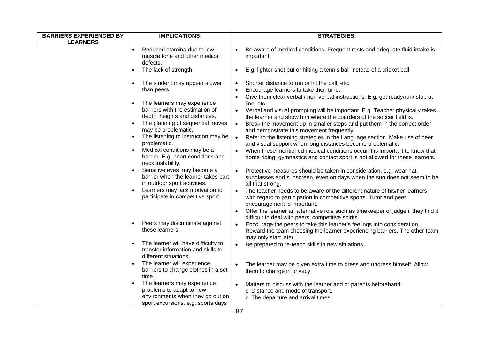| <b>BARRIERS EXPERIENCED BY</b> | <b>IMPLICATIONS:</b>                                                                                                              | <b>STRATEGIES:</b>                                                                                                                                                                                              |  |  |  |
|--------------------------------|-----------------------------------------------------------------------------------------------------------------------------------|-----------------------------------------------------------------------------------------------------------------------------------------------------------------------------------------------------------------|--|--|--|
| <b>LEARNERS</b>                |                                                                                                                                   |                                                                                                                                                                                                                 |  |  |  |
|                                | Reduced stamina due to low<br>$\bullet$<br>muscle tone and other medical<br>defects.                                              | Be aware of medical conditions. Frequent rests and adequate fluid intake is<br>important.                                                                                                                       |  |  |  |
|                                | The lack of strength.<br>$\bullet$                                                                                                | E.g. lighter shot put or hitting a tennis ball instead of a cricket ball.<br>$\bullet$                                                                                                                          |  |  |  |
|                                | The student may appear slower<br>than peers.                                                                                      | Shorter distance to run or hit the ball, etc.<br>$\bullet$<br>Encourage learners to take their time.<br>$\bullet$<br>Give them clear verbal / non-verbal instructions. E.g. get ready/run/ stop at<br>$\bullet$ |  |  |  |
|                                | The learners may experience<br>barriers with the estimation of<br>depth, heights and distances.                                   | line, etc.<br>Verbal and visual prompting will be important. E.g. Teacher physically takes<br>$\bullet$<br>the learner and show him where the boarders of the soccer field is.                                  |  |  |  |
|                                | The planning of sequential moves<br>may be problematic.                                                                           | Break the movement up in smaller steps and put them in the correct order<br>$\bullet$<br>and demonstrate this movement frequently.                                                                              |  |  |  |
|                                | The listening to instruction may be<br>problematic.                                                                               | Refer to the listening strategies in the Language section. Make use of peer<br>$\bullet$<br>and visual support when long distances become problematic.                                                          |  |  |  |
|                                | Medical conditions may be a<br>$\bullet$<br>barrier. E.g. heart conditions and<br>neck instability.                               | When these mentioned medical conditions occur it is important to know that<br>$\bullet$<br>horse riding, gymnastics and contact sport is not allowed for these learners.                                        |  |  |  |
|                                | Sensitive eyes may become a<br>barrier when the learner takes part<br>in outdoor sport activities.                                | Protective measures should be taken in consideration, e.g. wear hat,<br>$\bullet$<br>sunglasses and sunscreen, even on days when the sun does not seem to be<br>all that strong.                                |  |  |  |
|                                | Learners may lack motivation to<br>participate in competitive sport.                                                              | The teacher needs to be aware of the different nature of his/her learners<br>$\bullet$<br>with regard to participation in competitive sports. Tutor and peer<br>encouragement is important.                     |  |  |  |
|                                |                                                                                                                                   | Offer the learner an alternative role such as timekeeper of judge if they find it<br>difficult to deal with peers' competitive spirits.                                                                         |  |  |  |
|                                | Peers may discriminate against<br>$\bullet$<br>these learners.                                                                    | Encourage the peers to take this learner's feelings into consideration.<br>$\bullet$<br>Reward the team choosing the learner experiencing barriers. The other team<br>may only start later.                     |  |  |  |
|                                | The learner will have difficulty to<br>$\bullet$<br>transfer information and skills to<br>different situations.                   | Be prepared to re-teach skills in new situations.                                                                                                                                                               |  |  |  |
|                                | The learner will experience<br>barriers to change clothes in a set<br>time.                                                       | The learner may be given extra time to dress and undress himself. Allow<br>$\bullet$<br>them to change in privacy.                                                                                              |  |  |  |
|                                | The learners may experience<br>problems to adapt to new<br>environments when they go out on<br>sport excursions. e.g. sports days | Matters to discuss with the learner and or parents beforehand:<br>o Distance and mode of transport.<br>o The departure and arrival times.                                                                       |  |  |  |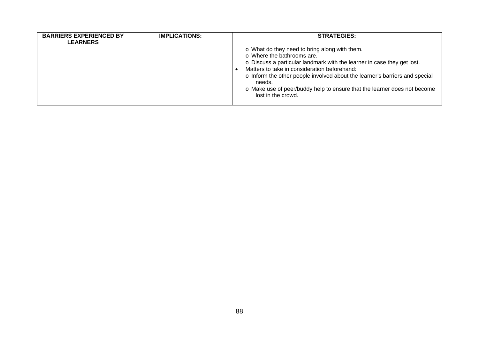| <b>BARRIERS EXPERIENCED BY</b><br><b>LEARNERS</b> | <b>IMPLICATIONS:</b> | <b>STRATEGIES:</b>                                                                                                                                                                                                                                                                                                                                                                                |
|---------------------------------------------------|----------------------|---------------------------------------------------------------------------------------------------------------------------------------------------------------------------------------------------------------------------------------------------------------------------------------------------------------------------------------------------------------------------------------------------|
|                                                   |                      | o What do they need to bring along with them.<br>o Where the bathrooms are.<br>o Discuss a particular landmark with the learner in case they get lost.<br>Matters to take in consideration beforehand:<br>o Inform the other people involved about the learner's barriers and special<br>needs.<br>o Make use of peer/buddy help to ensure that the learner does not become<br>lost in the crowd. |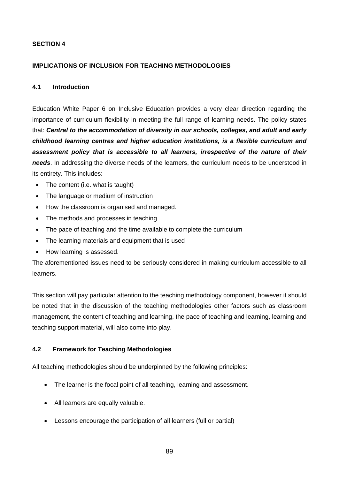## **SECTION 4**

### **IMPLICATIONS OF INCLUSION FOR TEACHING METHODOLOGIES**

#### **4.1 Introduction**

Education White Paper 6 on Inclusive Education provides a very clear direction regarding the importance of curriculum flexibility in meeting the full range of learning needs. The policy states that: *Central to the accommodation of diversity in our schools, colleges, and adult and early childhood learning centres and higher education institutions, is a flexible curriculum and assessment policy that is accessible to all learners, irrespective of the nature of their needs*. In addressing the diverse needs of the learners, the curriculum needs to be understood in its entirety. This includes:

- The content (i.e. what is taught)
- The language or medium of instruction
- How the classroom is organised and managed.
- The methods and processes in teaching
- The pace of teaching and the time available to complete the curriculum
- The learning materials and equipment that is used
- How learning is assessed.

The aforementioned issues need to be seriously considered in making curriculum accessible to all learners.

This section will pay particular attention to the teaching methodology component, however it should be noted that in the discussion of the teaching methodologies other factors such as classroom management, the content of teaching and learning, the pace of teaching and learning, learning and teaching support material, will also come into play.

#### **4.2 Framework for Teaching Methodologies**

All teaching methodologies should be underpinned by the following principles:

- The learner is the focal point of all teaching, learning and assessment.
- All learners are equally valuable.
- Lessons encourage the participation of all learners (full or partial)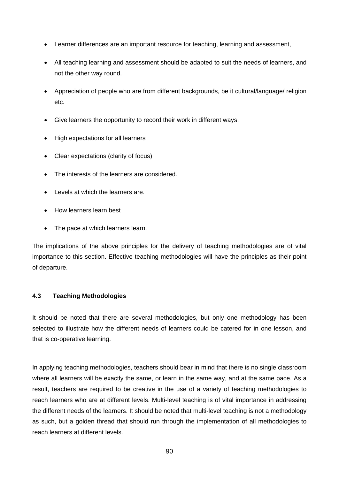- Learner differences are an important resource for teaching, learning and assessment,
- All teaching learning and assessment should be adapted to suit the needs of learners, and not the other way round.
- Appreciation of people who are from different backgrounds, be it cultural/language/ religion etc.
- Give learners the opportunity to record their work in different ways.
- High expectations for all learners
- Clear expectations (clarity of focus)
- The interests of the learners are considered.
- Levels at which the learners are.
- How learners learn best
- The pace at which learners learn.

The implications of the above principles for the delivery of teaching methodologies are of vital importance to this section. Effective teaching methodologies will have the principles as their point of departure.

### **4.3 Teaching Methodologies**

It should be noted that there are several methodologies, but only one methodology has been selected to illustrate how the different needs of learners could be catered for in one lesson, and that is co-operative learning.

In applying teaching methodologies, teachers should bear in mind that there is no single classroom where all learners will be exactly the same, or learn in the same way, and at the same pace. As a result, teachers are required to be creative in the use of a variety of teaching methodologies to reach learners who are at different levels. Multi-level teaching is of vital importance in addressing the different needs of the learners. It should be noted that multi-level teaching is not a methodology as such, but a golden thread that should run through the implementation of all methodologies to reach learners at different levels.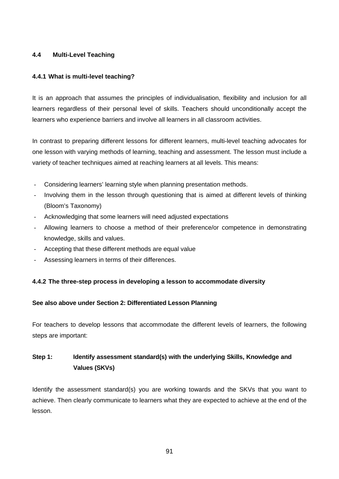## **4.4 Multi-Level Teaching**

## **4.4.1 What is multi-level teaching?**

It is an approach that assumes the principles of individualisation, flexibility and inclusion for all learners regardless of their personal level of skills. Teachers should unconditionally accept the learners who experience barriers and involve all learners in all classroom activities.

In contrast to preparing different lessons for different learners, multi-level teaching advocates for one lesson with varying methods of learning, teaching and assessment. The lesson must include a variety of teacher techniques aimed at reaching learners at all levels. This means:

- Considering learners' learning style when planning presentation methods.
- Involving them in the lesson through questioning that is aimed at different levels of thinking (Bloom's Taxonomy)
- Acknowledging that some learners will need adjusted expectations
- Allowing learners to choose a method of their preference/or competence in demonstrating knowledge, skills and values.
- Accepting that these different methods are equal value
- Assessing learners in terms of their differences.

#### **4.4.2 The three-step process in developing a lesson to accommodate diversity**

#### **See also above under Section 2: Differentiated Lesson Planning**

For teachers to develop lessons that accommodate the different levels of learners, the following steps are important:

## **Step 1: Identify assessment standard(s) with the underlying Skills, Knowledge and Values (SKVs)**

Identify the assessment standard(s) you are working towards and the SKVs that you want to achieve. Then clearly communicate to learners what they are expected to achieve at the end of the lesson.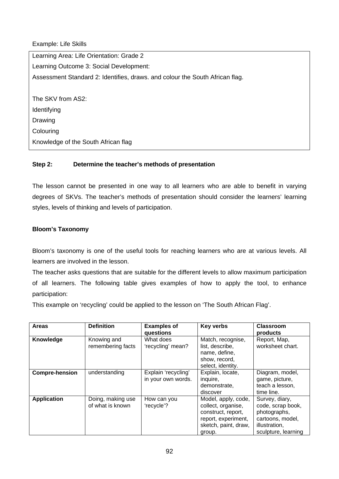Example: Life Skills

Learning Area: Life Orientation: Grade 2 Learning Outcome 3: Social Development: Assessment Standard 2: Identifies, draws. and colour the South African flag. The SKV from AS2: Identifying Drawing **Colouring** Knowledge of the South African flag

## **Step 2: Determine the teacher's methods of presentation**

The lesson cannot be presented in one way to all learners who are able to benefit in varying degrees of SKVs. The teacher's methods of presentation should consider the learners' learning styles, levels of thinking and levels of participation.

### **Bloom's Taxonomy**

Bloom's taxonomy is one of the useful tools for reaching learners who are at various levels. All learners are involved in the lesson.

The teacher asks questions that are suitable for the different levels to allow maximum participation of all learners. The following table gives examples of how to apply the tool, to enhance participation:

This example on 'recycling' could be applied to the lesson on 'The South African Flag'.

| <b>Areas</b>          | <b>Definition</b>                     | <b>Examples of</b>                        | <b>Key verbs</b>                                                                                                         | Classroom                                                                                                       |
|-----------------------|---------------------------------------|-------------------------------------------|--------------------------------------------------------------------------------------------------------------------------|-----------------------------------------------------------------------------------------------------------------|
|                       |                                       | questions                                 |                                                                                                                          | products                                                                                                        |
| Knowledge             | Knowing and<br>remembering facts      | What does<br>'recycling' mean?            | Match, recognise,<br>list, describe,<br>name, define,<br>show, record,<br>select, identity.                              | Report, Map,<br>worksheet chart.                                                                                |
| <b>Compre-hension</b> | understanding                         | Explain 'recycling'<br>in your own words. | Explain, locate,<br>inguire,<br>demonstrate,<br>discover                                                                 | Diagram, model,<br>game, picture,<br>teach a lesson,<br>time line.                                              |
| <b>Application</b>    | Doing, making use<br>of what is known | How can you<br>'recycle'?                 | Model, apply, code,<br>collect, organise,<br>construct, report,<br>report, experiment,<br>sketch, paint, draw,<br>group. | Survey, diary,<br>code, scrap book,<br>photographs,<br>cartoons, model,<br>illustration,<br>sculpture, learning |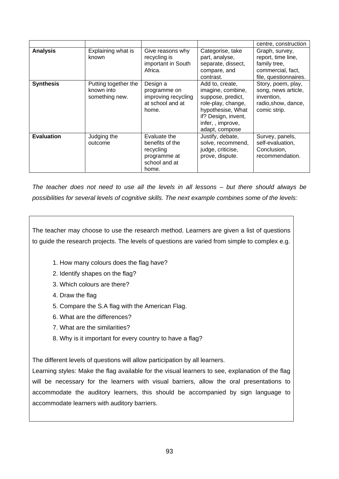|                   |                                                      |                                                                                        |                                                                                                                                                                    | centre, construction                                                                               |
|-------------------|------------------------------------------------------|----------------------------------------------------------------------------------------|--------------------------------------------------------------------------------------------------------------------------------------------------------------------|----------------------------------------------------------------------------------------------------|
| <b>Analysis</b>   | Explaining what is<br>known                          | Give reasons why<br>recycling is<br>important in South<br>Africa.                      | Categorise, take<br>part, analyse,<br>separate, dissect,<br>compare, and<br>contrast.                                                                              | Graph, survey,<br>report, time line,<br>family tree,<br>commercial, fact,<br>file, questionnaires. |
| <b>Synthesis</b>  | Putting together the<br>known into<br>something new. | Design a<br>programme on<br>improving recycling<br>at school and at<br>home.           | Add to, create,<br>imagine, combine,<br>suppose, predict,<br>role-play, change,<br>hypothesise, What<br>if? Design, invent,<br>infer, , improve,<br>adapt, compose | Story, poem, play,<br>song, news article,<br>invention,<br>radio, show, dance,<br>comic strip.     |
| <b>Evaluation</b> | Judging the<br>outcome                               | Evaluate the<br>benefits of the<br>recycling<br>programme at<br>school and at<br>home. | Justify, debate,<br>solve, recommend,<br>judge, criticise,<br>prove, dispute.                                                                                      | Survey, panels,<br>self-evaluation,<br>Conclusion,<br>recommendation.                              |

*The teacher does not need to use all the levels in all lessons – but there should always be possibilities for several levels of cognitive skills. The next example combines some of the levels:* 

The teacher may choose to use the research method. Learners are given a list of questions to guide the research projects. The levels of questions are varied from simple to complex e.g.

- 1. How many colours does the flag have?
- 2. Identify shapes on the flag?
- 3. Which colours are there?
- 4. Draw the flag
- 5. Compare the S.A flag with the American Flag.
- 6. What are the differences?
- 7. What are the similarities?
- 8. Why is it important for every country to have a flag?

The different levels of questions will allow participation by all learners.

Learning styles: Make the flag available for the visual learners to see, explanation of the flag will be necessary for the learners with visual barriers, allow the oral presentations to accommodate the auditory learners, this should be accompanied by sign language to accommodate learners with auditory barriers.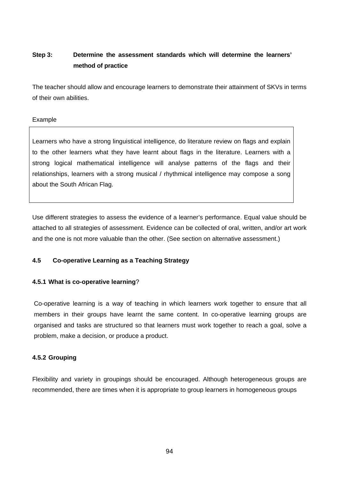## **Step 3: Determine the assessment standards which will determine the learners' method of practice**

The teacher should allow and encourage learners to demonstrate their attainment of SKVs in terms of their own abilities.

Example

Learners who have a strong linguistical intelligence, do literature review on flags and explain to the other learners what they have learnt about flags in the literature. Learners with a strong logical mathematical intelligence will analyse patterns of the flags and their relationships, learners with a strong musical / rhythmical intelligence may compose a song about the South African Flag.

Use different strategies to assess the evidence of a learner's performance. Equal value should be attached to all strategies of assessment. Evidence can be collected of oral, written, and/or art work and the one is not more valuable than the other. (See section on alternative assessment.)

## **4.5 Co-operative Learning as a Teaching Strategy**

## **4.5.1 What is co-operative learning**?

Co-operative learning is a way of teaching in which learners work together to ensure that all members in their groups have learnt the same content. In co-operative learning groups are organised and tasks are structured so that learners must work together to reach a goal, solve a problem, make a decision, or produce a product.

## **4.5.2 Grouping**

Flexibility and variety in groupings should be encouraged. Although heterogeneous groups are recommended, there are times when it is appropriate to group learners in homogeneous groups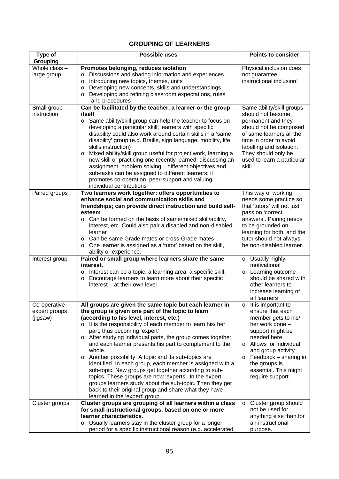## **GROUPING OF LEARNERS**

| Type of<br>Grouping                       | <b>Possible uses</b>                                                                                                                                                                                                                                                                                                                                                                                                                                                                                                                                                                                                                                                                                                                                                                             | <b>Points to consider</b>                                                                                                                                                                                                                                               |
|-------------------------------------------|--------------------------------------------------------------------------------------------------------------------------------------------------------------------------------------------------------------------------------------------------------------------------------------------------------------------------------------------------------------------------------------------------------------------------------------------------------------------------------------------------------------------------------------------------------------------------------------------------------------------------------------------------------------------------------------------------------------------------------------------------------------------------------------------------|-------------------------------------------------------------------------------------------------------------------------------------------------------------------------------------------------------------------------------------------------------------------------|
| Whole class $-$<br>large group            | Promotes belonging, reduces isolation<br>Discussions and sharing information and experiences<br>$\circ$<br>Introducing new topics, themes, units<br>$\circ$<br>Developing new concepts, skills and understandings<br>$\circ$<br>Developing and refining classroom expectations, rules<br>$\circ$<br>and procedures                                                                                                                                                                                                                                                                                                                                                                                                                                                                               | Physical inclusion does<br>not guarantee<br>instructional inclusion!                                                                                                                                                                                                    |
| Small group<br>instruction                | Can be facilitated by the teacher, a learner or the group<br>itself<br>o Same ability/skill group can help the teacher to focus on<br>developing a particular skill; learners with specific<br>disability could also work around certain skills in a 'same<br>disability' group (e.g. Braille, sign language, mobility, life<br>skills instruction)<br>Mixed ability/skill group useful for project work, learning a<br>$\circ$<br>new skill or practicing one recently learned, discussing an<br>assignment, problem solving - different objectives and<br>sub-tasks can be assigned to different learners; it<br>promotes co-operation, peer-support and valuing<br>individual contributions                                                                                                   | Same ability/skill groups<br>should not become<br>permanent and they<br>should not be composed<br>of same learners all the<br>time in order to avoid<br>labelling and isolation.<br>They should only be<br>used to learn a particular<br>skill.                         |
| Paired groups                             | Two learners work together: offers opportunities to<br>enhance social and communication skills and<br>friendships; can provide direct instruction and build self-<br>esteem<br>Can be formed on the basis of same/mixed skill/ability,<br>$\circ$<br>interest, etc. Could also pair a disabled and non-disabled<br>learner<br>Can be same Grade mates or cross-Grade mates<br>$\circ$<br>One learner is assigned as a 'tutor' based on the skill,<br>O<br>ability or experience.                                                                                                                                                                                                                                                                                                                 | This way of working<br>needs some practice so<br>that 'tutors' will not just<br>pass on 'correct<br>answers'. Pairing needs<br>to be grounded on<br>learning for both, and the<br>tutor should not always<br>be non-disabled learner.                                   |
| Interest group                            | Paired or small group where learners share the same<br>interest.<br>Interest can be a topic, a learning area, a specific skill.<br>$\circ$<br>Encourage learners to learn more about their specific<br>interest - at their own level                                                                                                                                                                                                                                                                                                                                                                                                                                                                                                                                                             | Usually highly<br>O<br>motivational<br>o Learning outcome<br>should be shared with<br>other learners to<br>increase learning of<br>all learners                                                                                                                         |
| Co-operative<br>expert groups<br>(jigsaw) | All groups are given the same topic but each learner in<br>the group is given one part of the topic to learn<br>(according to his level, interest, etc.)<br>o It is the responsibility of each member to learn his/ her<br>part, thus becoming 'expert'<br>After studying individual parts, the group comes together<br>$\circ$<br>and each learner presents his part to complement to the<br>whole.<br>Another possibility: A topic and its sub-topics are<br>identified. In each group, each member is assigned with a<br>sub-topic. New groups get together according to sub-<br>topics. These groups are now 'experts'. In the expert<br>groups learners study about the sub-topic. Then they get<br>back to their original group and share what they have<br>learned in the 'expert' group. | It is important to<br>$\Omega$<br>ensure that each<br>member gets to his/<br>her work done -<br>support might be<br>needed here<br>o Allows for individual<br>and group activity<br>Feedback - sharing in<br>the groups is<br>essential. This might<br>require support. |
| Cluster groups                            | Cluster groups are grouping of all learners within a class<br>for small instructional groups, based on one or more<br>learner characteristics.<br>Usually learners stay in the cluster group for a longer<br>O<br>period for a specific instructional reason (e.g. accelerated                                                                                                                                                                                                                                                                                                                                                                                                                                                                                                                   | Cluster group should<br>$\circ$<br>not be used for<br>anything else than for<br>an instructional<br>purpose.                                                                                                                                                            |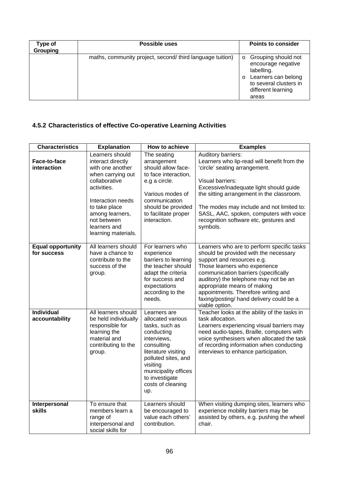| Type of<br>Grouping | Possible uses                                            | <b>Points to consider</b>                                                                                                                                     |
|---------------------|----------------------------------------------------------|---------------------------------------------------------------------------------------------------------------------------------------------------------------|
|                     | maths, community project, second/third language tuition) | Grouping should not<br>$\circ$<br>encourage negative<br>labelling.<br>Learners can belong<br>$\circ$<br>to several clusters in<br>different learning<br>areas |

# **4.5.2 Characteristics of effective Co-operative Learning Activities**

| <b>Characteristics</b>                  | <b>Explanation</b>                                                                                                                                                                                                           | How to achieve                                                                                                                                                                                                                 | <b>Examples</b>                                                                                                                                                                                                                                                                                                                                                         |
|-----------------------------------------|------------------------------------------------------------------------------------------------------------------------------------------------------------------------------------------------------------------------------|--------------------------------------------------------------------------------------------------------------------------------------------------------------------------------------------------------------------------------|-------------------------------------------------------------------------------------------------------------------------------------------------------------------------------------------------------------------------------------------------------------------------------------------------------------------------------------------------------------------------|
| Face-to-face<br>interaction             | Learners should<br>interact directly<br>with one another<br>when carrying out<br>collaborative<br>activities.<br>Interaction needs<br>to take place<br>among learners,<br>not between<br>learners and<br>learning materials. | The seating<br>arrangement<br>should allow face-<br>to face interaction.<br>e.g a circle.<br>Various modes of<br>communication<br>should be provided<br>to facilitate proper<br>interaction.                                   | Auditory barriers:<br>Learners who lip-read will benefit from the<br>'circle' seating arrangement.<br>Visual barriers:<br>Excessive/inadequate light should guide<br>the sitting arrangement in the classroom.<br>The modes may include and not limited to:<br>SASL, AAC, spoken, computers with voice<br>recognition software etc, gestures and<br>symbols.            |
| <b>Equal opportunity</b><br>for success | All learners should<br>have a chance to<br>contribute to the<br>success of the<br>group.                                                                                                                                     | For learners who<br>experience<br>barriers to learning<br>the teacher should<br>adapt the criteria<br>for success and<br>expectations<br>according to the<br>needs.                                                            | Learners who are to perform specific tasks<br>should be provided with the necessary<br>support and resources e.g.<br>Those learners who experience<br>communication barriers (specifically<br>auditory) the telephone may not be an<br>appropriate means of making<br>appointments. Therefore writing and<br>faxing/posting/ hand delivery could be a<br>viable option. |
| <b>Individual</b><br>accountability     | All learners should<br>be held individually<br>responsible for<br>learning the<br>material and<br>contributing to the<br>group.                                                                                              | Learners are<br>allocated various<br>tasks, such as<br>conducting<br>interviews,<br>consulting<br>literature visiting<br>polluted sites, and<br>visiting<br>municipality offices<br>to investigate<br>costs of cleaning<br>up. | Teacher looks at the ability of the tasks in<br>task allocation.<br>Learners experiencing visual barriers may<br>need audio-tapes, Braille, computers with<br>voice synthesisers when allocated the task<br>of recording information when conducting<br>interviews to enhance participation.                                                                            |
| Interpersonal<br><b>skills</b>          | To ensure that<br>members learn a<br>range of<br>interpersonal and<br>social skills for                                                                                                                                      | Learners should<br>be encouraged to<br>value each others'<br>contribution.                                                                                                                                                     | When visiting dumping sites, learners who<br>experience mobility barriers may be<br>assisted by others, e.g. pushing the wheel<br>chair.                                                                                                                                                                                                                                |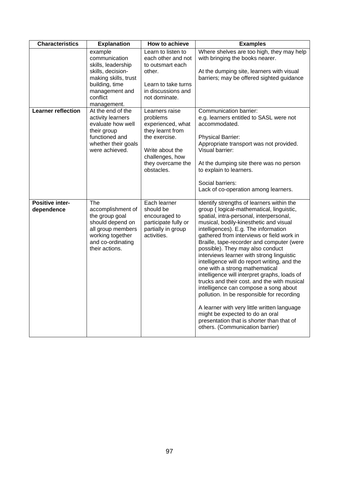| <b>Characteristics</b>               | <b>Explanation</b>                                                                                                                                         | How to achieve                                                                                                                                                | <b>Examples</b>                                                                                                                                                                                                                                                                                                                                                                                                                                                                                                                                                                                                                                                                                                                                                                                                                         |
|--------------------------------------|------------------------------------------------------------------------------------------------------------------------------------------------------------|---------------------------------------------------------------------------------------------------------------------------------------------------------------|-----------------------------------------------------------------------------------------------------------------------------------------------------------------------------------------------------------------------------------------------------------------------------------------------------------------------------------------------------------------------------------------------------------------------------------------------------------------------------------------------------------------------------------------------------------------------------------------------------------------------------------------------------------------------------------------------------------------------------------------------------------------------------------------------------------------------------------------|
|                                      | example<br>communication<br>skills, leadership<br>skills, decision-<br>making skills, trust<br>building, time<br>management and<br>conflict<br>management. | Learn to listen to<br>each other and not<br>to outsmart each<br>other.<br>Learn to take turns<br>in discussions and<br>not dominate.                          | Where shelves are too high, they may help<br>with bringing the books nearer.<br>At the dumping site, learners with visual<br>barriers; may be offered sighted guidance                                                                                                                                                                                                                                                                                                                                                                                                                                                                                                                                                                                                                                                                  |
| <b>Learner reflection</b>            | At the end of the<br>activity learners<br>evaluate how well<br>their group<br>functioned and<br>whether their goals<br>were achieved.                      | Learners raise<br>problems<br>experienced, what<br>they learnt from<br>the exercise.<br>Write about the<br>challenges, how<br>they overcame the<br>obstacles. | Communication barrier:<br>e.g. learners entitled to SASL were not<br>accommodated.<br><b>Physical Barrier:</b><br>Appropriate transport was not provided.<br>Visual barrier:<br>At the dumping site there was no person<br>to explain to learners.<br>Social barriers:<br>Lack of co-operation among learners.                                                                                                                                                                                                                                                                                                                                                                                                                                                                                                                          |
| <b>Positive inter-</b><br>dependence | The<br>accomplishment of<br>the group goal<br>should depend on<br>all group members<br>working together<br>and co-ordinating<br>their actions.             | Each learner<br>should be<br>encouraged to<br>participate fully or<br>partially in group<br>activities.                                                       | Identify strengths of learners within the<br>group (logical-mathematical, linguistic,<br>spatial, intra-personal, interpersonal,<br>musical, bodily-kinesthetic and visual<br>intelligences). E.g. The information<br>gathered from interviews or field work in<br>Braille, tape-recorder and computer (were<br>possible). They may also conduct<br>interviews learner with strong linguistic<br>intelligence will do report writing, and the<br>one with a strong mathematical<br>intelligence will interpret graphs, loads of<br>trucks and their cost. and the with musical<br>intelligence can compose a song about<br>pollution. In be responsible for recording<br>A learner with very little written language<br>might be expected to do an oral<br>presentation that is shorter than that of<br>others. (Communication barrier) |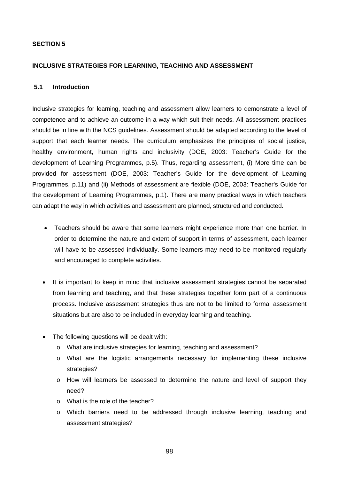#### **SECTION 5**

### **INCLUSIVE STRATEGIES FOR LEARNING, TEACHING AND ASSESSMENT**

#### **5.1 Introduction**

Inclusive strategies for learning, teaching and assessment allow learners to demonstrate a level of competence and to achieve an outcome in a way which suit their needs. All assessment practices should be in line with the NCS guidelines. Assessment should be adapted according to the level of support that each learner needs. The curriculum emphasizes the principles of social justice, healthy environment, human rights and inclusivity (DOE, 2003: Teacher's Guide for the development of Learning Programmes, p.5). Thus, regarding assessment, (i) More time can be provided for assessment (DOE, 2003: Teacher's Guide for the development of Learning Programmes, p.11) and (ii) Methods of assessment are flexible (DOE, 2003: Teacher's Guide for the development of Learning Programmes, p.1). There are many practical ways in which teachers can adapt the way in which activities and assessment are planned, structured and conducted.

- Teachers should be aware that some learners might experience more than one barrier. In order to determine the nature and extent of support in terms of assessment, each learner will have to be assessed individually. Some learners may need to be monitored regularly and encouraged to complete activities.
- It is important to keep in mind that inclusive assessment strategies cannot be separated from learning and teaching, and that these strategies together form part of a continuous process. Inclusive assessment strategies thus are not to be limited to formal assessment situations but are also to be included in everyday learning and teaching.
- The following questions will be dealt with:
	- o What are inclusive strategies for learning, teaching and assessment?
	- o What are the logistic arrangements necessary for implementing these inclusive strategies?
	- o How will learners be assessed to determine the nature and level of support they need?
	- o What is the role of the teacher?
	- o Which barriers need to be addressed through inclusive learning, teaching and assessment strategies?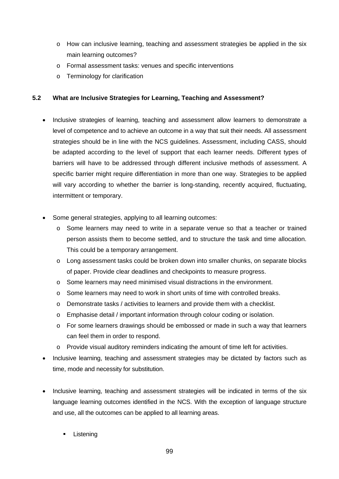- o How can inclusive learning, teaching and assessment strategies be applied in the six main learning outcomes?
- o Formal assessment tasks: venues and specific interventions
- o Terminology for clarification

## **5.2 What are Inclusive Strategies for Learning, Teaching and Assessment?**

- Inclusive strategies of learning, teaching and assessment allow learners to demonstrate a level of competence and to achieve an outcome in a way that suit their needs. All assessment strategies should be in line with the NCS guidelines. Assessment, including CASS, should be adapted according to the level of support that each learner needs. Different types of barriers will have to be addressed through different inclusive methods of assessment. A specific barrier might require differentiation in more than one way. Strategies to be applied will vary according to whether the barrier is long-standing, recently acquired, fluctuating, intermittent or temporary.
- Some general strategies, applying to all learning outcomes:
	- o Some learners may need to write in a separate venue so that a teacher or trained person assists them to become settled, and to structure the task and time allocation. This could be a temporary arrangement.
	- o Long assessment tasks could be broken down into smaller chunks, on separate blocks of paper. Provide clear deadlines and checkpoints to measure progress.
	- o Some learners may need minimised visual distractions in the environment.
	- o Some learners may need to work in short units of time with controlled breaks.
	- o Demonstrate tasks / activities to learners and provide them with a checklist.
	- o Emphasise detail / important information through colour coding or isolation.
	- o For some learners drawings should be embossed or made in such a way that learners can feel them in order to respond.
	- $\circ$  Provide visual auditory reminders indicating the amount of time left for activities.
- Inclusive learning, teaching and assessment strategies may be dictated by factors such as time, mode and necessity for substitution.
- Inclusive learning, teaching and assessment strategies will be indicated in terms of the six language learning outcomes identified in the NCS. With the exception of language structure and use, all the outcomes can be applied to all learning areas.
	- Listening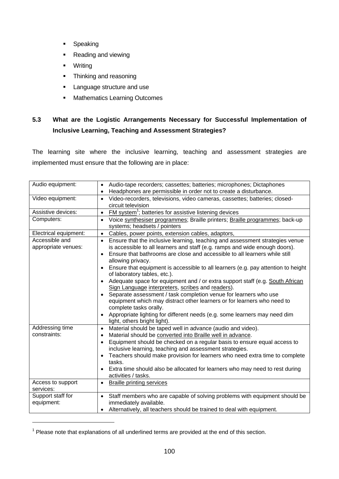- **Speaking**
- Reading and viewing
- **•** Writing

- **Thinking and reasoning**
- **Language structure and use**
- **Mathematics Learning Outcomes**

## **5.3 What are the Logistic Arrangements Necessary for Successful Implementation of Inclusive Learning, Teaching and Assessment Strategies?**

The learning site where the inclusive learning, teaching and assessment strategies are implemented must ensure that the following are in place:

| Audio equipment:                      | Audio-tape recorders; cassettes; batteries; microphones; Dictaphones<br>Headphones are permissible in order not to create a disturbance.<br>$\bullet$                                                                                                                                                                                                                                                                                                                                                                                                                                                                                                                                                           |
|---------------------------------------|-----------------------------------------------------------------------------------------------------------------------------------------------------------------------------------------------------------------------------------------------------------------------------------------------------------------------------------------------------------------------------------------------------------------------------------------------------------------------------------------------------------------------------------------------------------------------------------------------------------------------------------------------------------------------------------------------------------------|
| Video equipment:                      | Video-recorders, televisions, video cameras, cassettes; batteries; closed-<br>$\bullet$<br>circuit television                                                                                                                                                                                                                                                                                                                                                                                                                                                                                                                                                                                                   |
| Assistive devices:                    | <b>FM</b> system <sup>1</sup> ; batteries for assistive listening devices<br>$\bullet$                                                                                                                                                                                                                                                                                                                                                                                                                                                                                                                                                                                                                          |
| Computers:                            | Voice synthesiser programmes; Braille printers; Braille programmes; back-up<br>$\bullet$<br>systems; headsets / pointers                                                                                                                                                                                                                                                                                                                                                                                                                                                                                                                                                                                        |
| Electrical equipment:                 | Cables, power points, extension cables, adaptors,<br>$\bullet$                                                                                                                                                                                                                                                                                                                                                                                                                                                                                                                                                                                                                                                  |
| Accessible and<br>appropriate venues: | Ensure that the inclusive learning, teaching and assessment strategies venue<br>$\bullet$<br>is accessible to all learners and staff (e.g. ramps and wide enough doors).<br>Ensure that bathrooms are close and accessible to all learners while still<br>allowing privacy.<br>Ensure that equipment is accessible to all learners (e.g. pay attention to height<br>of laboratory tables, etc.).<br>Adequate space for equipment and / or extra support staff (e.g. South African<br>Sign Language interpreters, scribes and readers).<br>Separate assessment / task completion venue for learners who use<br>equipment which may distract other learners or for learners who need to<br>complete tasks orally. |
|                                       | Appropriate lighting for different needs (e.g. some learners may need dim<br>light, others bright light).                                                                                                                                                                                                                                                                                                                                                                                                                                                                                                                                                                                                       |
| Addressing time<br>constraints:       | Material should be taped well in advance (audio and video).<br>$\bullet$<br>Material should be converted into Braille well in advance.<br>$\bullet$<br>Equipment should be checked on a regular basis to ensure equal access to<br>$\bullet$<br>inclusive learning, teaching and assessment strategies.<br>Teachers should make provision for learners who need extra time to complete<br>tasks.<br>Extra time should also be allocated for learners who may need to rest during<br>activities / tasks.                                                                                                                                                                                                         |
| Access to support<br>services:        | <b>Braille printing services</b><br>$\bullet$                                                                                                                                                                                                                                                                                                                                                                                                                                                                                                                                                                                                                                                                   |
| Support staff for<br>equipment:       | Staff members who are capable of solving problems with equipment should be<br>$\bullet$<br>immediately available.<br>Alternatively, all teachers should be trained to deal with equipment.                                                                                                                                                                                                                                                                                                                                                                                                                                                                                                                      |

 $1$  Please note that explanations of all underlined terms are provided at the end of this section.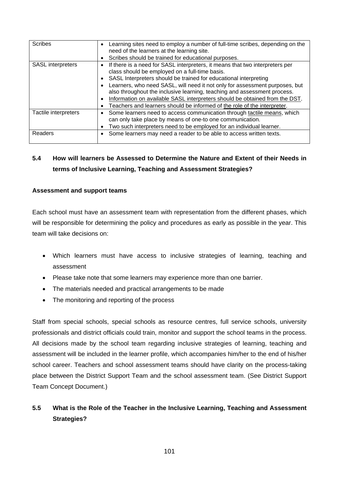| <b>Scribes</b>              | Learning sites need to employ a number of full-time scribes, depending on the<br>$\bullet$<br>need of the learners at the learning site.<br>Scribes should be trained for educational purposes.<br>$\bullet$                                                                                                                                                                                                                                                                                                                                                    |
|-----------------------------|-----------------------------------------------------------------------------------------------------------------------------------------------------------------------------------------------------------------------------------------------------------------------------------------------------------------------------------------------------------------------------------------------------------------------------------------------------------------------------------------------------------------------------------------------------------------|
| <b>SASL</b> interpreters    | If there is a need for SASL interpreters, it means that two interpreters per<br>$\bullet$<br>class should be employed on a full-time basis.<br>SASL Interpreters should be trained for educational interpreting<br>Learners, who need SASL, will need it not only for assessment purposes, but<br>$\bullet$<br>also throughout the inclusive learning, teaching and assessment process.<br>Information on available SASL interpreters should be obtained from the DST.<br>$\bullet$<br>Teachers and learners should be informed of the role of the interpreter. |
| <b>Tactile interpreters</b> | Some learners need to access communication through tactile means, which<br>$\bullet$<br>can only take place by means of one-to one communication.<br>Two such interpreters need to be employed for an individual learner.                                                                                                                                                                                                                                                                                                                                       |
| Readers                     | Some learners may need a reader to be able to access written texts.                                                                                                                                                                                                                                                                                                                                                                                                                                                                                             |

## **5.4 How will learners be Assessed to Determine the Nature and Extent of their Needs in terms of Inclusive Learning, Teaching and Assessment Strategies?**

### **Assessment and support teams**

Each school must have an assessment team with representation from the different phases, which will be responsible for determining the policy and procedures as early as possible in the year. This team will take decisions on:

- Which learners must have access to inclusive strategies of learning, teaching and assessment
- Please take note that some learners may experience more than one barrier.
- The materials needed and practical arrangements to be made
- The monitoring and reporting of the process

Staff from special schools, special schools as resource centres, full service schools, university professionals and district officials could train, monitor and support the school teams in the process. All decisions made by the school team regarding inclusive strategies of learning, teaching and assessment will be included in the learner profile, which accompanies him/her to the end of his/her school career. Teachers and school assessment teams should have clarity on the process-taking place between the District Support Team and the school assessment team. (See District Support Team Concept Document.)

## **5.5 What is the Role of the Teacher in the Inclusive Learning, Teaching and Assessment Strategies?**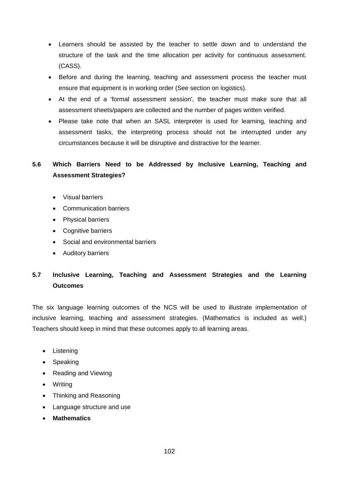- Learners should be assisted by the teacher to settle down and to understand the structure of the task and the time allocation per activity for continuous assessment. (CASS).
- Before and during the learning, teaching and assessment process the teacher must ensure that equipment is in working order (See section on logistics).
- At the end of a 'formal assessment session', the teacher must make sure that all assessment sheets/papers are collected and the number of pages written verified.
- Please take note that when an SASL interpreter is used for learning, teaching and assessment tasks, the interpreting process should not be interrupted under any circumstances because it will be disruptive and distractive for the learner.

## **5.6 Which Barriers Need to be Addressed by Inclusive Learning, Teaching and Assessment Strategies?**

- Visual barriers
- Communication barriers
- Physical barriers
- Cognitive barriers
- Social and environmental barriers
- Auditory barriers

## **5.7 Inclusive Learning, Teaching and Assessment Strategies and the Learning Outcomes**

The six language learning outcomes of the NCS will be used to illustrate implementation of inclusive learning, teaching and assessment strategies. (Mathematics is included as well.) Teachers should keep in mind that these outcomes apply to all learning areas.

- Listening
- Speaking
- Reading and Viewing
- Writing
- Thinking and Reasoning
- Language structure and use
- **Mathematics**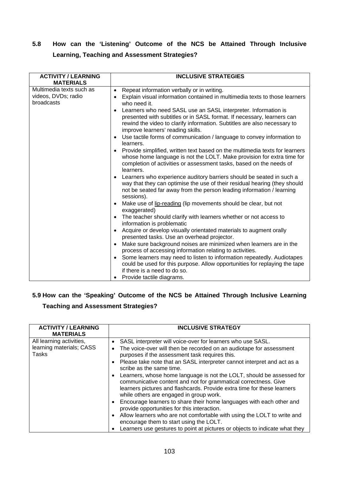# **5.8 How can the 'Listening' Outcome of the NCS be Attained Through Inclusive Learning, Teaching and Assessment Strategies?**

| <b>ACTIVITY / LEARNING</b> | <b>INCLUSIVE STRATEGIES</b>                                                                                                                                                                                                                               |
|----------------------------|-----------------------------------------------------------------------------------------------------------------------------------------------------------------------------------------------------------------------------------------------------------|
| <b>MATERIALS</b>           |                                                                                                                                                                                                                                                           |
| Multimedia texts such as   | Repeat information verbally or in writing.<br>$\bullet$                                                                                                                                                                                                   |
| videos, DVDs; radio        | Explain visual information contained in multimedia texts to those learners                                                                                                                                                                                |
| broadcasts                 | who need it.                                                                                                                                                                                                                                              |
|                            | Learners who need SASL use an SASL interpreter. Information is<br>presented with subtitles or in SASL format. If necessary, learners can<br>rewind the video to clarify information. Subtitles are also necessary to<br>improve learners' reading skills. |
|                            | Use tactile forms of communication / language to convey information to<br>learners.                                                                                                                                                                       |
|                            | Provide simplified, written text based on the multimedia texts for learners<br>whose home language is not the LOLT. Make provision for extra time for<br>completion of activities or assessment tasks, based on the needs of<br>learners.                 |
|                            | Learners who experience auditory barriers should be seated in such a<br>way that they can optimise the use of their residual hearing (they should<br>not be seated far away from the person leading information / learning<br>sessions).                  |
|                            | Make use of lip-reading (lip movements should be clear, but not<br>exaggerated)                                                                                                                                                                           |
|                            | The teacher should clarify with learners whether or not access to<br>information is problematic                                                                                                                                                           |
|                            | Acquire or develop visually orientated materials to augment orally<br>presented tasks. Use an overhead projector.                                                                                                                                         |
|                            | Make sure background noises are minimized when learners are in the<br>$\bullet$                                                                                                                                                                           |
|                            | process of accessing information relating to activities.                                                                                                                                                                                                  |
|                            | Some learners may need to listen to information repeatedly. Audiotapes<br>$\bullet$                                                                                                                                                                       |
|                            | could be used for this purpose. Allow opportunities for replaying the tape                                                                                                                                                                                |
|                            | if there is a need to do so.                                                                                                                                                                                                                              |
|                            | Provide tactile diagrams.                                                                                                                                                                                                                                 |

## **5.9 How can the 'Speaking' Outcome of the NCS be Attained Through Inclusive Learning Teaching and Assessment Strategies?**

| All learning activities,<br>SASL interpreter will voice-over for learners who use SASL.<br>$\bullet$<br>learning materials; CASS<br>The voice-over will then be recorded on an audiotape for assessment                                                                                                                                                                                                                                                                                                                                                                                            | <b>ACTIVITY / LEARNING</b><br><b>MATERIALS</b> | <b>INCLUSIVE STRATEGY</b>                                                                                                                                                                              |
|----------------------------------------------------------------------------------------------------------------------------------------------------------------------------------------------------------------------------------------------------------------------------------------------------------------------------------------------------------------------------------------------------------------------------------------------------------------------------------------------------------------------------------------------------------------------------------------------------|------------------------------------------------|--------------------------------------------------------------------------------------------------------------------------------------------------------------------------------------------------------|
| Please take note that an SASL interpreter cannot interpret and act as a<br>$\bullet$<br>scribe as the same time.<br>$\bullet$<br>communicative content and not for grammatical correctness. Give<br>learners pictures and flashcards. Provide extra time for these learners<br>while others are engaged in group work.<br>Encourage learners to share their home languages with each other and<br>$\bullet$<br>provide opportunities for this interaction.<br>Allow learners who are not comfortable with using the LOLT to write and<br>$\bullet$<br>encourage them to start using the LOLT.<br>٠ | Tasks                                          | purposes if the assessment task requires this.<br>Learners, whose home language is not the LOLT, should be assessed for<br>Learners use gestures to point at pictures or objects to indicate what they |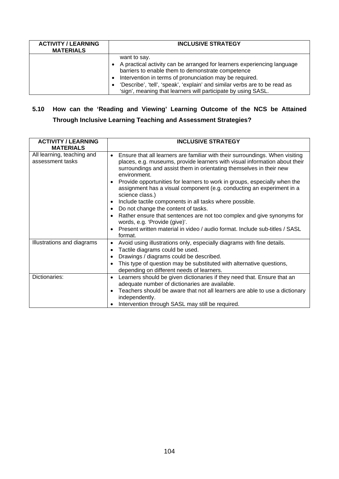| <b>ACTIVITY / LEARNING</b><br><b>MATERIALS</b> | <b>INCLUSIVE STRATEGY</b>                                                                                                                                                                                                                                                                                                                                           |
|------------------------------------------------|---------------------------------------------------------------------------------------------------------------------------------------------------------------------------------------------------------------------------------------------------------------------------------------------------------------------------------------------------------------------|
|                                                | want to say.<br>A practical activity can be arranged for learners experiencing language<br>barriers to enable them to demonstrate competence<br>Intervention in terms of pronunciation may be required.<br>$\bullet$<br>'Describe', 'tell', 'speak', 'explain' and similar verbs are to be read as<br>'sign', meaning that learners will participate by using SASL. |

## **5.10 How can the 'Reading and Viewing' Learning Outcome of the NCS be Attained Through Inclusive Learning Teaching and Assessment Strategies?**

| <b>ACTIVITY / LEARNING</b><br><b>MATERIALS</b> | <b>INCLUSIVE STRATEGY</b>                                                                                                                                                                                                                                                                                                                                                                                                                                                                                                                                                                                                                                                                                                                                                             |
|------------------------------------------------|---------------------------------------------------------------------------------------------------------------------------------------------------------------------------------------------------------------------------------------------------------------------------------------------------------------------------------------------------------------------------------------------------------------------------------------------------------------------------------------------------------------------------------------------------------------------------------------------------------------------------------------------------------------------------------------------------------------------------------------------------------------------------------------|
| All learning, teaching and<br>assessment tasks | Ensure that all learners are familiar with their surroundings. When visiting<br>$\bullet$<br>places, e.g. museums, provide learners with visual information about their<br>surroundings and assist them in orientating themselves in their new<br>environment.<br>Provide opportunities for learners to work in groups, especially when the<br>assignment has a visual component (e.g. conducting an experiment in a<br>science class.)<br>Include tactile components in all tasks where possible.<br>$\bullet$<br>Do not change the content of tasks.<br>$\bullet$<br>Rather ensure that sentences are not too complex and give synonyms for<br>$\bullet$<br>words, e.g. 'Provide (give)'.<br>Present written material in video / audio format. Include sub-titles / SASL<br>format. |
| Illustrations and diagrams                     | Avoid using illustrations only, especially diagrams with fine details.<br>$\bullet$<br>Tactile diagrams could be used.<br>$\bullet$<br>Drawings / diagrams could be described.<br>$\bullet$<br>This type of question may be substituted with alternative questions,<br>depending on different needs of learners.                                                                                                                                                                                                                                                                                                                                                                                                                                                                      |
| Dictionaries:                                  | Learners should be given dictionaries if they need that. Ensure that an<br>adequate number of dictionaries are available.<br>Teachers should be aware that not all learners are able to use a dictionary<br>independently.<br>Intervention through SASL may still be required.                                                                                                                                                                                                                                                                                                                                                                                                                                                                                                        |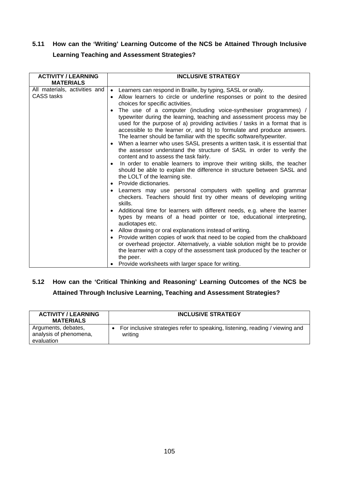# **5.11 How can the 'Writing' Learning Outcome of the NCS be Attained Through Inclusive Learning Teaching and Assessment Strategies?**

| <b>ACTIVITY / LEARNING</b><br><b>MATERIALS</b> | <b>INCLUSIVE STRATEGY</b>                                                                                                                                                                                                                                                                                                                                                                                                                                                                                                                                                                                                                                                                                                                                                                                                                                                                                                                                                                                                                                                                                                                                                                                                                                                                                                                                                                                                                                                                                                                                                                                                                                                                                |
|------------------------------------------------|----------------------------------------------------------------------------------------------------------------------------------------------------------------------------------------------------------------------------------------------------------------------------------------------------------------------------------------------------------------------------------------------------------------------------------------------------------------------------------------------------------------------------------------------------------------------------------------------------------------------------------------------------------------------------------------------------------------------------------------------------------------------------------------------------------------------------------------------------------------------------------------------------------------------------------------------------------------------------------------------------------------------------------------------------------------------------------------------------------------------------------------------------------------------------------------------------------------------------------------------------------------------------------------------------------------------------------------------------------------------------------------------------------------------------------------------------------------------------------------------------------------------------------------------------------------------------------------------------------------------------------------------------------------------------------------------------------|
| All materials, activities and<br>CASS tasks    | • Learners can respond in Braille, by typing, SASL or orally.<br>Allow learners to circle or underline responses or point to the desired<br>choices for specific activities.<br>• The use of a computer (including voice-synthesiser programmes) /<br>typewriter during the learning, teaching and assessment process may be<br>used for the purpose of a) providing activities / tasks in a format that is<br>accessible to the learner or, and b) to formulate and produce answers.<br>The learner should be familiar with the specific software/typewriter.<br>• When a learner who uses SASL presents a written task, it is essential that<br>the assessor understand the structure of SASL in order to verify the<br>content and to assess the task fairly.<br>• In order to enable learners to improve their writing skills, the teacher<br>should be able to explain the difference in structure between SASL and<br>the LOLT of the learning site.<br>• Provide dictionaries.<br>Learners may use personal computers with spelling and grammar<br>checkers. Teachers should first try other means of developing writing<br>skills.<br>• Additional time for learners with different needs, e.g. where the learner<br>types by means of a head pointer or toe, educational interpreting,<br>audiotapes etc.<br>• Allow drawing or oral explanations instead of writing.<br>Provide written copies of work that need to be copied from the chalkboard<br>$\bullet$<br>or overhead projector. Alternatively, a viable solution might be to provide<br>the learner with a copy of the assessment task produced by the teacher or<br>the peer.<br>• Provide worksheets with larger space for writing. |

## **5.12 How can the 'Critical Thinking and Reasoning' Learning Outcomes of the NCS be Attained Through Inclusive Learning, Teaching and Assessment Strategies?**

| <b>ACTIVITY / LEARNING</b><br><b>MATERIALS</b>              | <b>INCLUSIVE STRATEGY</b>                                                               |
|-------------------------------------------------------------|-----------------------------------------------------------------------------------------|
| Arguments, debates,<br>analysis of phenomena,<br>evaluation | For inclusive strategies refer to speaking, listening, reading / viewing and<br>writing |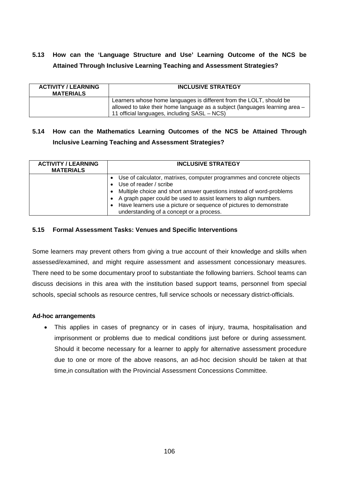## **5.13 How can the 'Language Structure and Use' Learning Outcome of the NCS be Attained Through Inclusive Learning Teaching and Assessment Strategies?**

| <b>ACTIVITY / LEARNING</b><br><b>MATERIALS</b> | <b>INCLUSIVE STRATEGY</b>                                                                                                                                                                          |
|------------------------------------------------|----------------------------------------------------------------------------------------------------------------------------------------------------------------------------------------------------|
|                                                | Learners whose home languages is different from the LOLT, should be<br>allowed to take their home language as a subject (languages learning area -<br>11 official languages, including SASL – NCS) |

## **5.14 How can the Mathematics Learning Outcomes of the NCS be Attained Through Inclusive Learning Teaching and Assessment Strategies?**

| <b>ACTIVITY / LEARNING</b><br><b>MATERIALS</b> | <b>INCLUSIVE STRATEGY</b>                                                                                                                                                                                                                                                                                                                                              |
|------------------------------------------------|------------------------------------------------------------------------------------------------------------------------------------------------------------------------------------------------------------------------------------------------------------------------------------------------------------------------------------------------------------------------|
|                                                | • Use of calculator, matrixes, computer programmes and concrete objects<br>• Use of reader / scribe<br>• Multiple choice and short answer questions instead of word-problems<br>• A graph paper could be used to assist learners to align numbers.<br>• Have learners use a picture or sequence of pictures to demonstrate<br>understanding of a concept or a process. |

### **5.15 Formal Assessment Tasks: Venues and Specific Interventions**

Some learners may prevent others from giving a true account of their knowledge and skills when assessed/examined, and might require assessment and assessment concessionary measures. There need to be some documentary proof to substantiate the following barriers. School teams can discuss decisions in this area with the institution based support teams, personnel from special schools, special schools as resource centres, full service schools or necessary district-officials.

#### **Ad-hoc arrangements**

 This applies in cases of pregnancy or in cases of injury, trauma, hospitalisation and imprisonment or problems due to medical conditions just before or during assessment. Should it become necessary for a learner to apply for alternative assessment procedure due to one or more of the above reasons, an ad-hoc decision should be taken at that time,in consultation with the Provincial Assessment Concessions Committee.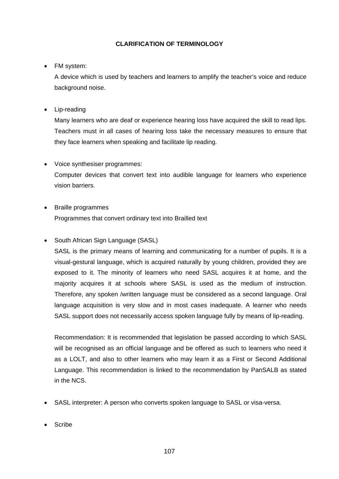## **CLARIFICATION OF TERMINOLOGY**

## • FM system:

A device which is used by teachers and learners to amplify the teacher's voice and reduce background noise.

• Lip-reading

Many learners who are deaf or experience hearing loss have acquired the skill to read lips. Teachers must in all cases of hearing loss take the necessary measures to ensure that they face learners when speaking and facilitate lip reading.

- Voice synthesiser programmes: Computer devices that convert text into audible language for learners who experience vision barriers.
- Braille programmes Programmes that convert ordinary text into Brailled text
- South African Sign Language (SASL)

SASL is the primary means of learning and communicating for a number of pupils. It is a visual-gestural language, which is acquired naturally by young children, provided they are exposed to it. The minority of learners who need SASL acquires it at home, and the majority acquires it at schools where SASL is used as the medium of instruction. Therefore, any spoken /written language must be considered as a second language. Oral language acquisition is very slow and in most cases inadequate. A learner who needs SASL support does not necessarily access spoken language fully by means of lip-reading.

Recommendation: It is recommended that legislation be passed according to which SASL will be recognised as an official language and be offered as such to learners who need it as a LOLT, and also to other learners who may learn it as a First or Second Additional Language. This recommendation is linked to the recommendation by PanSALB as stated in the NCS.

- SASL interpreter: A person who converts spoken language to SASL or visa-versa.
- Scribe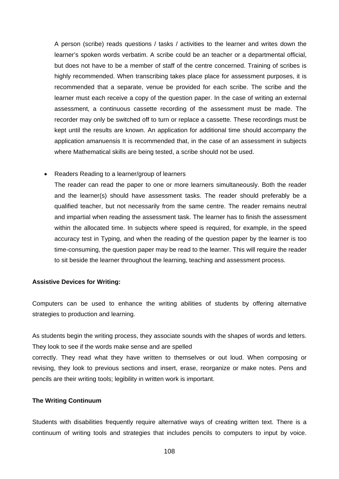A person (scribe) reads questions / tasks / activities to the learner and writes down the learner's spoken words verbatim. A scribe could be an teacher or a departmental official, but does not have to be a member of staff of the centre concerned. Training of scribes is highly recommended. When transcribing takes place place for assessment purposes, it is recommended that a separate, venue be provided for each scribe. The scribe and the learner must each receive a copy of the question paper. In the case of writing an external assessment, a continuous cassette recording of the assessment must be made. The recorder may only be switched off to turn or replace a cassette. These recordings must be kept until the results are known. An application for additional time should accompany the application amanuensis It is recommended that, in the case of an assessment in subjects where Mathematical skills are being tested, a scribe should not be used.

#### • Readers Reading to a learner/group of learners

The reader can read the paper to one or more learners simultaneously. Both the reader and the learner(s) should have assessment tasks. The reader should preferably be a qualified teacher, but not necessarily from the same centre. The reader remains neutral and impartial when reading the assessment task. The learner has to finish the assessment within the allocated time. In subjects where speed is required, for example, in the speed accuracy test in Typing, and when the reading of the question paper by the learner is too time-consuming, the question paper may be read to the learner. This will require the reader to sit beside the learner throughout the learning, teaching and assessment process.

#### **Assistive Devices for Writing:**

Computers can be used to enhance the writing abilities of students by offering alternative strategies to production and learning.

As students begin the writing process, they associate sounds with the shapes of words and letters. They look to see if the words make sense and are spelled

correctly. They read what they have written to themselves or out loud. When composing or revising, they look to previous sections and insert, erase, reorganize or make notes. Pens and pencils are their writing tools; legibility in written work is important.

#### **The Writing Continuum**

Students with disabilities frequently require alternative ways of creating written text. There is a continuum of writing tools and strategies that includes pencils to computers to input by voice.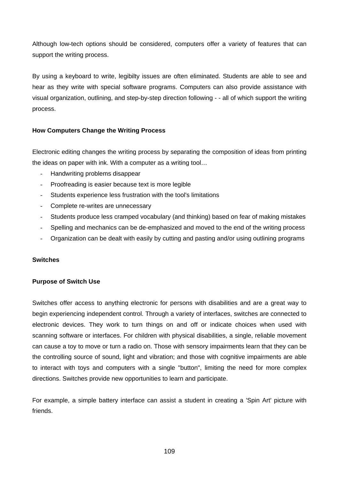Although low-tech options should be considered, computers offer a variety of features that can support the writing process.

By using a keyboard to write, legibilty issues are often eliminated. Students are able to see and hear as they write with special software programs. Computers can also provide assistance with visual organization, outlining, and step-by-step direction following - - all of which support the writing process.

# **How Computers Change the Writing Process**

Electronic editing changes the writing process by separating the composition of ideas from printing the ideas on paper with ink. With a computer as a writing tool…

- Handwriting problems disappear
- Proofreading is easier because text is more legible
- Students experience less frustration with the tool's limitations
- Complete re-writes are unnecessary
- Students produce less cramped vocabulary (and thinking) based on fear of making mistakes
- Spelling and mechanics can be de-emphasized and moved to the end of the writing process
- Organization can be dealt with easily by cutting and pasting and/or using outlining programs

# **Switches**

# **Purpose of Switch Use**

Switches offer access to anything electronic for persons with disabilities and are a great way to begin experiencing independent control. Through a variety of interfaces, switches are connected to electronic devices. They work to turn things on and off or indicate choices when used with scanning software or interfaces. For children with physical disabilities, a single, reliable movement can cause a toy to move or turn a radio on. Those with sensory impairments learn that they can be the controlling source of sound, light and vibration; and those with cognitive impairments are able to interact with toys and computers with a single "button", limiting the need for more complex directions. Switches provide new opportunities to learn and participate.

For example, a simple battery interface can assist a student in creating a 'Spin Art' picture with friends.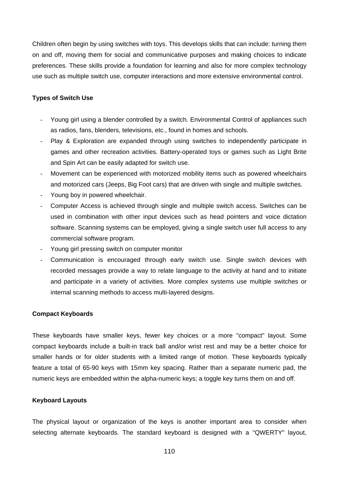Children often begin by using switches with toys. This develops skills that can include: turning them on and off, moving them for social and communicative purposes and making choices to indicate preferences. These skills provide a foundation for learning and also for more complex technology use such as multiple switch use, computer interactions and more extensive environmental control.

## **Types of Switch Use**

- Young girl using a blender controlled by a switch. Environmental Control of appliances such as radios, fans, blenders, televisions, etc., found in homes and schools.
- Play & Exploration are expanded through using switches to independently participate in games and other recreation activities. Battery-operated toys or games such as Light Brite and Spin Art can be easily adapted for switch use.
- Movement can be experienced with motorized mobility items such as powered wheelchairs and motorized cars (Jeeps, Big Foot cars) that are driven with single and multiple switches.
- Young boy in powered wheelchair.
- Computer Access is achieved through single and multiple switch access. Switches can be used in combination with other input devices such as head pointers and voice dictation software. Scanning systems can be employed, giving a single switch user full access to any commercial software program.
- Young girl pressing switch on computer monitor
- Communication is encouraged through early switch use. Single switch devices with recorded messages provide a way to relate language to the activity at hand and to initiate and participate in a variety of activities. More complex systems use multiple switches or internal scanning methods to access multi-layered designs.

#### **Compact Keyboards**

These keyboards have smaller keys, fewer key choices or a more "compact" layout. Some compact keyboards include a built-in track ball and/or wrist rest and may be a better choice for smaller hands or for older students with a limited range of motion. These keyboards typically feature a total of 65-90 keys with 15mm key spacing. Rather than a separate numeric pad, the numeric keys are embedded within the alpha-numeric keys; a toggle key turns them on and off.

#### **Keyboard Layouts**

The physical layout or organization of the keys is another important area to consider when selecting alternate keyboards. The standard keyboard is designed with a "QWERTY" layout,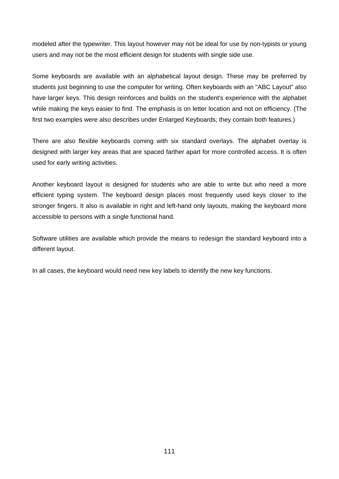modeled after the typewriter. This layout however may not be ideal for use by non-typists or young users and may not be the most efficient design for students with single side use.

Some keyboards are available with an alphabetical layout design. These may be preferred by students just beginning to use the computer for writing. Often keyboards with an "ABC Layout" also have larger keys. This design reinforces and builds on the student's experience with the alphabet while making the keys easier to find. The emphasis is on letter location and not on efficiency. (The first two examples were also describes under Enlarged Keyboards; they contain both features.)

There are also flexible keyboards coming with six standard overlays. The alphabet overlay is designed with larger key areas that are spaced farther apart for more controlled access. It is often used for early writing activities.

Another keyboard layout is designed for students who are able to write but who need a more efficient typing system. The keyboard design places most frequently used keys closer to the stronger fingers. It also is available in right and left-hand only layouts, making the keyboard more accessible to persons with a single functional hand.

Software utilities are available which provide the means to redesign the standard keyboard into a different layout.

In all cases, the keyboard would need new key labels to identify the new key functions.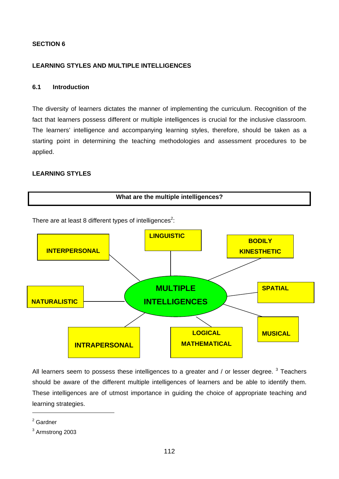## **SECTION 6**

## **LEARNING STYLES AND MULTIPLE INTELLIGENCES**

#### **6.1 Introduction**

The diversity of learners dictates the manner of implementing the curriculum. Recognition of the fact that learners possess different or multiple intelligences is crucial for the inclusive classroom. The learners' intelligence and accompanying learning styles, therefore, should be taken as a starting point in determining the teaching methodologies and assessment procedures to be applied.

## **LEARNING STYLES**



All learners seem to possess these intelligences to a greater and / or lesser degree.  $3$  Teachers should be aware of the different multiple intelligences of learners and be able to identify them. These intelligences are of utmost importance in guiding the choice of appropriate teaching and learning strategies.

<sup>&</sup>lt;sup>2</sup> Gardner

 $3$  Armstrong 2003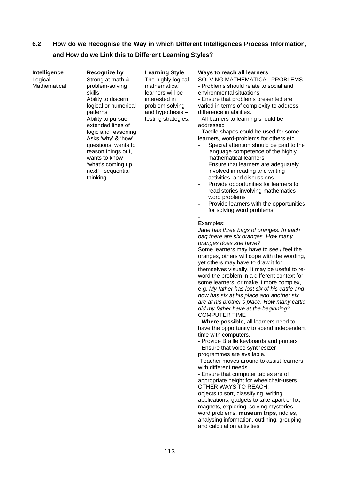# **6.2 How do we Recognise the Way in which Different Intelligences Process Information, and How do we Link this to Different Learning Styles?**

| Intelligence | <b>Recognize by</b>  | <b>Learning Style</b> | Ways to reach all learners                                                          |
|--------------|----------------------|-----------------------|-------------------------------------------------------------------------------------|
| Logical-     | Strong at math &     | The highly logical    | SOLVING MATHEMATICAL PROBLEMS                                                       |
| Mathematical | problem-solving      | mathematical          | - Problems should relate to social and                                              |
|              | skills               | learners will be      | environmental situations                                                            |
|              | Ability to discern   | interested in         | - Ensure that problems presented are                                                |
|              | logical or numerical | problem solving       | varied in terms of complexity to address                                            |
|              | patterns             | and hypothesis -      | difference in abilities.                                                            |
|              | Ability to pursue    | testing strategies.   | - All barriers to learning should be                                                |
|              | extended lines of    |                       | addressed                                                                           |
|              | logic and reasoning  |                       | - Tactile shapes could be used for some                                             |
|              | Asks 'why' & 'how'   |                       | learners, word-problems for others etc.                                             |
|              | questions, wants to  |                       | Special attention should be paid to the                                             |
|              | reason things out,   |                       | language competence of the highly                                                   |
|              | wants to know        |                       | mathematical learners                                                               |
|              | 'what's coming up    |                       | Ensure that learners are adequately                                                 |
|              | next' - sequential   |                       | involved in reading and writing                                                     |
|              | thinking             |                       | activities, and discussions<br>Provide opportunities for learners to                |
|              |                      |                       | $\frac{1}{2}$<br>read stories involving mathematics                                 |
|              |                      |                       | word problems                                                                       |
|              |                      |                       | Provide learners with the opportunities<br>$\overline{\phantom{a}}$                 |
|              |                      |                       | for solving word problems                                                           |
|              |                      |                       |                                                                                     |
|              |                      |                       | Examples:                                                                           |
|              |                      |                       | Jane has three bags of oranges. In each                                             |
|              |                      |                       | bag there are six oranges. How many                                                 |
|              |                      |                       | oranges does she have?                                                              |
|              |                      |                       | Some learners may have to see / feel the                                            |
|              |                      |                       | oranges, others will cope with the wording,                                         |
|              |                      |                       | yet others may have to draw it for                                                  |
|              |                      |                       | themselves visually. It may be useful to re-                                        |
|              |                      |                       | word the problem in a different context for                                         |
|              |                      |                       | some learners, or make it more complex,                                             |
|              |                      |                       | e.g. My father has lost six of his cattle and                                       |
|              |                      |                       | now has six at his place and another six                                            |
|              |                      |                       | are at his brother's place. How many cattle<br>did my father have at the beginning? |
|              |                      |                       | <b>COMPUTER TIME</b>                                                                |
|              |                      |                       | Where possible, all learners need to                                                |
|              |                      |                       | have the opportunity to spend independent                                           |
|              |                      |                       | time with computers.                                                                |
|              |                      |                       | - Provide Braille keyboards and printers                                            |
|              |                      |                       | - Ensure that voice synthesizer                                                     |
|              |                      |                       | programmes are available.                                                           |
|              |                      |                       | -Teacher moves around to assist learners                                            |
|              |                      |                       | with different needs                                                                |
|              |                      |                       | - Ensure that computer tables are of                                                |
|              |                      |                       | appropriate height for wheelchair-users                                             |
|              |                      |                       | <b>OTHER WAYS TO REACH:</b><br>objects to sort, classifying, writing                |
|              |                      |                       | applications, gadgets to take apart or fix,                                         |
|              |                      |                       | magnets, exploring, solving mysteries,                                              |
|              |                      |                       | word problems, museum trips, riddles,                                               |
|              |                      |                       | analysing information, outlining, grouping                                          |
|              |                      |                       | and calculation activities                                                          |
|              |                      |                       |                                                                                     |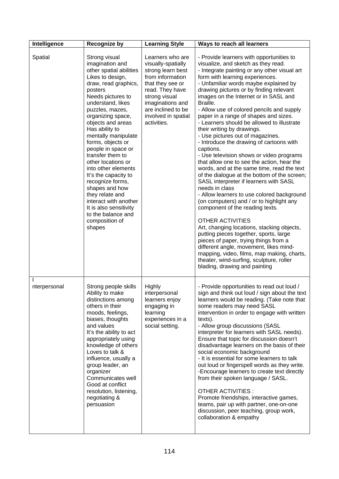| Intelligence | <b>Recognize by</b>                                                                                                                                                                                                                                                                                                                                                                                                                                                                                                                                                  | <b>Learning Style</b>                                                                                                                                                                                                   | Ways to reach all learners                                                                                                                                                                                                                                                                                                                                                                                                                                                                                                                                                                                                                                                                                                                                                                                                                                                                                                                                                                                                                                                                                                                                                                                                                                                                   |
|--------------|----------------------------------------------------------------------------------------------------------------------------------------------------------------------------------------------------------------------------------------------------------------------------------------------------------------------------------------------------------------------------------------------------------------------------------------------------------------------------------------------------------------------------------------------------------------------|-------------------------------------------------------------------------------------------------------------------------------------------------------------------------------------------------------------------------|----------------------------------------------------------------------------------------------------------------------------------------------------------------------------------------------------------------------------------------------------------------------------------------------------------------------------------------------------------------------------------------------------------------------------------------------------------------------------------------------------------------------------------------------------------------------------------------------------------------------------------------------------------------------------------------------------------------------------------------------------------------------------------------------------------------------------------------------------------------------------------------------------------------------------------------------------------------------------------------------------------------------------------------------------------------------------------------------------------------------------------------------------------------------------------------------------------------------------------------------------------------------------------------------|
| Spatial      | Strong visual<br>imagination and<br>other spatial abilities<br>Likes to design,<br>draw, read graphics,<br>posters<br>Needs pictures to<br>understand, likes<br>puzzles, mazes,<br>organizing space,<br>objects and areas<br>Has ability to<br>mentally manipulate<br>forms, objects or<br>people in space or<br>transfer them to<br>other locations or<br>into other elements<br>It's the capacity to<br>recognize forms,<br>shapes and how<br>they relate and<br>interact with another<br>It is also sensitivity<br>to the balance and<br>composition of<br>shapes | Learners who are<br>visually-spatially<br>strong learn best<br>from information<br>that they see or<br>read. They have<br>strong visual<br>imaginations and<br>are inclined to be<br>involved in spatial<br>activities. | - Provide learners with opportunities to<br>visualize, and sketch as they read.<br>- Integrate painting or any other visual art<br>form with learning experiences.<br>- Unfamiliar words maybe explained by<br>drawing pictures or by finding relevant<br>images on the Internet or in SASL and<br>Braille.<br>- Allow use of colored pencils and supply<br>paper in a range of shapes and sizes.<br>- Learners should be allowed to illustrate<br>their writing by drawings.<br>- Use pictures out of magazines.<br>- Introduce the drawing of cartoons with<br>captions.<br>- Use television shows or video programs<br>that allow one to see the action, hear the<br>words, and at the same time, read the text<br>of the dialogue at the bottom of the screen;<br>SASL interpreter if learners with SASL<br>needs in class<br>- Allow learners to use colored background<br>(on computers) and / or to highlight any<br>component of the reading texts.<br><b>OTHER ACTIVITIES</b><br>Art, changing locations, stacking objects,<br>putting pieces together, sports, large<br>pieces of paper, trying things from a<br>different angle, movement, likes mind-<br>mapping, video, films, map making, charts,<br>theater, wind-surfing, sculpture, roller<br>blading, drawing and painting |
| nterpersonal | Strong people skills<br>Ability to make<br>distinctions among<br>others in their<br>moods, feelings,<br>biases, thoughts<br>and values<br>It's the ability to act<br>appropriately using<br>knowledge of others<br>Loves to talk &<br>influence, usually a<br>group leader, an<br>organizer<br>Communicates well<br>Good at conflict<br>resolution, listening,<br>negotiating &<br>persuasion                                                                                                                                                                        | Highly<br>interpersonal<br>learners enjoy<br>engaging in<br>learning<br>experiences in a<br>social setting.                                                                                                             | - Provide opportunities to read out loud /<br>sign and think out loud / sign about the text<br>learners would be reading. (Take note that<br>some readers may need SASL<br>intervention in order to engage with written<br>texts).<br>- Allow group discussions (SASL<br>interpreter for learners with SASL needs).<br>Ensure that topic for discussion doesn't<br>disadvantage learners on the basis of their<br>social economic background<br>- It is essential for some learners to talk<br>out loud or fingerspell words as they write.<br>-Encourage learners to create text directly<br>from their spoken language / SASL.<br><b>OTHER ACTIVITIES:</b><br>Promote friendships, interactive games,<br>teams, pair up with partner, one-on-one<br>discussion, peer teaching, group work,<br>collaboration & empathy                                                                                                                                                                                                                                                                                                                                                                                                                                                                      |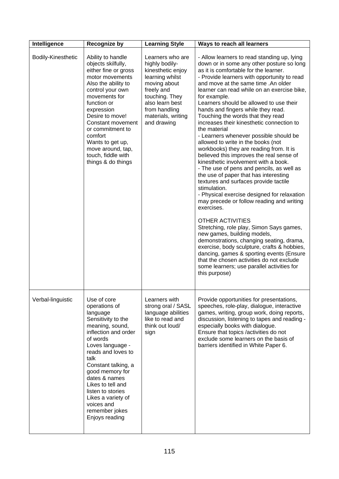| Intelligence       | <b>Recognize by</b>                                                                                                                                                                                                                                                                                                                                  | <b>Learning Style</b>                                                                                                                                                                               | Ways to reach all learners                                                                                                                                                                                                                                                                                                                                                                                                                                                                                                                                                                                                                                                                                                                                                                                                                                                                                                                                                                                                                                                                                                                                                                                                                                                                                 |
|--------------------|------------------------------------------------------------------------------------------------------------------------------------------------------------------------------------------------------------------------------------------------------------------------------------------------------------------------------------------------------|-----------------------------------------------------------------------------------------------------------------------------------------------------------------------------------------------------|------------------------------------------------------------------------------------------------------------------------------------------------------------------------------------------------------------------------------------------------------------------------------------------------------------------------------------------------------------------------------------------------------------------------------------------------------------------------------------------------------------------------------------------------------------------------------------------------------------------------------------------------------------------------------------------------------------------------------------------------------------------------------------------------------------------------------------------------------------------------------------------------------------------------------------------------------------------------------------------------------------------------------------------------------------------------------------------------------------------------------------------------------------------------------------------------------------------------------------------------------------------------------------------------------------|
| Bodily-Kinesthetic | Ability to handle<br>objects skilfully,<br>either fine or gross<br>motor movements<br>Also the ability to<br>control your own<br>movements for<br>function or<br>expression<br>Desire to move!<br>Constant movement<br>or commitment to<br>comfort<br>Wants to get up,<br>move around, tap,<br>touch, fiddle with<br>things & do things              | Learners who are<br>highly bodily-<br>kinesthetic enjoy<br>learning whilst<br>moving about<br>freely and<br>touching. They<br>also learn best<br>from handling<br>materials, writing<br>and drawing | - Allow learners to read standing up, lying<br>down or in some any other posture so long<br>as it is comfortable for the learner.<br>- Provide learners with opportunity to read<br>and move at the same time .An older<br>learner can read while on an exercise bike,<br>for example.<br>Learners should be allowed to use their<br>hands and fingers while they read.<br>Touching the words that they read<br>increases their kinesthetic connection to<br>the material<br>- Learners whenever possible should be<br>allowed to write in the books (not<br>workbooks) they are reading from. It is<br>believed this improves the real sense of<br>kinesthetic involvement with a book.<br>- The use of pens and pencils, as well as<br>the use of paper that has interesting<br>textures and surfaces provide tactile<br>stimulation.<br>- Physical exercise designed for relaxation<br>may precede or follow reading and writing<br>exercises.<br><b>OTHER ACTIVITIES</b><br>Stretching, role play, Simon Says games,<br>new games, building models,<br>demonstrations, changing seating, drama,<br>exercise, body sculpture, crafts & hobbies,<br>dancing, games & sporting events (Ensure<br>that the chosen activities do not exclude<br>some learners; use parallel activities for<br>this purpose) |
| Verbal-linguistic  | Use of core<br>operations of<br>language<br>Sensitivity to the<br>meaning, sound,<br>inflection and order<br>of words<br>Loves language -<br>reads and loves to<br>talk<br>Constant talking, a<br>good memory for<br>dates & names<br>Likes to tell and<br>listen to stories<br>Likes a variety of<br>voices and<br>remember jokes<br>Enjoys reading | Learners with<br>strong oral / SASL<br>language abilities<br>like to read and<br>think out loud/<br>sign                                                                                            | Provide opportunities for presentations,<br>speeches, role-play, dialogue, interactive<br>games, writing, group work, doing reports,<br>discussion, listening to tapes and reading -<br>especially books with dialogue.<br>Ensure that topics /activities do not<br>exclude some learners on the basis of<br>barriers identified in White Paper 6.                                                                                                                                                                                                                                                                                                                                                                                                                                                                                                                                                                                                                                                                                                                                                                                                                                                                                                                                                         |